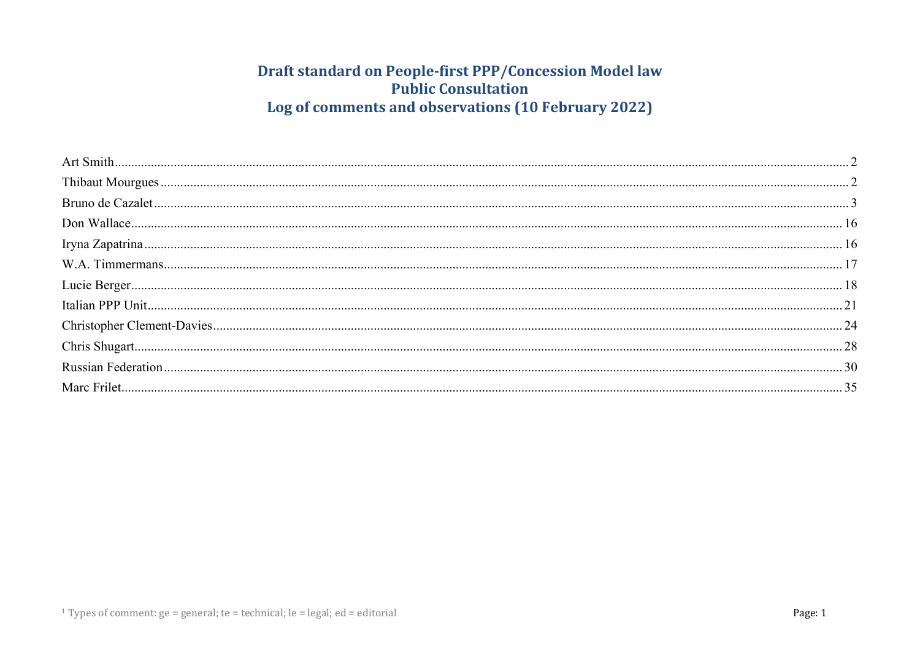## Draft standard on People-first PPP/Concession Model law **Public Consultation** Log of comments and observations (10 February 2022)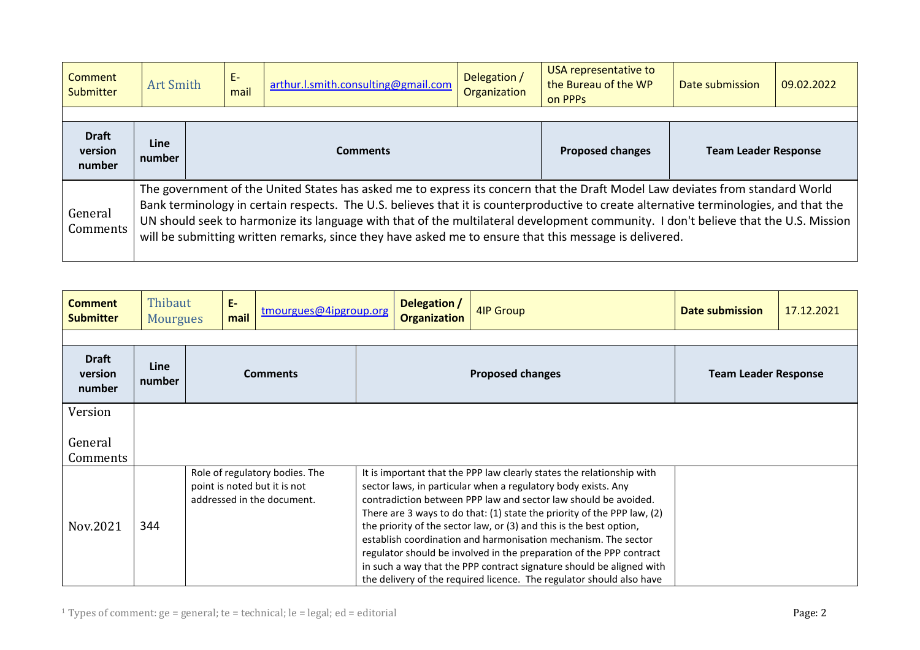<span id="page-1-0"></span>

| Comment<br><b>Submitter</b>                                                                                                                                                                                                                                                                                                                                                                                                                                                                                                                     | <b>Art Smith</b>      |                 | E-<br>mail | arthur.l.smith.consulting@gmail.com | Delegation /<br>Organization | USA representative to<br>the Bureau of the WP<br>on PPP <sub>S</sub> | Date submission | 09.02.2022 |
|-------------------------------------------------------------------------------------------------------------------------------------------------------------------------------------------------------------------------------------------------------------------------------------------------------------------------------------------------------------------------------------------------------------------------------------------------------------------------------------------------------------------------------------------------|-----------------------|-----------------|------------|-------------------------------------|------------------------------|----------------------------------------------------------------------|-----------------|------------|
|                                                                                                                                                                                                                                                                                                                                                                                                                                                                                                                                                 |                       |                 |            |                                     |                              |                                                                      |                 |            |
| <b>Draft</b><br>version<br>number                                                                                                                                                                                                                                                                                                                                                                                                                                                                                                               | <b>Line</b><br>number | <b>Comments</b> |            |                                     | <b>Proposed changes</b>      | <b>Team Leader Response</b>                                          |                 |            |
| The government of the United States has asked me to express its concern that the Draft Model Law deviates from standard World<br>Bank terminology in certain respects. The U.S. believes that it is counterproductive to create alternative terminologies, and that the<br>General<br>UN should seek to harmonize its language with that of the multilateral development community. I don't believe that the U.S. Mission<br>Comments<br>will be submitting written remarks, since they have asked me to ensure that this message is delivered. |                       |                 |            |                                     |                              |                                                                      |                 |            |

<span id="page-1-1"></span>

| <b>Comment</b><br><b>Submitter</b> | Thibaut<br><b>Mourgues</b> | $E-$ | mail | tmourgues@4ipgroup.org                                                                       | Delegation /<br><b>Organization</b> | 4IP Group                                                                                                                                                                                                                                                                                                                                                                                                                                                                                                                                                                                                                                            | Date submission             | 17.12.2021 |
|------------------------------------|----------------------------|------|------|----------------------------------------------------------------------------------------------|-------------------------------------|------------------------------------------------------------------------------------------------------------------------------------------------------------------------------------------------------------------------------------------------------------------------------------------------------------------------------------------------------------------------------------------------------------------------------------------------------------------------------------------------------------------------------------------------------------------------------------------------------------------------------------------------------|-----------------------------|------------|
|                                    |                            |      |      |                                                                                              |                                     |                                                                                                                                                                                                                                                                                                                                                                                                                                                                                                                                                                                                                                                      |                             |            |
| <b>Draft</b><br>version<br>number  | <b>Line</b><br>number      |      |      | <b>Comments</b>                                                                              |                                     | <b>Proposed changes</b>                                                                                                                                                                                                                                                                                                                                                                                                                                                                                                                                                                                                                              | <b>Team Leader Response</b> |            |
| Version                            |                            |      |      |                                                                                              |                                     |                                                                                                                                                                                                                                                                                                                                                                                                                                                                                                                                                                                                                                                      |                             |            |
| General<br>Comments                |                            |      |      |                                                                                              |                                     |                                                                                                                                                                                                                                                                                                                                                                                                                                                                                                                                                                                                                                                      |                             |            |
| Nov.2021                           | 344                        |      |      | Role of regulatory bodies. The<br>point is noted but it is not<br>addressed in the document. |                                     | It is important that the PPP law clearly states the relationship with<br>sector laws, in particular when a regulatory body exists. Any<br>contradiction between PPP law and sector law should be avoided.<br>There are 3 ways to do that: (1) state the priority of the PPP law, (2)<br>the priority of the sector law, or (3) and this is the best option,<br>establish coordination and harmonisation mechanism. The sector<br>regulator should be involved in the preparation of the PPP contract<br>in such a way that the PPP contract signature should be aligned with<br>the delivery of the required licence. The regulator should also have |                             |            |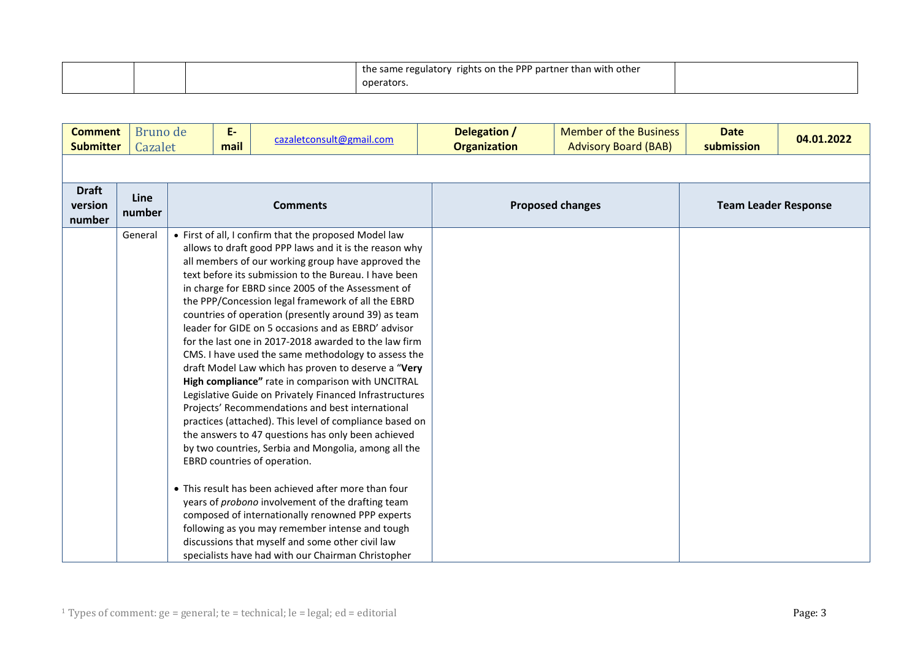|  | the same regulatory rights on the PPP partner than with other |  |
|--|---------------------------------------------------------------|--|
|  | operators.                                                    |  |

<span id="page-2-0"></span>

| <b>Comment</b><br><b>Submitter</b> | Bruno de<br>Cazalet | E-<br>mail | cazaletconsult@gmail.com                                                                                                                                                                                                                                                                                                                                                                                                                                                                                                                                                                                                                                                                                                                                                                                                                                                                                                                                                                                                                                                                                                                                                                                                                                                                                                                           | Delegation /<br><b>Organization</b> |                         | <b>Member of the Business</b><br><b>Advisory Board (BAB)</b> | <b>Date</b><br>submission   | 04.01.2022 |
|------------------------------------|---------------------|------------|----------------------------------------------------------------------------------------------------------------------------------------------------------------------------------------------------------------------------------------------------------------------------------------------------------------------------------------------------------------------------------------------------------------------------------------------------------------------------------------------------------------------------------------------------------------------------------------------------------------------------------------------------------------------------------------------------------------------------------------------------------------------------------------------------------------------------------------------------------------------------------------------------------------------------------------------------------------------------------------------------------------------------------------------------------------------------------------------------------------------------------------------------------------------------------------------------------------------------------------------------------------------------------------------------------------------------------------------------|-------------------------------------|-------------------------|--------------------------------------------------------------|-----------------------------|------------|
|                                    |                     |            |                                                                                                                                                                                                                                                                                                                                                                                                                                                                                                                                                                                                                                                                                                                                                                                                                                                                                                                                                                                                                                                                                                                                                                                                                                                                                                                                                    |                                     |                         |                                                              |                             |            |
| <b>Draft</b><br>version<br>number  | Line<br>number      |            | <b>Comments</b>                                                                                                                                                                                                                                                                                                                                                                                                                                                                                                                                                                                                                                                                                                                                                                                                                                                                                                                                                                                                                                                                                                                                                                                                                                                                                                                                    |                                     | <b>Proposed changes</b> |                                                              | <b>Team Leader Response</b> |            |
|                                    | General             |            | • First of all, I confirm that the proposed Model law<br>allows to draft good PPP laws and it is the reason why<br>all members of our working group have approved the<br>text before its submission to the Bureau. I have been<br>in charge for EBRD since 2005 of the Assessment of<br>the PPP/Concession legal framework of all the EBRD<br>countries of operation (presently around 39) as team<br>leader for GIDE on 5 occasions and as EBRD' advisor<br>for the last one in 2017-2018 awarded to the law firm<br>CMS. I have used the same methodology to assess the<br>draft Model Law which has proven to deserve a "Very<br>High compliance" rate in comparison with UNCITRAL<br>Legislative Guide on Privately Financed Infrastructures<br>Projects' Recommendations and best international<br>practices (attached). This level of compliance based on<br>the answers to 47 questions has only been achieved<br>by two countries, Serbia and Mongolia, among all the<br>EBRD countries of operation.<br>• This result has been achieved after more than four<br>years of <i>probono</i> involvement of the drafting team<br>composed of internationally renowned PPP experts<br>following as you may remember intense and tough<br>discussions that myself and some other civil law<br>specialists have had with our Chairman Christopher |                                     |                         |                                                              |                             |            |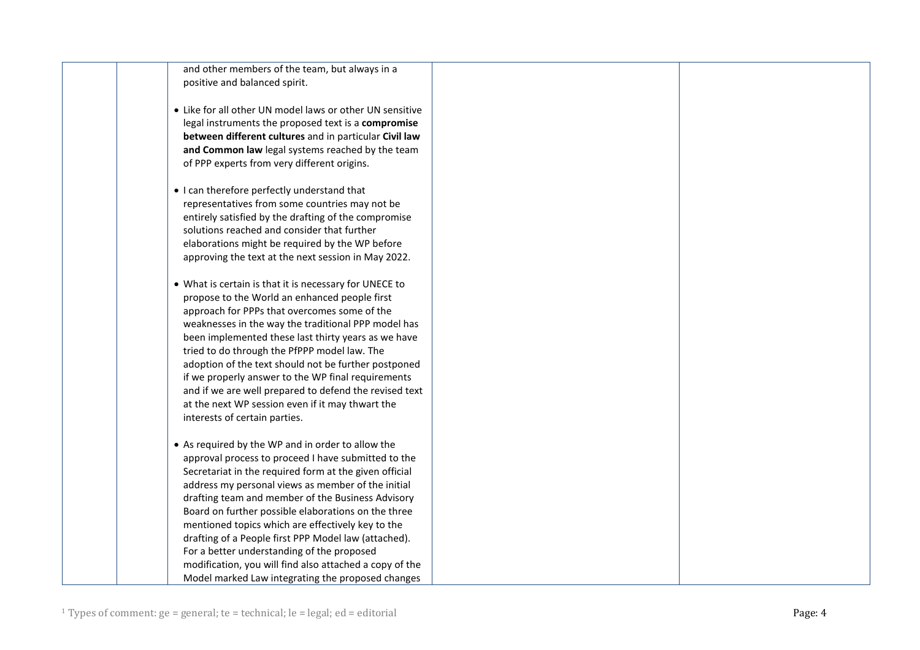| and other members of the team, but always in a |
|------------------------------------------------|
| positive and balanced spirit.                  |

- Like for all other UN model laws or other UN sensitive legal instruments the proposed text is a **compromise between different cultures** and in particular **Civil law and Common law** legal systems reached by the team of PPP experts from very different origins.
- I can therefore perfectly understand that representatives from some countries may not be entirely satisfied by the drafting of the compromise solutions reached and consider that further elaborations might be required by the WP before approving the text at the next session in May 2022.
- What is certain is that it is necessary for UNECE to propose to the World an enhanced people first approach for PPPs that overcomes some of the weaknesses in the way the traditional PPP model has been implemented these last thirty years as we have tried to do through the PfPPP model law. The adoption of the text should not be further postponed if we properly answer to the WP final requirements and if we are well prepared to defend the revised text at the next WP session even if it may thwart the interests of certain parties.
- As required by the WP and in order to allow the approval process to proceed I have submitted to the Secretariat in the required form at the given official address my personal views as member of the initial drafting team and member of the Business Advisory Board on further possible elaborations on the three mentioned topics which are effectively key to the drafting of a People first PPP Model law (attached). For a better understanding of the proposed modification, you will find also attached a copy of the Model marked Law integrating the proposed changes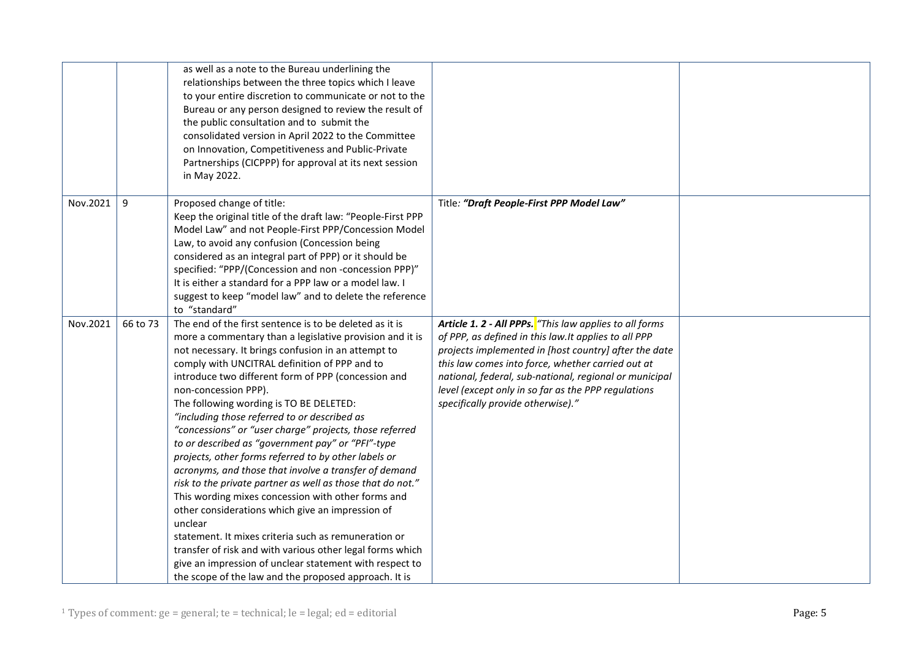|          |          | as well as a note to the Bureau underlining the<br>relationships between the three topics which I leave<br>to your entire discretion to communicate or not to the<br>Bureau or any person designed to review the result of<br>the public consultation and to submit the<br>consolidated version in April 2022 to the Committee<br>on Innovation, Competitiveness and Public-Private<br>Partnerships (CICPPP) for approval at its next session<br>in May 2022.                                                                                                                                                                                                                                                                                                                                                                                                                                                                                                                                                                                                      |                                                                                                                                                                                                                                                                                                                                                                                      |  |
|----------|----------|--------------------------------------------------------------------------------------------------------------------------------------------------------------------------------------------------------------------------------------------------------------------------------------------------------------------------------------------------------------------------------------------------------------------------------------------------------------------------------------------------------------------------------------------------------------------------------------------------------------------------------------------------------------------------------------------------------------------------------------------------------------------------------------------------------------------------------------------------------------------------------------------------------------------------------------------------------------------------------------------------------------------------------------------------------------------|--------------------------------------------------------------------------------------------------------------------------------------------------------------------------------------------------------------------------------------------------------------------------------------------------------------------------------------------------------------------------------------|--|
| Nov.2021 | 9        | Proposed change of title:<br>Keep the original title of the draft law: "People-First PPP<br>Model Law" and not People-First PPP/Concession Model<br>Law, to avoid any confusion (Concession being<br>considered as an integral part of PPP) or it should be<br>specified: "PPP/(Concession and non-concession PPP)"<br>It is either a standard for a PPP law or a model law. I<br>suggest to keep "model law" and to delete the reference<br>to "standard"                                                                                                                                                                                                                                                                                                                                                                                                                                                                                                                                                                                                         | Title: "Draft People-First PPP Model Law"                                                                                                                                                                                                                                                                                                                                            |  |
| Nov.2021 | 66 to 73 | The end of the first sentence is to be deleted as it is<br>more a commentary than a legislative provision and it is<br>not necessary. It brings confusion in an attempt to<br>comply with UNCITRAL definition of PPP and to<br>introduce two different form of PPP (concession and<br>non-concession PPP).<br>The following wording is TO BE DELETED:<br>"including those referred to or described as<br>"concessions" or "user charge" projects, those referred<br>to or described as "government pay" or "PFI"-type<br>projects, other forms referred to by other labels or<br>acronyms, and those that involve a transfer of demand<br>risk to the private partner as well as those that do not."<br>This wording mixes concession with other forms and<br>other considerations which give an impression of<br>unclear<br>statement. It mixes criteria such as remuneration or<br>transfer of risk and with various other legal forms which<br>give an impression of unclear statement with respect to<br>the scope of the law and the proposed approach. It is | Article 1. 2 - All PPPs. "This law applies to all forms<br>of PPP, as defined in this law. It applies to all PPP<br>projects implemented in [host country] after the date<br>this law comes into force, whether carried out at<br>national, federal, sub-national, regional or municipal<br>level (except only in so far as the PPP regulations<br>specifically provide otherwise)." |  |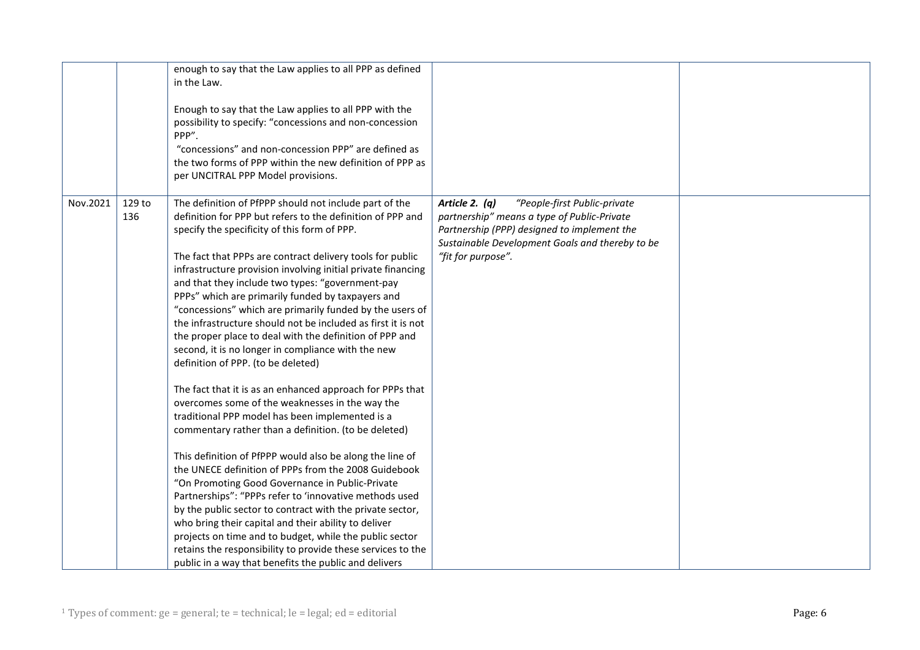|          |               | enough to say that the Law applies to all PPP as defined<br>in the Law.<br>Enough to say that the Law applies to all PPP with the<br>possibility to specify: "concessions and non-concession<br>PPP".<br>"concessions" and non-concession PPP" are defined as<br>the two forms of PPP within the new definition of PPP as<br>per UNCITRAL PPP Model provisions.                                                                                                                                                                                                                                                                                                                                                                                                                                                                                                                                                                                                                                                                                                                                                                                                                                                                                                                                                                                                                                                                                                   |                                                                                                                                                                                                                         |  |
|----------|---------------|-------------------------------------------------------------------------------------------------------------------------------------------------------------------------------------------------------------------------------------------------------------------------------------------------------------------------------------------------------------------------------------------------------------------------------------------------------------------------------------------------------------------------------------------------------------------------------------------------------------------------------------------------------------------------------------------------------------------------------------------------------------------------------------------------------------------------------------------------------------------------------------------------------------------------------------------------------------------------------------------------------------------------------------------------------------------------------------------------------------------------------------------------------------------------------------------------------------------------------------------------------------------------------------------------------------------------------------------------------------------------------------------------------------------------------------------------------------------|-------------------------------------------------------------------------------------------------------------------------------------------------------------------------------------------------------------------------|--|
| Nov.2021 | 129 to<br>136 | The definition of PfPPP should not include part of the<br>definition for PPP but refers to the definition of PPP and<br>specify the specificity of this form of PPP.<br>The fact that PPPs are contract delivery tools for public<br>infrastructure provision involving initial private financing<br>and that they include two types: "government-pay<br>PPPs" which are primarily funded by taxpayers and<br>"concessions" which are primarily funded by the users of<br>the infrastructure should not be included as first it is not<br>the proper place to deal with the definition of PPP and<br>second, it is no longer in compliance with the new<br>definition of PPP. (to be deleted)<br>The fact that it is as an enhanced approach for PPPs that<br>overcomes some of the weaknesses in the way the<br>traditional PPP model has been implemented is a<br>commentary rather than a definition. (to be deleted)<br>This definition of PfPPP would also be along the line of<br>the UNECE definition of PPPs from the 2008 Guidebook<br>"On Promoting Good Governance in Public-Private<br>Partnerships": "PPPs refer to 'innovative methods used<br>by the public sector to contract with the private sector,<br>who bring their capital and their ability to deliver<br>projects on time and to budget, while the public sector<br>retains the responsibility to provide these services to the<br>public in a way that benefits the public and delivers | Article 2. $(q)$<br>"People-first Public-private<br>partnership" means a type of Public-Private<br>Partnership (PPP) designed to implement the<br>Sustainable Development Goals and thereby to be<br>"fit for purpose". |  |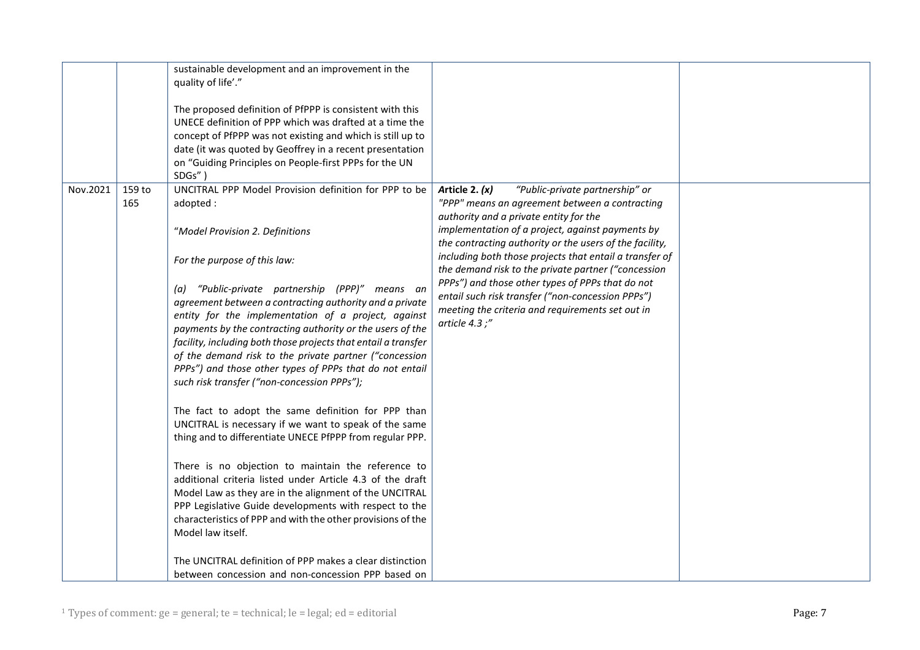|          |               | sustainable development and an improvement in the<br>quality of life'."<br>The proposed definition of PfPPP is consistent with this<br>UNECE definition of PPP which was drafted at a time the<br>concept of PfPPP was not existing and which is still up to<br>date (it was quoted by Geoffrey in a recent presentation<br>on "Guiding Principles on People-first PPPs for the UN<br>SDGs"                                                                                                                                                                                                                                                                                                                                                                                                                                                                                                                                                                                                                                                                                                                                                                                    |                                                                                                                                                                                                                                                                                                                                                                                                                                                                                                                                                                   |  |
|----------|---------------|--------------------------------------------------------------------------------------------------------------------------------------------------------------------------------------------------------------------------------------------------------------------------------------------------------------------------------------------------------------------------------------------------------------------------------------------------------------------------------------------------------------------------------------------------------------------------------------------------------------------------------------------------------------------------------------------------------------------------------------------------------------------------------------------------------------------------------------------------------------------------------------------------------------------------------------------------------------------------------------------------------------------------------------------------------------------------------------------------------------------------------------------------------------------------------|-------------------------------------------------------------------------------------------------------------------------------------------------------------------------------------------------------------------------------------------------------------------------------------------------------------------------------------------------------------------------------------------------------------------------------------------------------------------------------------------------------------------------------------------------------------------|--|
| Nov.2021 | 159 to<br>165 | UNCITRAL PPP Model Provision definition for PPP to be<br>adopted:<br>"Model Provision 2. Definitions<br>For the purpose of this law:<br>(a) "Public-private partnership (PPP)" means an<br>agreement between a contracting authority and a private<br>entity for the implementation of a project, against<br>payments by the contracting authority or the users of the<br>facility, including both those projects that entail a transfer<br>of the demand risk to the private partner ("concession<br>PPPs") and those other types of PPPs that do not entail<br>such risk transfer ("non-concession PPPs");<br>The fact to adopt the same definition for PPP than<br>UNCITRAL is necessary if we want to speak of the same<br>thing and to differentiate UNECE PfPPP from regular PPP.<br>There is no objection to maintain the reference to<br>additional criteria listed under Article 4.3 of the draft<br>Model Law as they are in the alignment of the UNCITRAL<br>PPP Legislative Guide developments with respect to the<br>characteristics of PPP and with the other provisions of the<br>Model law itself.<br>The UNCITRAL definition of PPP makes a clear distinction | Article 2. $(x)$<br>"Public-private partnership" or<br>"PPP" means an agreement between a contracting<br>authority and a private entity for the<br>implementation of a project, against payments by<br>the contracting authority or the users of the facility,<br>including both those projects that entail a transfer of<br>the demand risk to the private partner ("concession<br>PPPs") and those other types of PPPs that do not<br>entail such risk transfer ("non-concession PPPs")<br>meeting the criteria and requirements set out in<br>article $4.3$ ;" |  |
|          |               | between concession and non-concession PPP based on                                                                                                                                                                                                                                                                                                                                                                                                                                                                                                                                                                                                                                                                                                                                                                                                                                                                                                                                                                                                                                                                                                                             |                                                                                                                                                                                                                                                                                                                                                                                                                                                                                                                                                                   |  |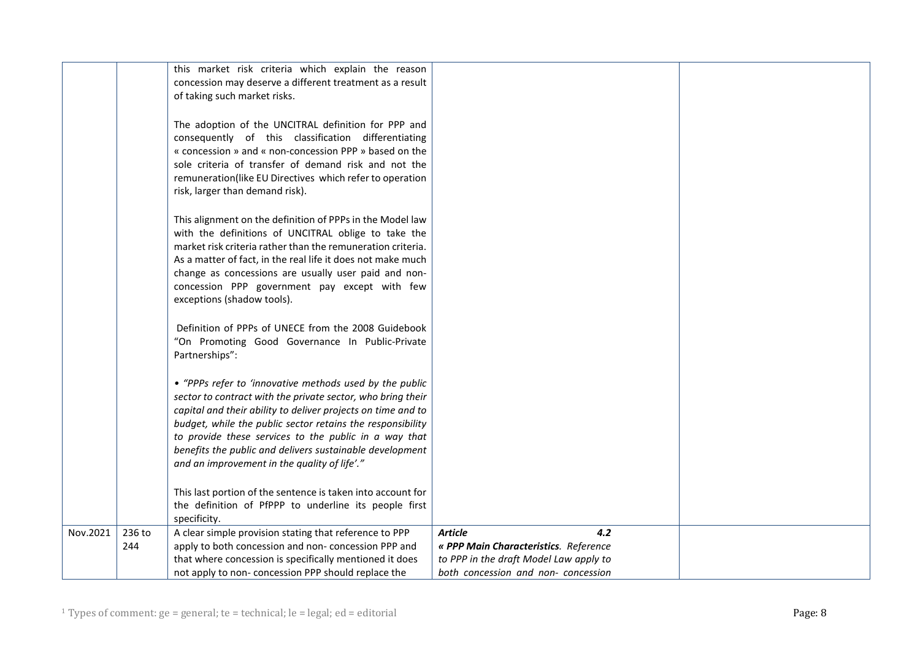|          |               | this market risk criteria which explain the reason<br>concession may deserve a different treatment as a result<br>of taking such market risks.                                                                                                                                                                                                                                                                            |                                                                                                          |  |
|----------|---------------|---------------------------------------------------------------------------------------------------------------------------------------------------------------------------------------------------------------------------------------------------------------------------------------------------------------------------------------------------------------------------------------------------------------------------|----------------------------------------------------------------------------------------------------------|--|
|          |               | The adoption of the UNCITRAL definition for PPP and<br>consequently of this classification differentiating<br>« concession » and « non-concession PPP » based on the<br>sole criteria of transfer of demand risk and not the<br>remuneration(like EU Directives which refer to operation<br>risk, larger than demand risk).                                                                                               |                                                                                                          |  |
|          |               | This alignment on the definition of PPPs in the Model law<br>with the definitions of UNCITRAL oblige to take the<br>market risk criteria rather than the remuneration criteria.<br>As a matter of fact, in the real life it does not make much<br>change as concessions are usually user paid and non-<br>concession PPP government pay except with few<br>exceptions (shadow tools).                                     |                                                                                                          |  |
|          |               | Definition of PPPs of UNECE from the 2008 Guidebook<br>"On Promoting Good Governance In Public-Private<br>Partnerships":                                                                                                                                                                                                                                                                                                  |                                                                                                          |  |
|          |               | • "PPPs refer to 'innovative methods used by the public<br>sector to contract with the private sector, who bring their<br>capital and their ability to deliver projects on time and to<br>budget, while the public sector retains the responsibility<br>to provide these services to the public in a way that<br>benefits the public and delivers sustainable development<br>and an improvement in the quality of life'." |                                                                                                          |  |
|          |               | This last portion of the sentence is taken into account for<br>the definition of PfPPP to underline its people first<br>specificity.                                                                                                                                                                                                                                                                                      |                                                                                                          |  |
| Nov.2021 | 236 to<br>244 | A clear simple provision stating that reference to PPP<br>apply to both concession and non-concession PPP and<br>that where concession is specifically mentioned it does                                                                                                                                                                                                                                                  | <b>Article</b><br>4.2<br>« PPP Main Characteristics. Reference<br>to PPP in the draft Model Law apply to |  |
|          |               | not apply to non-concession PPP should replace the                                                                                                                                                                                                                                                                                                                                                                        | both concession and non-concession                                                                       |  |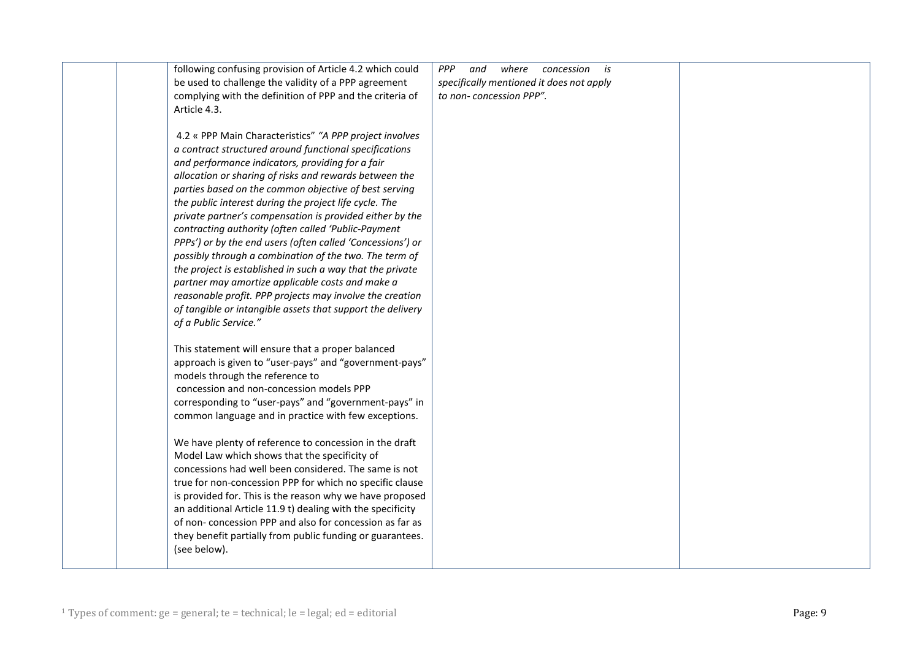| following confusing provision of Article 4.2 which could   | <b>PPP</b><br>where<br>and<br>concession is |  |
|------------------------------------------------------------|---------------------------------------------|--|
| be used to challenge the validity of a PPP agreement       | specifically mentioned it does not apply    |  |
| complying with the definition of PPP and the criteria of   | to non-concession PPP".                     |  |
| Article 4.3.                                               |                                             |  |
|                                                            |                                             |  |
| 4.2 « PPP Main Characteristics" "A PPP project involves    |                                             |  |
| a contract structured around functional specifications     |                                             |  |
| and performance indicators, providing for a fair           |                                             |  |
| allocation or sharing of risks and rewards between the     |                                             |  |
| parties based on the common objective of best serving      |                                             |  |
| the public interest during the project life cycle. The     |                                             |  |
| private partner's compensation is provided either by the   |                                             |  |
| contracting authority (often called 'Public-Payment        |                                             |  |
| PPPs') or by the end users (often called 'Concessions') or |                                             |  |
| possibly through a combination of the two. The term of     |                                             |  |
| the project is established in such a way that the private  |                                             |  |
| partner may amortize applicable costs and make a           |                                             |  |
| reasonable profit. PPP projects may involve the creation   |                                             |  |
| of tangible or intangible assets that support the delivery |                                             |  |
| of a Public Service."                                      |                                             |  |
|                                                            |                                             |  |
| This statement will ensure that a proper balanced          |                                             |  |
| approach is given to "user-pays" and "government-pays"     |                                             |  |
| models through the reference to                            |                                             |  |
| concession and non-concession models PPP                   |                                             |  |
| corresponding to "user-pays" and "government-pays" in      |                                             |  |
| common language and in practice with few exceptions.       |                                             |  |
|                                                            |                                             |  |
| We have plenty of reference to concession in the draft     |                                             |  |
| Model Law which shows that the specificity of              |                                             |  |
| concessions had well been considered. The same is not      |                                             |  |
| true for non-concession PPP for which no specific clause   |                                             |  |
| is provided for. This is the reason why we have proposed   |                                             |  |
| an additional Article 11.9 t) dealing with the specificity |                                             |  |
| of non-concession PPP and also for concession as far as    |                                             |  |
| they benefit partially from public funding or guarantees.  |                                             |  |
| (see below).                                               |                                             |  |
|                                                            |                                             |  |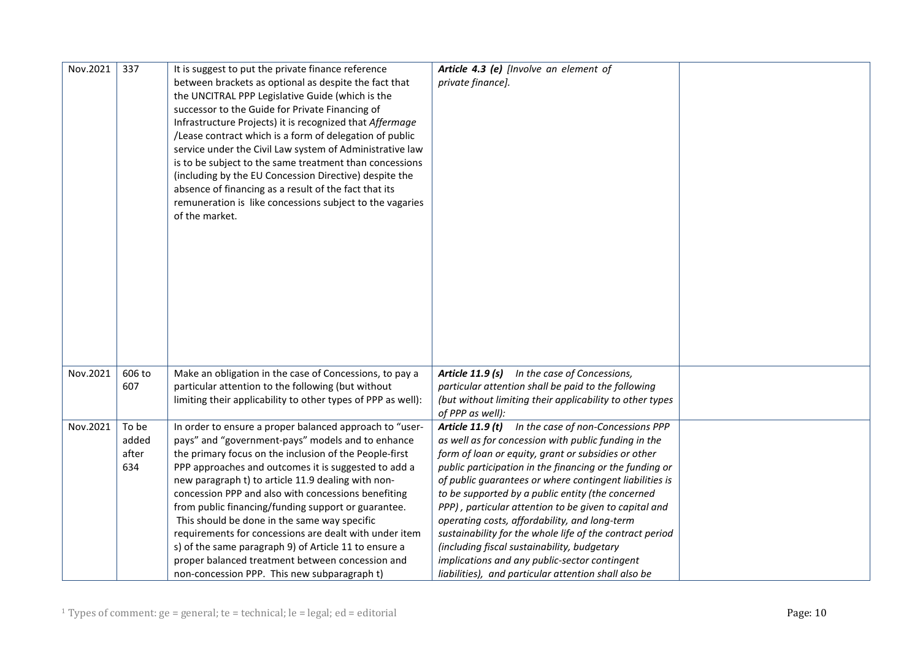| Nov.2021 | 337    | It is suggest to put the private finance reference           | Article 4.3 (e) [Involve an element of                   |  |
|----------|--------|--------------------------------------------------------------|----------------------------------------------------------|--|
|          |        | between brackets as optional as despite the fact that        | private finance].                                        |  |
|          |        | the UNCITRAL PPP Legislative Guide (which is the             |                                                          |  |
|          |        | successor to the Guide for Private Financing of              |                                                          |  |
|          |        | Infrastructure Projects) it is recognized that Affermage     |                                                          |  |
|          |        | /Lease contract which is a form of delegation of public      |                                                          |  |
|          |        | service under the Civil Law system of Administrative law     |                                                          |  |
|          |        | is to be subject to the same treatment than concessions      |                                                          |  |
|          |        | (including by the EU Concession Directive) despite the       |                                                          |  |
|          |        | absence of financing as a result of the fact that its        |                                                          |  |
|          |        | remuneration is like concessions subject to the vagaries     |                                                          |  |
|          |        | of the market.                                               |                                                          |  |
|          |        |                                                              |                                                          |  |
|          |        |                                                              |                                                          |  |
|          |        |                                                              |                                                          |  |
|          |        |                                                              |                                                          |  |
|          |        |                                                              |                                                          |  |
|          |        |                                                              |                                                          |  |
|          |        |                                                              |                                                          |  |
|          |        |                                                              |                                                          |  |
|          |        |                                                              |                                                          |  |
|          |        |                                                              |                                                          |  |
|          |        |                                                              |                                                          |  |
| Nov.2021 | 606 to | Make an obligation in the case of Concessions, to pay a      | Article 11.9 (s) In the case of Concessions,             |  |
|          | 607    | particular attention to the following (but without           | particular attention shall be paid to the following      |  |
|          |        | limiting their applicability to other types of PPP as well): | (but without limiting their applicability to other types |  |
|          |        |                                                              | of PPP as well):                                         |  |
| Nov.2021 | To be  | In order to ensure a proper balanced approach to "user-      | Article 11.9 (t) In the case of non-Concessions PPP      |  |
|          | added  | pays" and "government-pays" models and to enhance            | as well as for concession with public funding in the     |  |
|          | after  | the primary focus on the inclusion of the People-first       | form of loan or equity, grant or subsidies or other      |  |
|          | 634    | PPP approaches and outcomes it is suggested to add a         | public participation in the financing or the funding or  |  |
|          |        | new paragraph t) to article 11.9 dealing with non-           | of public guarantees or where contingent liabilities is  |  |
|          |        | concession PPP and also with concessions benefiting          | to be supported by a public entity (the concerned        |  |
|          |        | from public financing/funding support or guarantee.          | PPP), particular attention to be given to capital and    |  |
|          |        | This should be done in the same way specific                 | operating costs, affordability, and long-term            |  |
|          |        | requirements for concessions are dealt with under item       | sustainability for the whole life of the contract period |  |
|          |        | s) of the same paragraph 9) of Article 11 to ensure a        | (including fiscal sustainability, budgetary              |  |
|          |        | proper balanced treatment between concession and             | implications and any public-sector contingent            |  |
|          |        | non-concession PPP. This new subparagraph t)                 | liabilities), and particular attention shall also be     |  |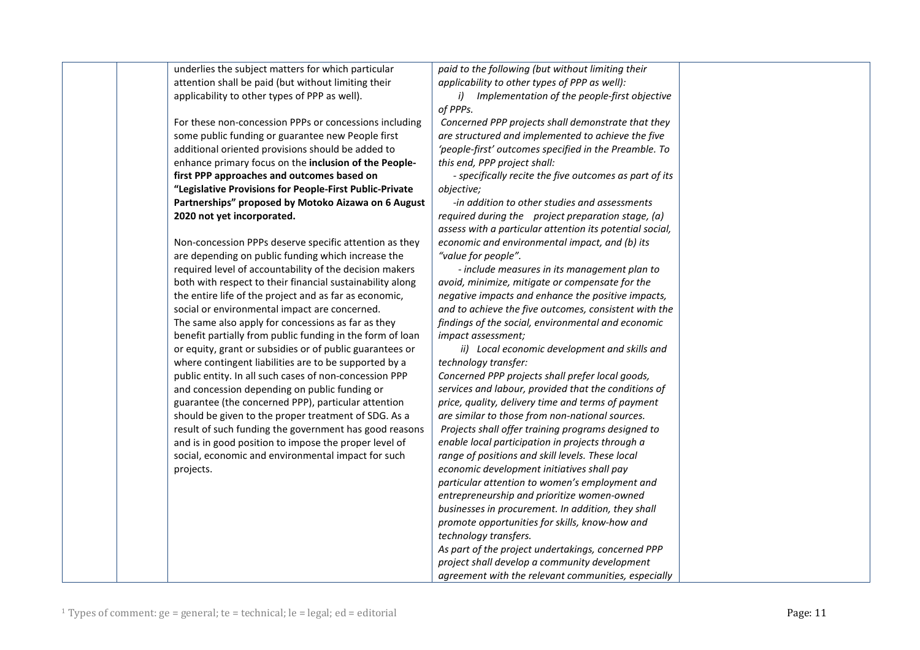|           | underlies the subject matters for which particular        | paid to the following (but without limiting their        |  |
|-----------|-----------------------------------------------------------|----------------------------------------------------------|--|
|           | attention shall be paid (but without limiting their       | applicability to other types of PPP as well):            |  |
|           | applicability to other types of PPP as well).             | i) Implementation of the people-first objective          |  |
|           |                                                           | of PPPs.                                                 |  |
|           | For these non-concession PPPs or concessions including    | Concerned PPP projects shall demonstrate that they       |  |
|           | some public funding or guarantee new People first         | are structured and implemented to achieve the five       |  |
|           | additional oriented provisions should be added to         | 'people-first' outcomes specified in the Preamble. To    |  |
|           | enhance primary focus on the inclusion of the People-     | this end, PPP project shall:                             |  |
|           | first PPP approaches and outcomes based on                | - specifically recite the five outcomes as part of its   |  |
|           | "Legislative Provisions for People-First Public-Private   | objective;                                               |  |
|           | Partnerships" proposed by Motoko Aizawa on 6 August       | -in addition to other studies and assessments            |  |
|           | 2020 not yet incorporated.                                | required during the project preparation stage, (a)       |  |
|           |                                                           | assess with a particular attention its potential social, |  |
|           | Non-concession PPPs deserve specific attention as they    | economic and environmental impact, and (b) its           |  |
|           | are depending on public funding which increase the        | "value for people".                                      |  |
|           | required level of accountability of the decision makers   | - include measures in its management plan to             |  |
|           | both with respect to their financial sustainability along | avoid, minimize, mitigate or compensate for the          |  |
|           | the entire life of the project and as far as economic,    | negative impacts and enhance the positive impacts,       |  |
|           | social or environmental impact are concerned.             | and to achieve the five outcomes, consistent with the    |  |
|           | The same also apply for concessions as far as they        | findings of the social, environmental and economic       |  |
|           | benefit partially from public funding in the form of loan | impact assessment;                                       |  |
|           | or equity, grant or subsidies or of public guarantees or  | ii) Local economic development and skills and            |  |
|           | where contingent liabilities are to be supported by a     | technology transfer:                                     |  |
|           | public entity. In all such cases of non-concession PPP    | Concerned PPP projects shall prefer local goods,         |  |
|           | and concession depending on public funding or             | services and labour, provided that the conditions of     |  |
|           | guarantee (the concerned PPP), particular attention       | price, quality, delivery time and terms of payment       |  |
|           | should be given to the proper treatment of SDG. As a      | are similar to those from non-national sources.          |  |
|           | result of such funding the government has good reasons    | Projects shall offer training programs designed to       |  |
|           | and is in good position to impose the proper level of     | enable local participation in projects through a         |  |
|           | social, economic and environmental impact for such        | range of positions and skill levels. These local         |  |
| projects. |                                                           | economic development initiatives shall pay               |  |
|           |                                                           | particular attention to women's employment and           |  |
|           |                                                           | entrepreneurship and prioritize women-owned              |  |
|           |                                                           | businesses in procurement. In addition, they shall       |  |
|           |                                                           | promote opportunities for skills, know-how and           |  |
|           |                                                           | technology transfers.                                    |  |
|           |                                                           |                                                          |  |
|           |                                                           | As part of the project undertakings, concerned PPP       |  |
|           |                                                           | project shall develop a community development            |  |
|           |                                                           | agreement with the relevant communities, especially      |  |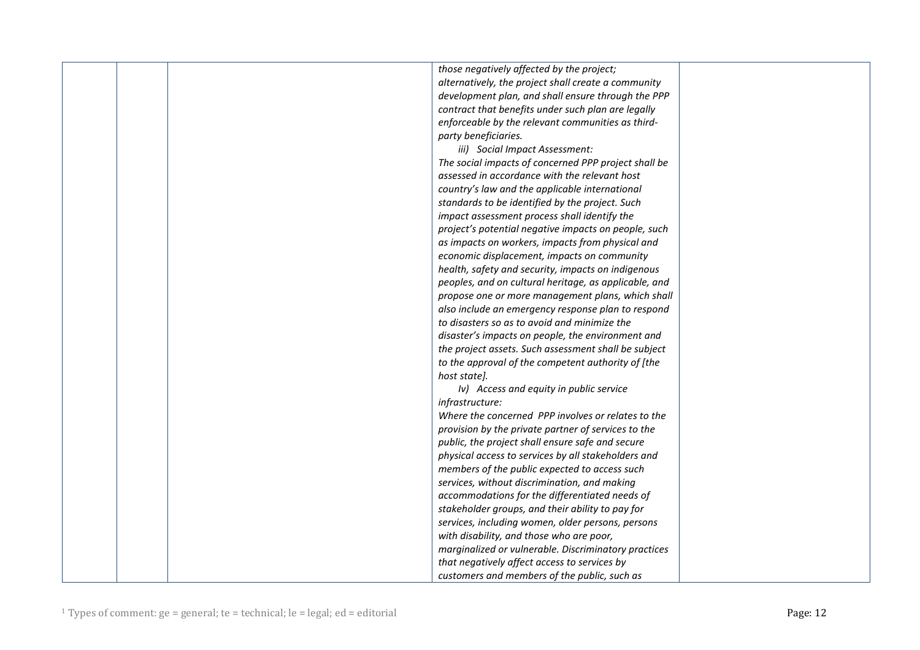|  | those negatively affected by the project;             |  |
|--|-------------------------------------------------------|--|
|  | alternatively, the project shall create a community   |  |
|  | development plan, and shall ensure through the PPP    |  |
|  | contract that benefits under such plan are legally    |  |
|  | enforceable by the relevant communities as third-     |  |
|  | party beneficiaries.                                  |  |
|  | iii) Social Impact Assessment:                        |  |
|  | The social impacts of concerned PPP project shall be  |  |
|  | assessed in accordance with the relevant host         |  |
|  | country's law and the applicable international        |  |
|  | standards to be identified by the project. Such       |  |
|  | impact assessment process shall identify the          |  |
|  | project's potential negative impacts on people, such  |  |
|  | as impacts on workers, impacts from physical and      |  |
|  | economic displacement, impacts on community           |  |
|  | health, safety and security, impacts on indigenous    |  |
|  | peoples, and on cultural heritage, as applicable, and |  |
|  | propose one or more management plans, which shall     |  |
|  | also include an emergency response plan to respond    |  |
|  | to disasters so as to avoid and minimize the          |  |
|  | disaster's impacts on people, the environment and     |  |
|  | the project assets. Such assessment shall be subject  |  |
|  | to the approval of the competent authority of [the    |  |
|  | host state].                                          |  |
|  | Iv) Access and equity in public service               |  |
|  | infrastructure:                                       |  |
|  | Where the concerned PPP involves or relates to the    |  |
|  | provision by the private partner of services to the   |  |
|  | public, the project shall ensure safe and secure      |  |
|  | physical access to services by all stakeholders and   |  |
|  | members of the public expected to access such         |  |
|  | services, without discrimination, and making          |  |
|  | accommodations for the differentiated needs of        |  |
|  | stakeholder groups, and their ability to pay for      |  |
|  | services, including women, older persons, persons     |  |
|  | with disability, and those who are poor,              |  |
|  | marginalized or vulnerable. Discriminatory practices  |  |
|  | that negatively affect access to services by          |  |
|  | customers and members of the public, such as          |  |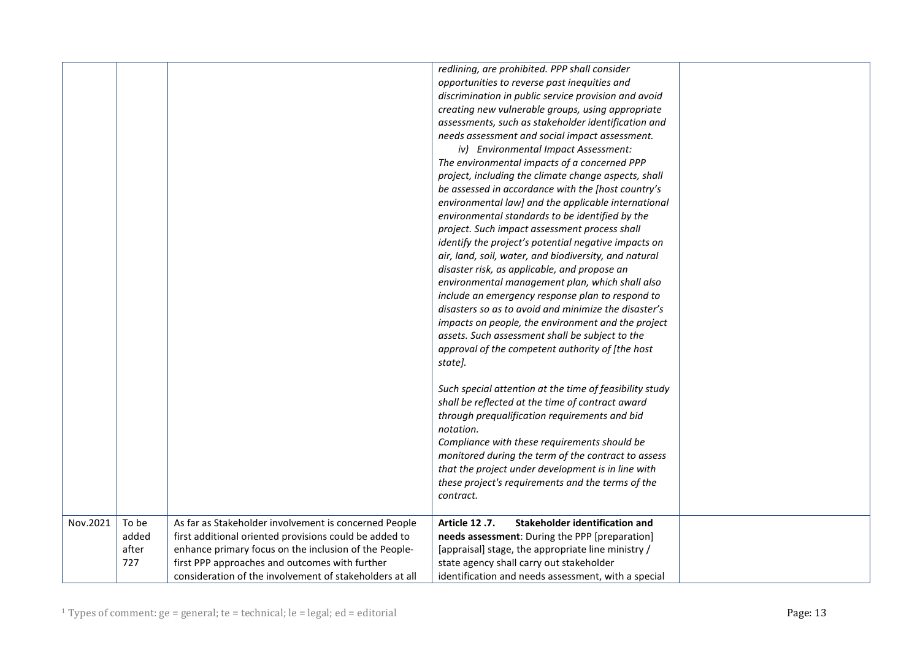|          |                                |                                                                                                                                                                                                                                                                                       | redlining, are prohibited. PPP shall consider<br>opportunities to reverse past inequities and<br>discrimination in public service provision and avoid<br>creating new vulnerable groups, using appropriate<br>assessments, such as stakeholder identification and<br>needs assessment and social impact assessment.<br>iv) Environmental Impact Assessment:<br>The environmental impacts of a concerned PPP<br>project, including the climate change aspects, shall<br>be assessed in accordance with the [host country's<br>environmental law] and the applicable international<br>environmental standards to be identified by the<br>project. Such impact assessment process shall<br>identify the project's potential negative impacts on<br>air, land, soil, water, and biodiversity, and natural<br>disaster risk, as applicable, and propose an<br>environmental management plan, which shall also<br>include an emergency response plan to respond to<br>disasters so as to avoid and minimize the disaster's<br>impacts on people, the environment and the project<br>assets. Such assessment shall be subject to the<br>approval of the competent authority of [the host<br>state].<br>Such special attention at the time of feasibility study<br>shall be reflected at the time of contract award<br>through prequalification requirements and bid<br>notation.<br>Compliance with these requirements should be<br>monitored during the term of the contract to assess<br>that the project under development is in line with<br>these project's requirements and the terms of the |  |
|----------|--------------------------------|---------------------------------------------------------------------------------------------------------------------------------------------------------------------------------------------------------------------------------------------------------------------------------------|---------------------------------------------------------------------------------------------------------------------------------------------------------------------------------------------------------------------------------------------------------------------------------------------------------------------------------------------------------------------------------------------------------------------------------------------------------------------------------------------------------------------------------------------------------------------------------------------------------------------------------------------------------------------------------------------------------------------------------------------------------------------------------------------------------------------------------------------------------------------------------------------------------------------------------------------------------------------------------------------------------------------------------------------------------------------------------------------------------------------------------------------------------------------------------------------------------------------------------------------------------------------------------------------------------------------------------------------------------------------------------------------------------------------------------------------------------------------------------------------------------------------------------------------------------------------------------------------|--|
|          |                                |                                                                                                                                                                                                                                                                                       | contract.                                                                                                                                                                                                                                                                                                                                                                                                                                                                                                                                                                                                                                                                                                                                                                                                                                                                                                                                                                                                                                                                                                                                                                                                                                                                                                                                                                                                                                                                                                                                                                                   |  |
| Nov.2021 | To be<br>added<br>after<br>727 | As far as Stakeholder involvement is concerned People<br>first additional oriented provisions could be added to<br>enhance primary focus on the inclusion of the People-<br>first PPP approaches and outcomes with further<br>consideration of the involvement of stakeholders at all | Article 12.7.<br><b>Stakeholder identification and</b><br>needs assessment: During the PPP [preparation]<br>[appraisal] stage, the appropriate line ministry /<br>state agency shall carry out stakeholder<br>identification and needs assessment, with a special                                                                                                                                                                                                                                                                                                                                                                                                                                                                                                                                                                                                                                                                                                                                                                                                                                                                                                                                                                                                                                                                                                                                                                                                                                                                                                                           |  |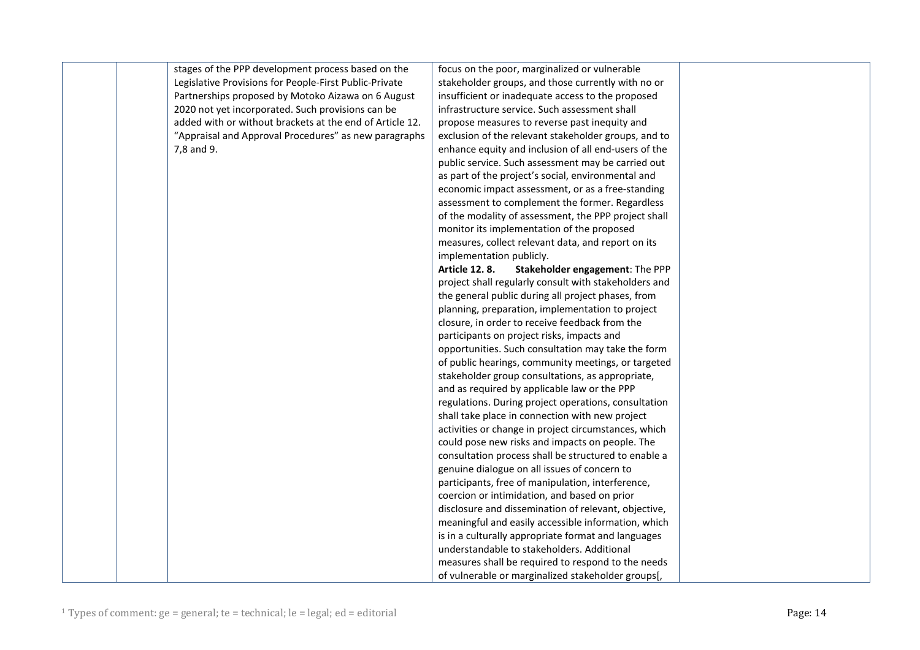| stages of the PPP development process based on the       | focus on the poor, marginalized or vulnerable           |  |
|----------------------------------------------------------|---------------------------------------------------------|--|
| Legislative Provisions for People-First Public-Private   | stakeholder groups, and those currently with no or      |  |
| Partnerships proposed by Motoko Aizawa on 6 August       | insufficient or inadequate access to the proposed       |  |
| 2020 not yet incorporated. Such provisions can be        | infrastructure service. Such assessment shall           |  |
| added with or without brackets at the end of Article 12. | propose measures to reverse past inequity and           |  |
| "Appraisal and Approval Procedures" as new paragraphs    | exclusion of the relevant stakeholder groups, and to    |  |
| 7,8 and 9.                                               | enhance equity and inclusion of all end-users of the    |  |
|                                                          | public service. Such assessment may be carried out      |  |
|                                                          | as part of the project's social, environmental and      |  |
|                                                          | economic impact assessment, or as a free-standing       |  |
|                                                          | assessment to complement the former. Regardless         |  |
|                                                          | of the modality of assessment, the PPP project shall    |  |
|                                                          | monitor its implementation of the proposed              |  |
|                                                          | measures, collect relevant data, and report on its      |  |
|                                                          | implementation publicly.                                |  |
|                                                          | <b>Article 12.8.</b><br>Stakeholder engagement: The PPP |  |
|                                                          | project shall regularly consult with stakeholders and   |  |
|                                                          | the general public during all project phases, from      |  |
|                                                          | planning, preparation, implementation to project        |  |
|                                                          | closure, in order to receive feedback from the          |  |
|                                                          | participants on project risks, impacts and              |  |
|                                                          | opportunities. Such consultation may take the form      |  |
|                                                          | of public hearings, community meetings, or targeted     |  |
|                                                          | stakeholder group consultations, as appropriate,        |  |
|                                                          | and as required by applicable law or the PPP            |  |
|                                                          | regulations. During project operations, consultation    |  |
|                                                          | shall take place in connection with new project         |  |
|                                                          | activities or change in project circumstances, which    |  |
|                                                          | could pose new risks and impacts on people. The         |  |
|                                                          | consultation process shall be structured to enable a    |  |
|                                                          | genuine dialogue on all issues of concern to            |  |
|                                                          | participants, free of manipulation, interference,       |  |
|                                                          | coercion or intimidation, and based on prior            |  |
|                                                          | disclosure and dissemination of relevant, objective,    |  |
|                                                          | meaningful and easily accessible information, which     |  |
|                                                          | is in a culturally appropriate format and languages     |  |
|                                                          | understandable to stakeholders. Additional              |  |
|                                                          | measures shall be required to respond to the needs      |  |
|                                                          | of vulnerable or marginalized stakeholder groups[,      |  |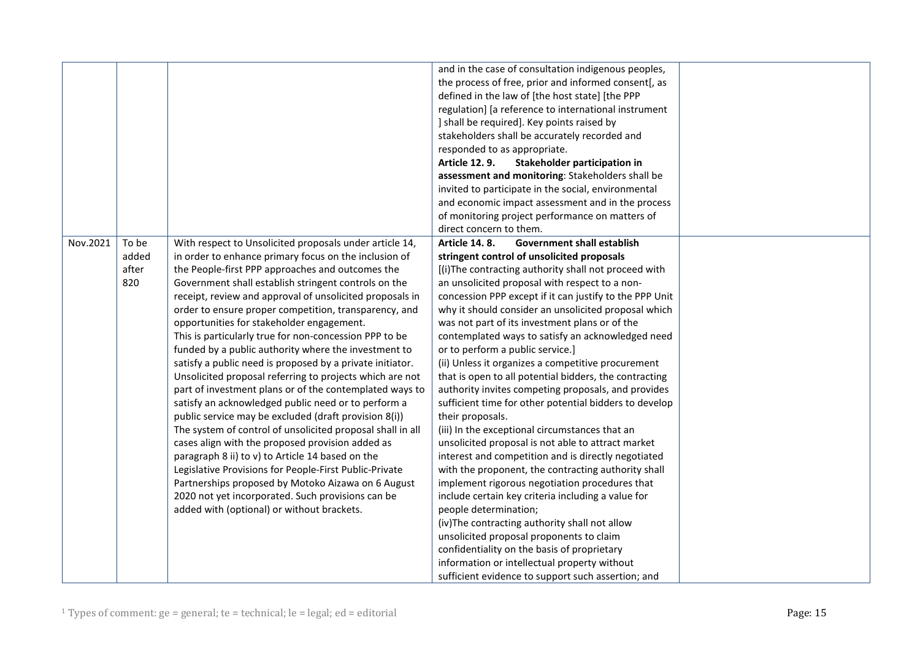|          |       |                                                            | and in the case of consultation indigenous peoples,       |  |
|----------|-------|------------------------------------------------------------|-----------------------------------------------------------|--|
|          |       |                                                            | the process of free, prior and informed consent[, as      |  |
|          |       |                                                            | defined in the law of [the host state] [the PPP           |  |
|          |       |                                                            |                                                           |  |
|          |       |                                                            | regulation] [a reference to international instrument      |  |
|          |       |                                                            | ] shall be required]. Key points raised by                |  |
|          |       |                                                            | stakeholders shall be accurately recorded and             |  |
|          |       |                                                            | responded to as appropriate.                              |  |
|          |       |                                                            | <b>Article 12.9.</b><br>Stakeholder participation in      |  |
|          |       |                                                            | assessment and monitoring: Stakeholders shall be          |  |
|          |       |                                                            | invited to participate in the social, environmental       |  |
|          |       |                                                            | and economic impact assessment and in the process         |  |
|          |       |                                                            | of monitoring project performance on matters of           |  |
|          |       |                                                            | direct concern to them.                                   |  |
| Nov.2021 | To be | With respect to Unsolicited proposals under article 14,    | <b>Government shall establish</b><br><b>Article 14.8.</b> |  |
|          | added | in order to enhance primary focus on the inclusion of      | stringent control of unsolicited proposals                |  |
|          | after | the People-first PPP approaches and outcomes the           | [(i)The contracting authority shall not proceed with      |  |
|          | 820   | Government shall establish stringent controls on the       | an unsolicited proposal with respect to a non-            |  |
|          |       | receipt, review and approval of unsolicited proposals in   | concession PPP except if it can justify to the PPP Unit   |  |
|          |       | order to ensure proper competition, transparency, and      | why it should consider an unsolicited proposal which      |  |
|          |       | opportunities for stakeholder engagement.                  | was not part of its investment plans or of the            |  |
|          |       | This is particularly true for non-concession PPP to be     | contemplated ways to satisfy an acknowledged need         |  |
|          |       | funded by a public authority where the investment to       | or to perform a public service.]                          |  |
|          |       | satisfy a public need is proposed by a private initiator.  | (ii) Unless it organizes a competitive procurement        |  |
|          |       | Unsolicited proposal referring to projects which are not   | that is open to all potential bidders, the contracting    |  |
|          |       | part of investment plans or of the contemplated ways to    | authority invites competing proposals, and provides       |  |
|          |       | satisfy an acknowledged public need or to perform a        | sufficient time for other potential bidders to develop    |  |
|          |       | public service may be excluded (draft provision 8(i))      | their proposals.                                          |  |
|          |       | The system of control of unsolicited proposal shall in all | (iii) In the exceptional circumstances that an            |  |
|          |       | cases align with the proposed provision added as           | unsolicited proposal is not able to attract market        |  |
|          |       | paragraph 8 ii) to v) to Article 14 based on the           | interest and competition and is directly negotiated       |  |
|          |       | Legislative Provisions for People-First Public-Private     | with the proponent, the contracting authority shall       |  |
|          |       | Partnerships proposed by Motoko Aizawa on 6 August         | implement rigorous negotiation procedures that            |  |
|          |       | 2020 not yet incorporated. Such provisions can be          | include certain key criteria including a value for        |  |
|          |       | added with (optional) or without brackets.                 | people determination;                                     |  |
|          |       |                                                            | (iv) The contracting authority shall not allow            |  |
|          |       |                                                            | unsolicited proposal proponents to claim                  |  |
|          |       |                                                            | confidentiality on the basis of proprietary               |  |
|          |       |                                                            | information or intellectual property without              |  |
|          |       |                                                            | sufficient evidence to support such assertion; and        |  |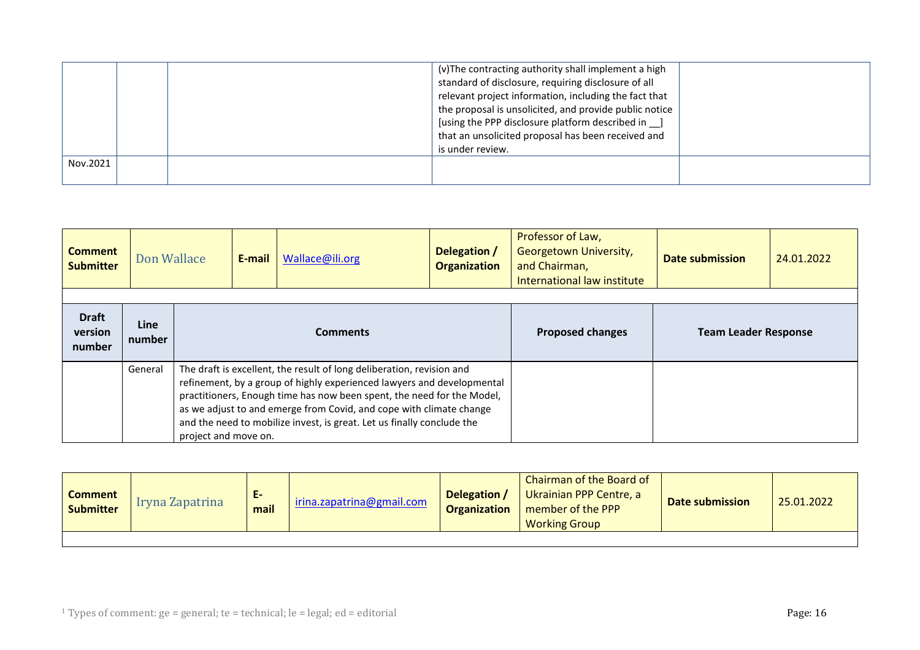|          | (v) The contracting authority shall implement a high<br>standard of disclosure, requiring disclosure of all<br>relevant project information, including the fact that<br>the proposal is unsolicited, and provide public notice<br>[using the PPP disclosure platform described in ]<br>that an unsolicited proposal has been received and<br>is under review. |  |
|----------|---------------------------------------------------------------------------------------------------------------------------------------------------------------------------------------------------------------------------------------------------------------------------------------------------------------------------------------------------------------|--|
| Nov.2021 |                                                                                                                                                                                                                                                                                                                                                               |  |

<span id="page-15-0"></span>

| <b>Comment</b><br><b>Submitter</b> | Don Wallace           |                                                                                                                                                                                                                                                                                                                                                                                                    | E-mail | Wallace@ili.org | Delegation /<br><b>Organization</b> | Professor of Law,<br>Georgetown University,<br>and Chairman,<br>International law institute | Date submission | 24.01.2022 |
|------------------------------------|-----------------------|----------------------------------------------------------------------------------------------------------------------------------------------------------------------------------------------------------------------------------------------------------------------------------------------------------------------------------------------------------------------------------------------------|--------|-----------------|-------------------------------------|---------------------------------------------------------------------------------------------|-----------------|------------|
| <b>Draft</b><br>version<br>number  | <b>Line</b><br>number | <b>Comments</b>                                                                                                                                                                                                                                                                                                                                                                                    |        |                 | <b>Proposed changes</b>             | <b>Team Leader Response</b>                                                                 |                 |            |
|                                    | General               | The draft is excellent, the result of long deliberation, revision and<br>refinement, by a group of highly experienced lawyers and developmental<br>practitioners, Enough time has now been spent, the need for the Model,<br>as we adjust to and emerge from Covid, and cope with climate change<br>and the need to mobilize invest, is great. Let us finally conclude the<br>project and move on. |        |                 |                                     |                                                                                             |                 |            |

<span id="page-15-1"></span>

| <b>Comment</b><br><b>Submitter</b> | Iryna Zapatrina | <b>L-</b><br>mail | irina.zapatrina@gmail.com | Delegation /<br><b>Organization</b> | Chairman of the Board of<br>Ukrainian PPP Centre, a<br>member of the PPP<br><b>Working Group</b> | <b>Date submission</b> | 25.01.2022 |
|------------------------------------|-----------------|-------------------|---------------------------|-------------------------------------|--------------------------------------------------------------------------------------------------|------------------------|------------|
|                                    |                 |                   |                           |                                     |                                                                                                  |                        |            |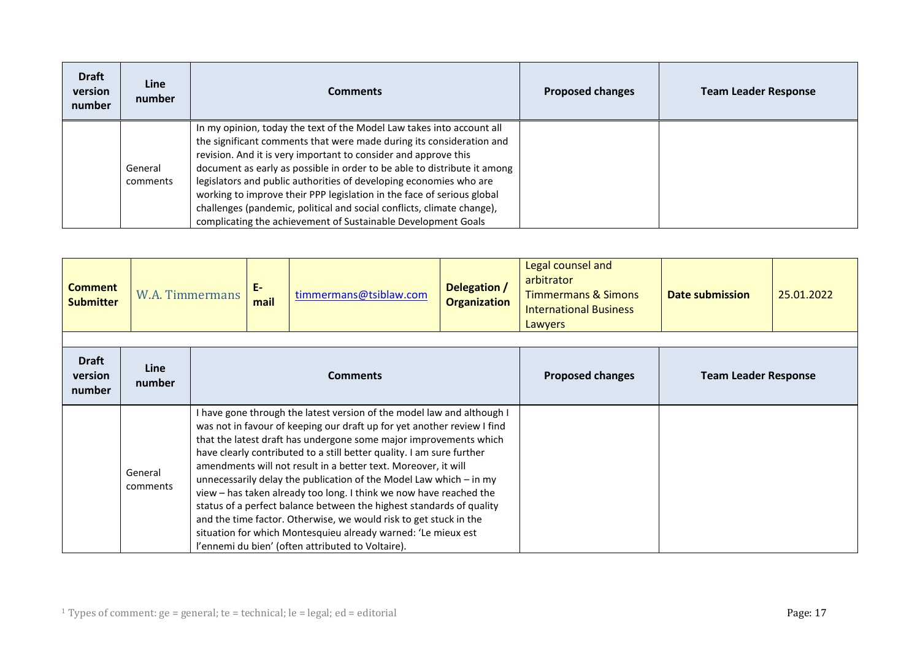| <b>Draft</b><br>version<br>number | Line<br>number      | <b>Comments</b>                                                                                                                                                                                                                                                                                                                                                                                                                                                                                                                                                                         | <b>Proposed changes</b> | <b>Team Leader Response</b> |
|-----------------------------------|---------------------|-----------------------------------------------------------------------------------------------------------------------------------------------------------------------------------------------------------------------------------------------------------------------------------------------------------------------------------------------------------------------------------------------------------------------------------------------------------------------------------------------------------------------------------------------------------------------------------------|-------------------------|-----------------------------|
|                                   | General<br>comments | In my opinion, today the text of the Model Law takes into account all<br>the significant comments that were made during its consideration and<br>revision. And it is very important to consider and approve this<br>document as early as possible in order to be able to distribute it among<br>legislators and public authorities of developing economies who are<br>working to improve their PPP legislation in the face of serious global<br>challenges (pandemic, political and social conflicts, climate change),<br>complicating the achievement of Sustainable Development Goals |                         |                             |

<span id="page-16-0"></span>

| <b>Comment</b><br><b>Submitter</b> | <b>W.A. Timmermans</b> |  | $E-$<br>mail                                                                                                                                                                                                                                                                                                                                                                                                                                                                                                                                                                                                                                                                                                                                                                       | timmermans@tsiblaw.com | Delegation /<br><b>Organization</b> | Legal counsel and<br>arbitrator<br><b>Timmermans &amp; Simons</b><br><b>International Business</b><br>Lawyers | Date submission | 25.01.2022 |
|------------------------------------|------------------------|--|------------------------------------------------------------------------------------------------------------------------------------------------------------------------------------------------------------------------------------------------------------------------------------------------------------------------------------------------------------------------------------------------------------------------------------------------------------------------------------------------------------------------------------------------------------------------------------------------------------------------------------------------------------------------------------------------------------------------------------------------------------------------------------|------------------------|-------------------------------------|---------------------------------------------------------------------------------------------------------------|-----------------|------------|
| <b>Draft</b><br>version<br>number  | Line<br>number         |  |                                                                                                                                                                                                                                                                                                                                                                                                                                                                                                                                                                                                                                                                                                                                                                                    | <b>Comments</b>        | <b>Proposed changes</b>             | <b>Team Leader Response</b>                                                                                   |                 |            |
|                                    | General<br>comments    |  | I have gone through the latest version of the model law and although I<br>was not in favour of keeping our draft up for yet another review I find<br>that the latest draft has undergone some major improvements which<br>have clearly contributed to a still better quality. I am sure further<br>amendments will not result in a better text. Moreover, it will<br>unnecessarily delay the publication of the Model Law which $-$ in my<br>view - has taken already too long. I think we now have reached the<br>status of a perfect balance between the highest standards of quality<br>and the time factor. Otherwise, we would risk to get stuck in the<br>situation for which Montesquieu already warned: 'Le mieux est<br>l'ennemi du bien' (often attributed to Voltaire). |                        |                                     |                                                                                                               |                 |            |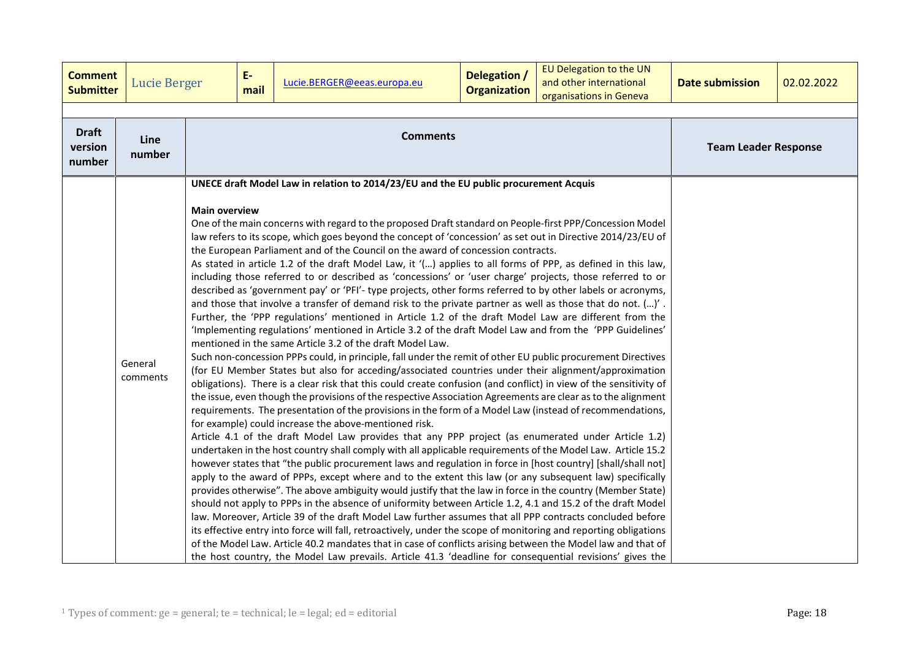<span id="page-17-0"></span>

| <b>Comment</b><br><b>Submitter</b> | <b>Lucie Berger</b> |                      | E-<br>mail | Lucie.BERGER@eeas.europa.eu                                                                                                                                                                                                                                                                                                                                                                                                                                                                                                                                                                                                                                                                                                                                                                                                                                                                                                                                                                                                                                                                                                                                                                                                                                                                                                                                                                                                                                                                                                                                                                                                                                                                                                                                                                                                                                                                                                                                                                                                                                                                                                                                                                                                                                                                                                                                                                                                                                                                                                                                                                                                                                                                                                                                                                                                                                                                                               | Delegation /<br><b>Organization</b> | EU Delegation to the UN<br>and other international<br>organisations in Geneva | <b>Date submission</b> | 02.02.2022 |
|------------------------------------|---------------------|----------------------|------------|---------------------------------------------------------------------------------------------------------------------------------------------------------------------------------------------------------------------------------------------------------------------------------------------------------------------------------------------------------------------------------------------------------------------------------------------------------------------------------------------------------------------------------------------------------------------------------------------------------------------------------------------------------------------------------------------------------------------------------------------------------------------------------------------------------------------------------------------------------------------------------------------------------------------------------------------------------------------------------------------------------------------------------------------------------------------------------------------------------------------------------------------------------------------------------------------------------------------------------------------------------------------------------------------------------------------------------------------------------------------------------------------------------------------------------------------------------------------------------------------------------------------------------------------------------------------------------------------------------------------------------------------------------------------------------------------------------------------------------------------------------------------------------------------------------------------------------------------------------------------------------------------------------------------------------------------------------------------------------------------------------------------------------------------------------------------------------------------------------------------------------------------------------------------------------------------------------------------------------------------------------------------------------------------------------------------------------------------------------------------------------------------------------------------------------------------------------------------------------------------------------------------------------------------------------------------------------------------------------------------------------------------------------------------------------------------------------------------------------------------------------------------------------------------------------------------------------------------------------------------------------------------------------------------------|-------------------------------------|-------------------------------------------------------------------------------|------------------------|------------|
| <b>Draft</b><br>version<br>number  | Line<br>number      |                      |            | <b>Comments</b>                                                                                                                                                                                                                                                                                                                                                                                                                                                                                                                                                                                                                                                                                                                                                                                                                                                                                                                                                                                                                                                                                                                                                                                                                                                                                                                                                                                                                                                                                                                                                                                                                                                                                                                                                                                                                                                                                                                                                                                                                                                                                                                                                                                                                                                                                                                                                                                                                                                                                                                                                                                                                                                                                                                                                                                                                                                                                                           | <b>Team Leader Response</b>         |                                                                               |                        |            |
|                                    | General<br>comments | <b>Main overview</b> |            | UNECE draft Model Law in relation to 2014/23/EU and the EU public procurement Acquis<br>One of the main concerns with regard to the proposed Draft standard on People-first PPP/Concession Model<br>law refers to its scope, which goes beyond the concept of 'concession' as set out in Directive 2014/23/EU of<br>the European Parliament and of the Council on the award of concession contracts.<br>As stated in article 1.2 of the draft Model Law, it '() applies to all forms of PPP, as defined in this law,<br>including those referred to or described as 'concessions' or 'user charge' projects, those referred to or<br>described as 'government pay' or 'PFI'- type projects, other forms referred to by other labels or acronyms,<br>and those that involve a transfer of demand risk to the private partner as well as those that do not. ()'.<br>Further, the 'PPP regulations' mentioned in Article 1.2 of the draft Model Law are different from the<br>'Implementing regulations' mentioned in Article 3.2 of the draft Model Law and from the 'PPP Guidelines'<br>mentioned in the same Article 3.2 of the draft Model Law.<br>Such non-concession PPPs could, in principle, fall under the remit of other EU public procurement Directives<br>(for EU Member States but also for acceding/associated countries under their alignment/approximation<br>obligations). There is a clear risk that this could create confusion (and conflict) in view of the sensitivity of<br>the issue, even though the provisions of the respective Association Agreements are clear as to the alignment<br>requirements. The presentation of the provisions in the form of a Model Law (instead of recommendations,<br>for example) could increase the above-mentioned risk.<br>Article 4.1 of the draft Model Law provides that any PPP project (as enumerated under Article 1.2)<br>undertaken in the host country shall comply with all applicable requirements of the Model Law. Article 15.2<br>however states that "the public procurement laws and regulation in force in [host country] [shall/shall not]<br>apply to the award of PPPs, except where and to the extent this law (or any subsequent law) specifically<br>provides otherwise". The above ambiguity would justify that the law in force in the country (Member State)<br>should not apply to PPPs in the absence of uniformity between Article 1.2, 4.1 and 15.2 of the draft Model<br>law. Moreover, Article 39 of the draft Model Law further assumes that all PPP contracts concluded before<br>its effective entry into force will fall, retroactively, under the scope of monitoring and reporting obligations<br>of the Model Law. Article 40.2 mandates that in case of conflicts arising between the Model law and that of<br>the host country, the Model Law prevails. Article 41.3 'deadline for consequential revisions' gives the |                                     |                                                                               |                        |            |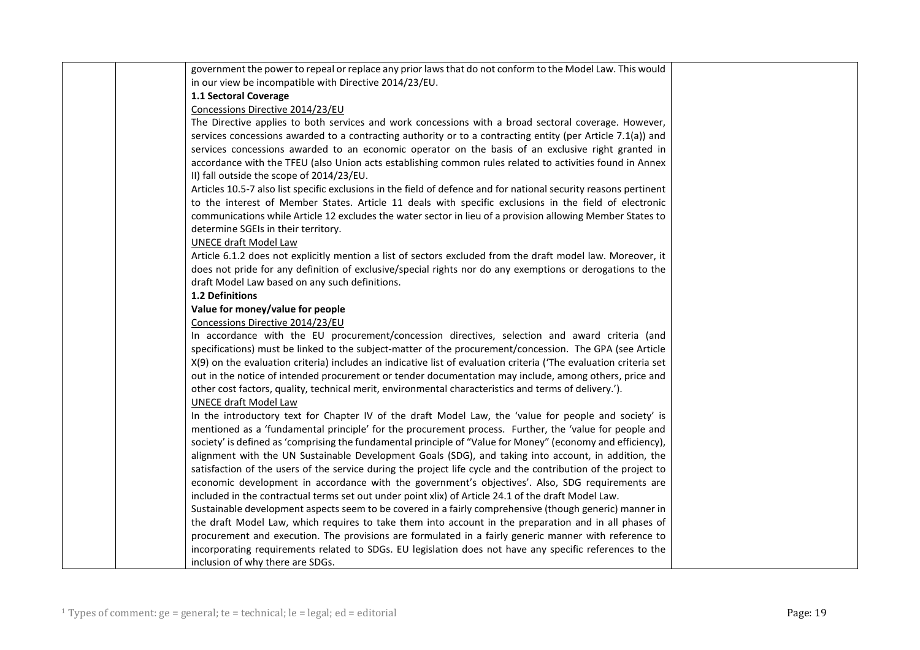| government the power to repeal or replace any prior laws that do not conform to the Model Law. This would         |  |
|-------------------------------------------------------------------------------------------------------------------|--|
| in our view be incompatible with Directive 2014/23/EU.                                                            |  |
| 1.1 Sectoral Coverage                                                                                             |  |
| Concessions Directive 2014/23/EU                                                                                  |  |
| The Directive applies to both services and work concessions with a broad sectoral coverage. However,              |  |
| services concessions awarded to a contracting authority or to a contracting entity (per Article 7.1(a)) and       |  |
| services concessions awarded to an economic operator on the basis of an exclusive right granted in                |  |
| accordance with the TFEU (also Union acts establishing common rules related to activities found in Annex          |  |
| II) fall outside the scope of 2014/23/EU.                                                                         |  |
| Articles 10.5-7 also list specific exclusions in the field of defence and for national security reasons pertinent |  |
| to the interest of Member States. Article 11 deals with specific exclusions in the field of electronic            |  |
| communications while Article 12 excludes the water sector in lieu of a provision allowing Member States to        |  |
| determine SGEIs in their territory.                                                                               |  |
| <b>UNECE draft Model Law</b>                                                                                      |  |
| Article 6.1.2 does not explicitly mention a list of sectors excluded from the draft model law. Moreover, it       |  |
| does not pride for any definition of exclusive/special rights nor do any exemptions or derogations to the         |  |
|                                                                                                                   |  |
| draft Model Law based on any such definitions.                                                                    |  |
| 1.2 Definitions                                                                                                   |  |
| Value for money/value for people                                                                                  |  |
| Concessions Directive 2014/23/EU                                                                                  |  |
| In accordance with the EU procurement/concession directives, selection and award criteria (and                    |  |
| specifications) must be linked to the subject-matter of the procurement/concession. The GPA (see Article          |  |
| X(9) on the evaluation criteria) includes an indicative list of evaluation criteria ('The evaluation criteria set |  |
| out in the notice of intended procurement or tender documentation may include, among others, price and            |  |
| other cost factors, quality, technical merit, environmental characteristics and terms of delivery.').             |  |
| <b>UNECE draft Model Law</b>                                                                                      |  |
| In the introductory text for Chapter IV of the draft Model Law, the 'value for people and society' is             |  |
| mentioned as a 'fundamental principle' for the procurement process. Further, the 'value for people and            |  |
| society' is defined as 'comprising the fundamental principle of "Value for Money" (economy and efficiency),       |  |
| alignment with the UN Sustainable Development Goals (SDG), and taking into account, in addition, the              |  |
| satisfaction of the users of the service during the project life cycle and the contribution of the project to     |  |
| economic development in accordance with the government's objectives'. Also, SDG requirements are                  |  |
| included in the contractual terms set out under point xlix) of Article 24.1 of the draft Model Law.               |  |
| Sustainable development aspects seem to be covered in a fairly comprehensive (though generic) manner in           |  |
| the draft Model Law, which requires to take them into account in the preparation and in all phases of             |  |
| procurement and execution. The provisions are formulated in a fairly generic manner with reference to             |  |
| incorporating requirements related to SDGs. EU legislation does not have any specific references to the           |  |
| inclusion of why there are SDGs.                                                                                  |  |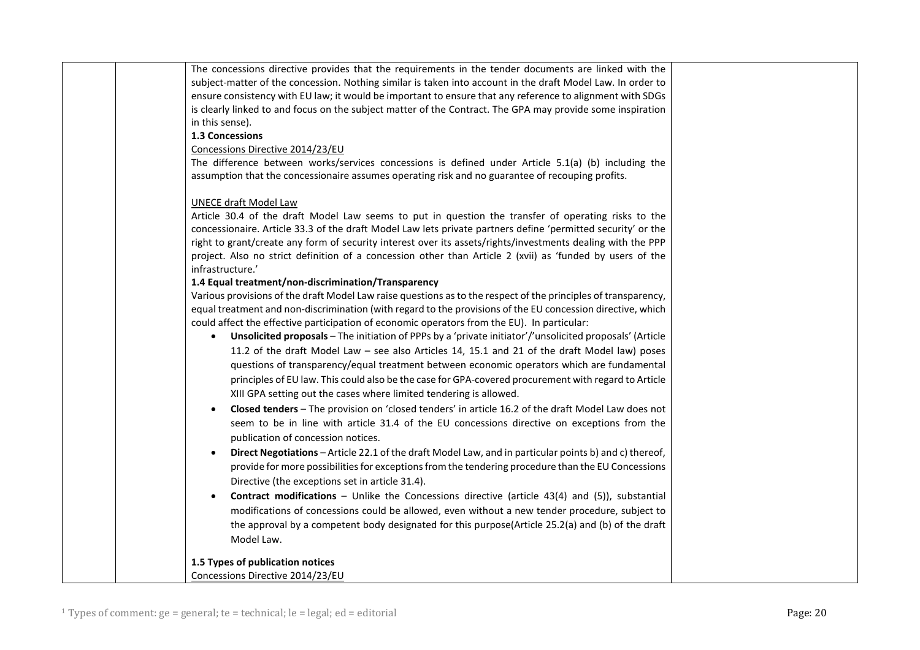| The concessions directive provides that the requirements in the tender documents are linked with the                              |  |
|-----------------------------------------------------------------------------------------------------------------------------------|--|
| subject-matter of the concession. Nothing similar is taken into account in the draft Model Law. In order to                       |  |
| ensure consistency with EU law; it would be important to ensure that any reference to alignment with SDGs                         |  |
| is clearly linked to and focus on the subject matter of the Contract. The GPA may provide some inspiration                        |  |
| in this sense).                                                                                                                   |  |
| 1.3 Concessions                                                                                                                   |  |
| Concessions Directive 2014/23/EU                                                                                                  |  |
| The difference between works/services concessions is defined under Article 5.1(a) (b) including the                               |  |
| assumption that the concessionaire assumes operating risk and no guarantee of recouping profits.                                  |  |
| <b>UNECE draft Model Law</b>                                                                                                      |  |
| Article 30.4 of the draft Model Law seems to put in question the transfer of operating risks to the                               |  |
| concessionaire. Article 33.3 of the draft Model Law lets private partners define 'permitted security' or the                      |  |
| right to grant/create any form of security interest over its assets/rights/investments dealing with the PPP                       |  |
| project. Also no strict definition of a concession other than Article 2 (xvii) as 'funded by users of the<br>infrastructure.'     |  |
| 1.4 Equal treatment/non-discrimination/Transparency                                                                               |  |
| Various provisions of the draft Model Law raise questions as to the respect of the principles of transparency,                    |  |
| equal treatment and non-discrimination (with regard to the provisions of the EU concession directive, which                       |  |
| could affect the effective participation of economic operators from the EU). In particular:                                       |  |
| Unsolicited proposals - The initiation of PPPs by a 'private initiator'/'unsolicited proposals' (Article<br>$\bullet$             |  |
| 11.2 of the draft Model Law - see also Articles 14, 15.1 and 21 of the draft Model law) poses                                     |  |
| questions of transparency/equal treatment between economic operators which are fundamental                                        |  |
| principles of EU law. This could also be the case for GPA-covered procurement with regard to Article                              |  |
| XIII GPA setting out the cases where limited tendering is allowed.                                                                |  |
| Closed tenders - The provision on 'closed tenders' in article 16.2 of the draft Model Law does not                                |  |
| $\bullet$                                                                                                                         |  |
| seem to be in line with article 31.4 of the EU concessions directive on exceptions from the<br>publication of concession notices. |  |
| Direct Negotiations - Article 22.1 of the draft Model Law, and in particular points b) and c) thereof,                            |  |
| provide for more possibilities for exceptions from the tendering procedure than the EU Concessions                                |  |
| Directive (the exceptions set in article 31.4).                                                                                   |  |
| <b>Contract modifications</b> - Unlike the Concessions directive (article 43(4) and (5)), substantial                             |  |
| modifications of concessions could be allowed, even without a new tender procedure, subject to                                    |  |
|                                                                                                                                   |  |
| the approval by a competent body designated for this purpose(Article 25.2(a) and (b) of the draft<br>Model Law.                   |  |
| 1.5 Types of publication notices                                                                                                  |  |
| Concessions Directive 2014/23/EU                                                                                                  |  |
|                                                                                                                                   |  |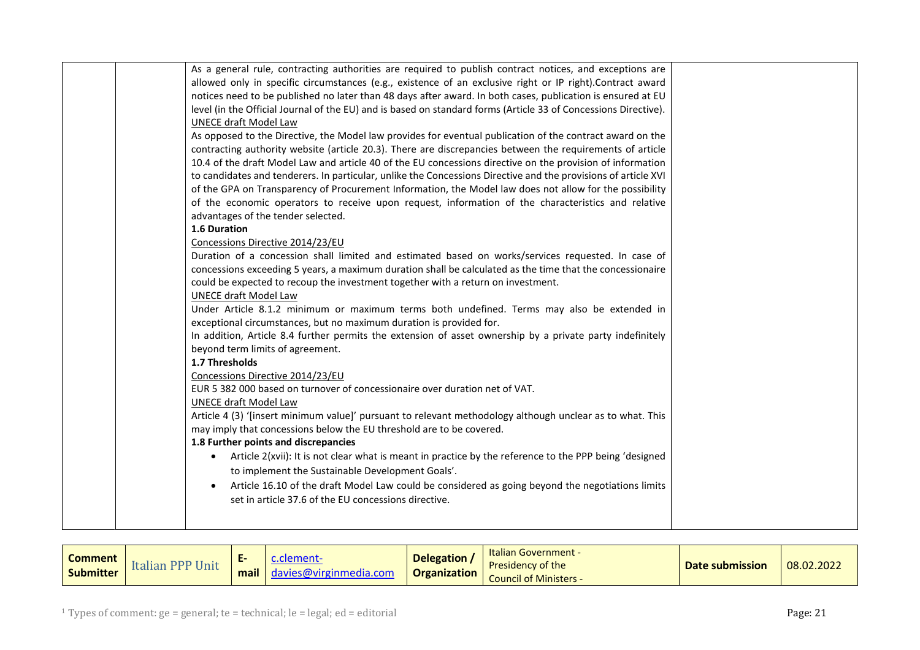| As a general rule, contracting authorities are required to publish contract notices, and exceptions are             |  |
|---------------------------------------------------------------------------------------------------------------------|--|
| allowed only in specific circumstances (e.g., existence of an exclusive right or IP right).Contract award           |  |
| notices need to be published no later than 48 days after award. In both cases, publication is ensured at EU         |  |
| level (in the Official Journal of the EU) and is based on standard forms (Article 33 of Concessions Directive).     |  |
| UNECE draft Model Law                                                                                               |  |
| As opposed to the Directive, the Model law provides for eventual publication of the contract award on the           |  |
| contracting authority website (article 20.3). There are discrepancies between the requirements of article           |  |
| 10.4 of the draft Model Law and article 40 of the EU concessions directive on the provision of information          |  |
| to candidates and tenderers. In particular, unlike the Concessions Directive and the provisions of article XVI      |  |
| of the GPA on Transparency of Procurement Information, the Model law does not allow for the possibility             |  |
| of the economic operators to receive upon request, information of the characteristics and relative                  |  |
| advantages of the tender selected.                                                                                  |  |
| 1.6 Duration                                                                                                        |  |
| Concessions Directive 2014/23/EU                                                                                    |  |
| Duration of a concession shall limited and estimated based on works/services requested. In case of                  |  |
| concessions exceeding 5 years, a maximum duration shall be calculated as the time that the concessionaire           |  |
| could be expected to recoup the investment together with a return on investment.                                    |  |
| <b>UNECE draft Model Law</b>                                                                                        |  |
| Under Article 8.1.2 minimum or maximum terms both undefined. Terms may also be extended in                          |  |
| exceptional circumstances, but no maximum duration is provided for.                                                 |  |
| In addition, Article 8.4 further permits the extension of asset ownership by a private party indefinitely           |  |
| beyond term limits of agreement.                                                                                    |  |
| 1.7 Thresholds                                                                                                      |  |
| Concessions Directive 2014/23/EU                                                                                    |  |
| EUR 5 382 000 based on turnover of concessionaire over duration net of VAT.                                         |  |
| <b>UNECE draft Model Law</b>                                                                                        |  |
| Article 4 (3) '[insert minimum value]' pursuant to relevant methodology although unclear as to what. This           |  |
| may imply that concessions below the EU threshold are to be covered.                                                |  |
| 1.8 Further points and discrepancies                                                                                |  |
| Article 2(xvii): It is not clear what is meant in practice by the reference to the PPP being 'designed<br>$\bullet$ |  |
| to implement the Sustainable Development Goals'.                                                                    |  |
| Article 16.10 of the draft Model Law could be considered as going beyond the negotiations limits                    |  |
| set in article 37.6 of the EU concessions directive.                                                                |  |
|                                                                                                                     |  |
|                                                                                                                     |  |

<span id="page-20-0"></span>

| <b>Comment</b><br><b>Submitter</b> | <b>DDD II</b><br>Unit<br>$\cdots$<br>$\blacksquare$ italidli $\blacksquare$ | $\sim$<br>mail | ment-<br>$\alpha$ davies@virginmedia.com $\alpha$ | <b>Delegation</b><br><b>Organization</b> | <b>Italian Government -</b><br><b>Presidency of the</b><br><b>Council of Ministers -</b> | Date submission | 08.02.2022 |
|------------------------------------|-----------------------------------------------------------------------------|----------------|---------------------------------------------------|------------------------------------------|------------------------------------------------------------------------------------------|-----------------|------------|
|------------------------------------|-----------------------------------------------------------------------------|----------------|---------------------------------------------------|------------------------------------------|------------------------------------------------------------------------------------------|-----------------|------------|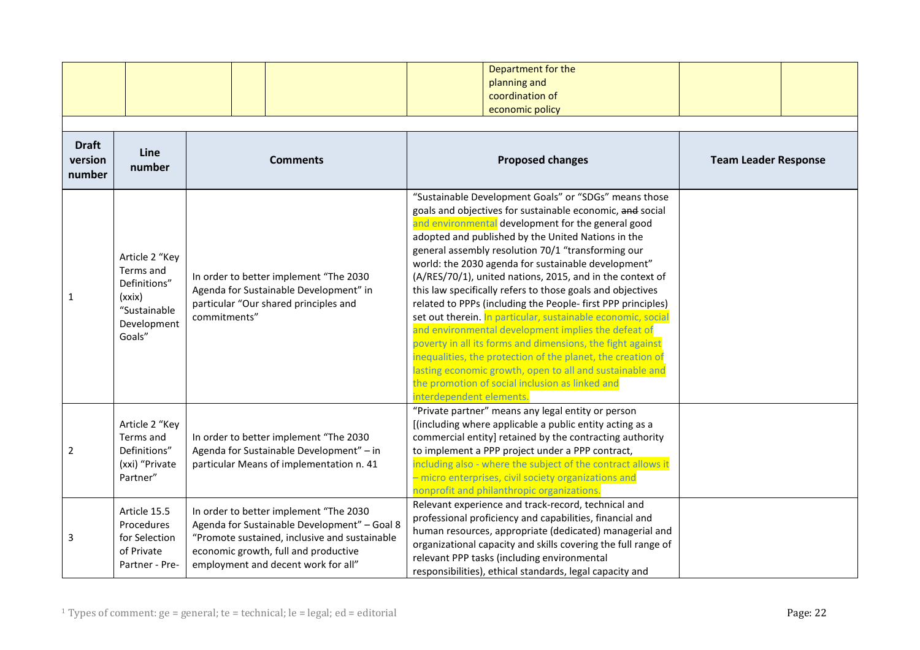|                                   |                                                                                                |                                                                                                                                                                                                                        | Department for the<br>planning and<br>coordination of<br>economic policy                                                                                                                                                                                                                                                                                                                                                                                                                                                                                                                                                                                                                                                                                                                                                                                                                                                              |                             |
|-----------------------------------|------------------------------------------------------------------------------------------------|------------------------------------------------------------------------------------------------------------------------------------------------------------------------------------------------------------------------|---------------------------------------------------------------------------------------------------------------------------------------------------------------------------------------------------------------------------------------------------------------------------------------------------------------------------------------------------------------------------------------------------------------------------------------------------------------------------------------------------------------------------------------------------------------------------------------------------------------------------------------------------------------------------------------------------------------------------------------------------------------------------------------------------------------------------------------------------------------------------------------------------------------------------------------|-----------------------------|
| <b>Draft</b><br>version<br>number | Line<br>number                                                                                 | <b>Comments</b>                                                                                                                                                                                                        | <b>Proposed changes</b>                                                                                                                                                                                                                                                                                                                                                                                                                                                                                                                                                                                                                                                                                                                                                                                                                                                                                                               | <b>Team Leader Response</b> |
| 1                                 | Article 2 "Key<br>Terms and<br>Definitions"<br>(xxix)<br>"Sustainable<br>Development<br>Goals" | In order to better implement "The 2030<br>Agenda for Sustainable Development" in<br>particular "Our shared principles and<br>commitments"                                                                              | "Sustainable Development Goals" or "SDGs" means those<br>goals and objectives for sustainable economic, and social<br>and environmental development for the general good<br>adopted and published by the United Nations in the<br>general assembly resolution 70/1 "transforming our<br>world: the 2030 agenda for sustainable development"<br>(A/RES/70/1), united nations, 2015, and in the context of<br>this law specifically refers to those goals and objectives<br>related to PPPs (including the People- first PPP principles)<br>set out therein. In particular, sustainable economic, social<br>and environmental development implies the defeat of<br>poverty in all its forms and dimensions, the fight against<br>inequalities, the protection of the planet, the creation of<br>lasting economic growth, open to all and sustainable and<br>the promotion of social inclusion as linked and<br>interdependent elements. |                             |
| 2                                 | Article 2 "Key<br>Terms and<br>Definitions"<br>(xxi) "Private<br>Partner"                      | In order to better implement "The 2030<br>Agenda for Sustainable Development" - in<br>particular Means of implementation n. 41                                                                                         | "Private partner" means any legal entity or person<br>[(including where applicable a public entity acting as a<br>commercial entity] retained by the contracting authority<br>to implement a PPP project under a PPP contract,<br>including also - where the subject of the contract allows it<br>- micro enterprises, civil society organizations and<br>nonprofit and philanthropic organizations.                                                                                                                                                                                                                                                                                                                                                                                                                                                                                                                                  |                             |
| 3                                 | Article 15.5<br>Procedures<br>for Selection<br>of Private<br>Partner - Pre-                    | In order to better implement "The 2030<br>Agenda for Sustainable Development" - Goal 8<br>"Promote sustained, inclusive and sustainable<br>economic growth, full and productive<br>employment and decent work for all" | Relevant experience and track-record, technical and<br>professional proficiency and capabilities, financial and<br>human resources, appropriate (dedicated) managerial and<br>organizational capacity and skills covering the full range of<br>relevant PPP tasks (including environmental<br>responsibilities), ethical standards, legal capacity and                                                                                                                                                                                                                                                                                                                                                                                                                                                                                                                                                                                |                             |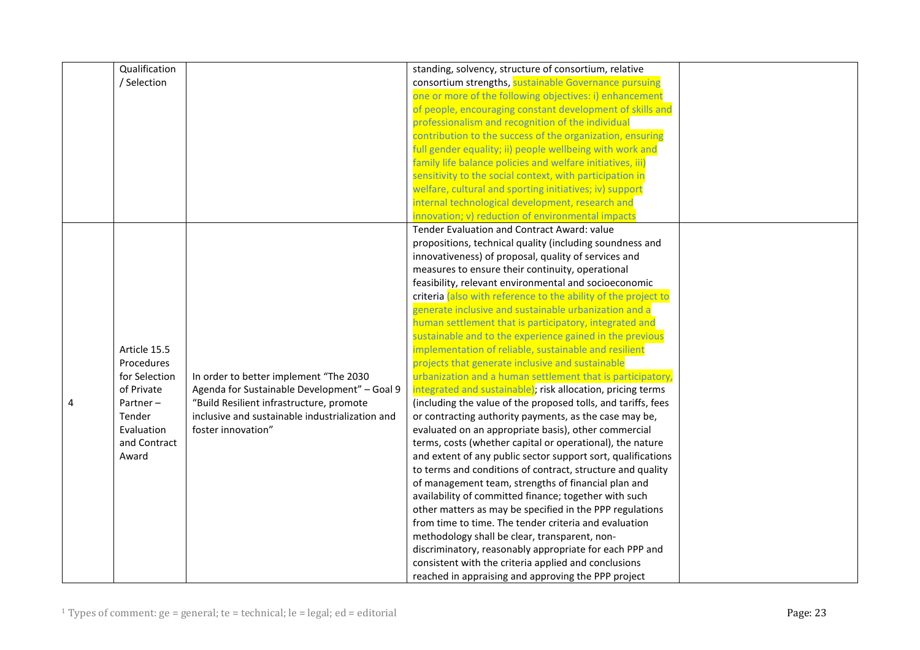|   | Qualification |                                                 | standing, solvency, structure of consortium, relative          |  |
|---|---------------|-------------------------------------------------|----------------------------------------------------------------|--|
|   | / Selection   |                                                 | consortium strengths, sustainable Governance pursuing          |  |
|   |               |                                                 | one or more of the following objectives: i) enhancement        |  |
|   |               |                                                 | of people, encouraging constant development of skills and      |  |
|   |               |                                                 | professionalism and recognition of the individual              |  |
|   |               |                                                 | contribution to the success of the organization, ensuring      |  |
|   |               |                                                 | full gender equality; ii) people wellbeing with work and       |  |
|   |               |                                                 | family life balance policies and welfare initiatives, iii)     |  |
|   |               |                                                 | sensitivity to the social context, with participation in       |  |
|   |               |                                                 | welfare, cultural and sporting initiatives; iv) support        |  |
|   |               |                                                 | internal technological development, research and               |  |
|   |               |                                                 | innovation; v) reduction of environmental impacts              |  |
|   |               |                                                 | Tender Evaluation and Contract Award: value                    |  |
|   |               |                                                 | propositions, technical quality (including soundness and       |  |
|   |               |                                                 | innovativeness) of proposal, quality of services and           |  |
|   |               |                                                 | measures to ensure their continuity, operational               |  |
|   |               |                                                 | feasibility, relevant environmental and socioeconomic          |  |
|   |               |                                                 | criteria (also with reference to the ability of the project to |  |
|   |               |                                                 | generate inclusive and sustainable urbanization and a          |  |
|   |               |                                                 | human settlement that is participatory, integrated and         |  |
|   |               |                                                 | sustainable and to the experience gained in the previous       |  |
|   | Article 15.5  |                                                 | implementation of reliable, sustainable and resilient          |  |
|   | Procedures    |                                                 | projects that generate inclusive and sustainable               |  |
|   | for Selection | In order to better implement "The 2030          | urbanization and a human settlement that is participatory,     |  |
|   | of Private    | Agenda for Sustainable Development" - Goal 9    | integrated and sustainable); risk allocation, pricing terms    |  |
| 4 | Partner $-$   | "Build Resilient infrastructure, promote        | (including the value of the proposed tolls, and tariffs, fees  |  |
|   | Tender        | inclusive and sustainable industrialization and | or contracting authority payments, as the case may be,         |  |
|   | Evaluation    | foster innovation"                              | evaluated on an appropriate basis), other commercial           |  |
|   | and Contract  |                                                 | terms, costs (whether capital or operational), the nature      |  |
|   | Award         |                                                 | and extent of any public sector support sort, qualifications   |  |
|   |               |                                                 | to terms and conditions of contract, structure and quality     |  |
|   |               |                                                 | of management team, strengths of financial plan and            |  |
|   |               |                                                 | availability of committed finance; together with such          |  |
|   |               |                                                 | other matters as may be specified in the PPP regulations       |  |
|   |               |                                                 | from time to time. The tender criteria and evaluation          |  |
|   |               |                                                 | methodology shall be clear, transparent, non-                  |  |
|   |               |                                                 | discriminatory, reasonably appropriate for each PPP and        |  |
|   |               |                                                 | consistent with the criteria applied and conclusions           |  |
|   |               |                                                 | reached in appraising and approving the PPP project            |  |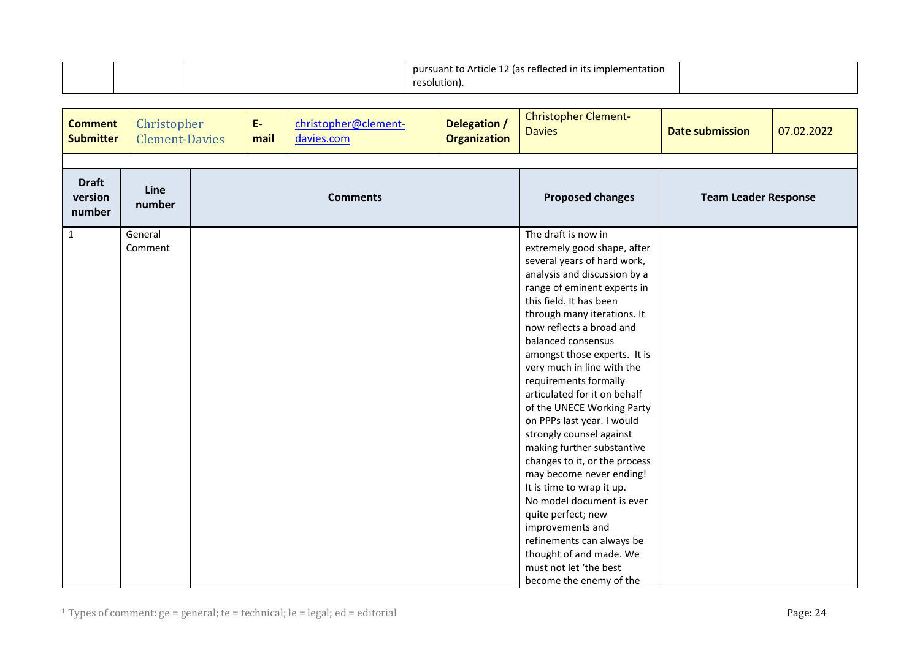|  | pursuant to Article 12 (as reflected in its implementation |  |
|--|------------------------------------------------------------|--|
|  | resolution).                                               |  |

<span id="page-23-0"></span>

| <b>Comment</b><br><b>Submitter</b> | Christopher<br><b>Clement-Davies</b> | $E-$<br>mail    | christopher@clement-<br>davies.com | Delegation /<br><b>Organization</b> | <b>Christopher Clement-</b><br><b>Davies</b>                                                                                                                                                                                                                                                                                                                                                                                                                                                                                                                                                                                                                                                                                                                                            | <b>Date submission</b>      | 07.02.2022 |
|------------------------------------|--------------------------------------|-----------------|------------------------------------|-------------------------------------|-----------------------------------------------------------------------------------------------------------------------------------------------------------------------------------------------------------------------------------------------------------------------------------------------------------------------------------------------------------------------------------------------------------------------------------------------------------------------------------------------------------------------------------------------------------------------------------------------------------------------------------------------------------------------------------------------------------------------------------------------------------------------------------------|-----------------------------|------------|
| <b>Draft</b><br>version<br>number  | Line<br>number                       | <b>Comments</b> |                                    |                                     | <b>Proposed changes</b>                                                                                                                                                                                                                                                                                                                                                                                                                                                                                                                                                                                                                                                                                                                                                                 | <b>Team Leader Response</b> |            |
| $\mathbf{1}$                       | General<br>Comment                   |                 |                                    |                                     | The draft is now in<br>extremely good shape, after<br>several years of hard work,<br>analysis and discussion by a<br>range of eminent experts in<br>this field. It has been<br>through many iterations. It<br>now reflects a broad and<br>balanced consensus<br>amongst those experts. It is<br>very much in line with the<br>requirements formally<br>articulated for it on behalf<br>of the UNECE Working Party<br>on PPPs last year. I would<br>strongly counsel against<br>making further substantive<br>changes to it, or the process<br>may become never ending!<br>It is time to wrap it up.<br>No model document is ever<br>quite perfect; new<br>improvements and<br>refinements can always be<br>thought of and made. We<br>must not let 'the best<br>become the enemy of the |                             |            |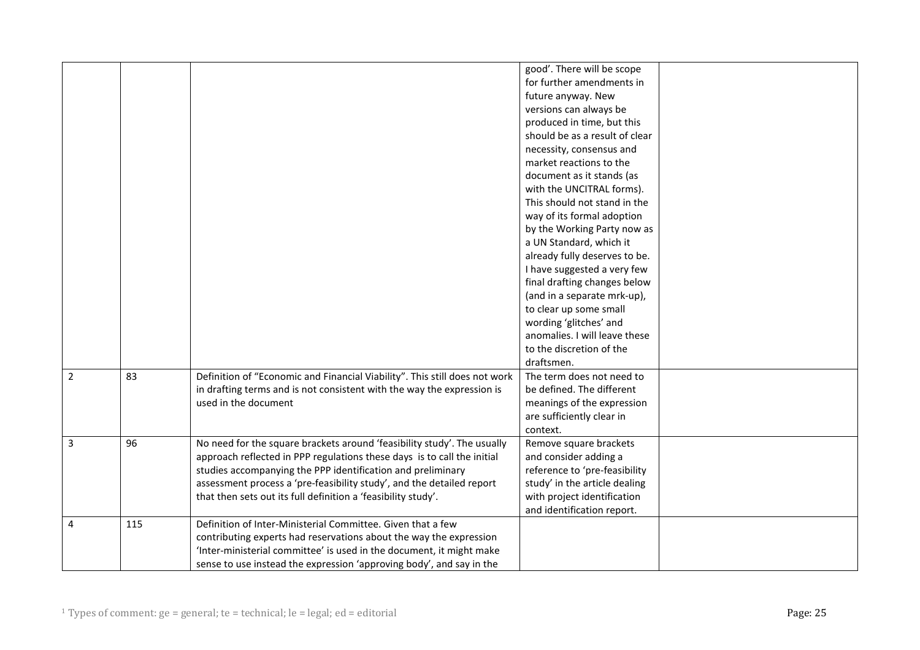|   |     |                                                                            | good'. There will be scope     |
|---|-----|----------------------------------------------------------------------------|--------------------------------|
|   |     |                                                                            | for further amendments in      |
|   |     |                                                                            | future anyway. New             |
|   |     |                                                                            | versions can always be         |
|   |     |                                                                            | produced in time, but this     |
|   |     |                                                                            | should be as a result of clear |
|   |     |                                                                            | necessity, consensus and       |
|   |     |                                                                            | market reactions to the        |
|   |     |                                                                            | document as it stands (as      |
|   |     |                                                                            | with the UNCITRAL forms).      |
|   |     |                                                                            | This should not stand in the   |
|   |     |                                                                            | way of its formal adoption     |
|   |     |                                                                            | by the Working Party now as    |
|   |     |                                                                            | a UN Standard, which it        |
|   |     |                                                                            | already fully deserves to be.  |
|   |     |                                                                            | I have suggested a very few    |
|   |     |                                                                            | final drafting changes below   |
|   |     |                                                                            | (and in a separate mrk-up),    |
|   |     |                                                                            | to clear up some small         |
|   |     |                                                                            | wording 'glitches' and         |
|   |     |                                                                            | anomalies. I will leave these  |
|   |     |                                                                            | to the discretion of the       |
|   |     |                                                                            | draftsmen.                     |
| 2 | 83  | Definition of "Economic and Financial Viability". This still does not work | The term does not need to      |
|   |     | in drafting terms and is not consistent with the way the expression is     | be defined. The different      |
|   |     | used in the document                                                       | meanings of the expression     |
|   |     |                                                                            | are sufficiently clear in      |
|   |     |                                                                            | context.                       |
| 3 | 96  | No need for the square brackets around 'feasibility study'. The usually    | Remove square brackets         |
|   |     | approach reflected in PPP regulations these days is to call the initial    | and consider adding a          |
|   |     | studies accompanying the PPP identification and preliminary                | reference to 'pre-feasibility  |
|   |     | assessment process a 'pre-feasibility study', and the detailed report      | study' in the article dealing  |
|   |     | that then sets out its full definition a 'feasibility study'.              | with project identification    |
|   |     |                                                                            | and identification report.     |
| 4 | 115 | Definition of Inter-Ministerial Committee. Given that a few                |                                |
|   |     | contributing experts had reservations about the way the expression         |                                |
|   |     | 'Inter-ministerial committee' is used in the document, it might make       |                                |
|   |     | sense to use instead the expression 'approving body', and say in the       |                                |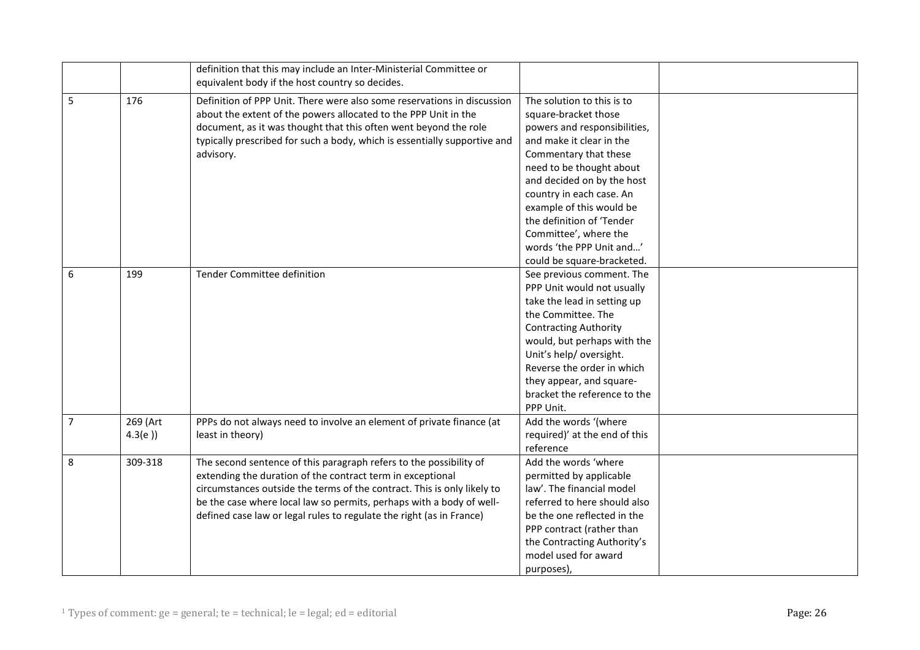|   |          | definition that this may include an Inter-Ministerial Committee or<br>equivalent body if the host country so decides. |                               |  |
|---|----------|-----------------------------------------------------------------------------------------------------------------------|-------------------------------|--|
| 5 | 176      | Definition of PPP Unit. There were also some reservations in discussion                                               | The solution to this is to    |  |
|   |          | about the extent of the powers allocated to the PPP Unit in the                                                       | square-bracket those          |  |
|   |          | document, as it was thought that this often went beyond the role                                                      | powers and responsibilities,  |  |
|   |          | typically prescribed for such a body, which is essentially supportive and                                             | and make it clear in the      |  |
|   |          | advisory.                                                                                                             | Commentary that these         |  |
|   |          |                                                                                                                       | need to be thought about      |  |
|   |          |                                                                                                                       | and decided on by the host    |  |
|   |          |                                                                                                                       | country in each case. An      |  |
|   |          |                                                                                                                       | example of this would be      |  |
|   |          |                                                                                                                       | the definition of 'Tender     |  |
|   |          |                                                                                                                       | Committee', where the         |  |
|   |          |                                                                                                                       | words 'the PPP Unit and'      |  |
|   |          |                                                                                                                       | could be square-bracketed.    |  |
| 6 | 199      | Tender Committee definition                                                                                           | See previous comment. The     |  |
|   |          |                                                                                                                       | PPP Unit would not usually    |  |
|   |          |                                                                                                                       | take the lead in setting up   |  |
|   |          |                                                                                                                       | the Committee. The            |  |
|   |          |                                                                                                                       | <b>Contracting Authority</b>  |  |
|   |          |                                                                                                                       | would, but perhaps with the   |  |
|   |          |                                                                                                                       | Unit's help/ oversight.       |  |
|   |          |                                                                                                                       | Reverse the order in which    |  |
|   |          |                                                                                                                       | they appear, and square-      |  |
|   |          |                                                                                                                       | bracket the reference to the  |  |
|   |          |                                                                                                                       | PPP Unit.                     |  |
| 7 | 269 (Art | PPPs do not always need to involve an element of private finance (at                                                  | Add the words '(where         |  |
|   | 4.3(e)   | least in theory)                                                                                                      | required)' at the end of this |  |
|   |          |                                                                                                                       | reference                     |  |
| 8 | 309-318  | The second sentence of this paragraph refers to the possibility of                                                    | Add the words 'where          |  |
|   |          | extending the duration of the contract term in exceptional                                                            | permitted by applicable       |  |
|   |          | circumstances outside the terms of the contract. This is only likely to                                               | law'. The financial model     |  |
|   |          | be the case where local law so permits, perhaps with a body of well-                                                  | referred to here should also  |  |
|   |          | defined case law or legal rules to regulate the right (as in France)                                                  | be the one reflected in the   |  |
|   |          |                                                                                                                       | PPP contract (rather than     |  |
|   |          |                                                                                                                       | the Contracting Authority's   |  |
|   |          |                                                                                                                       | model used for award          |  |
|   |          |                                                                                                                       | purposes),                    |  |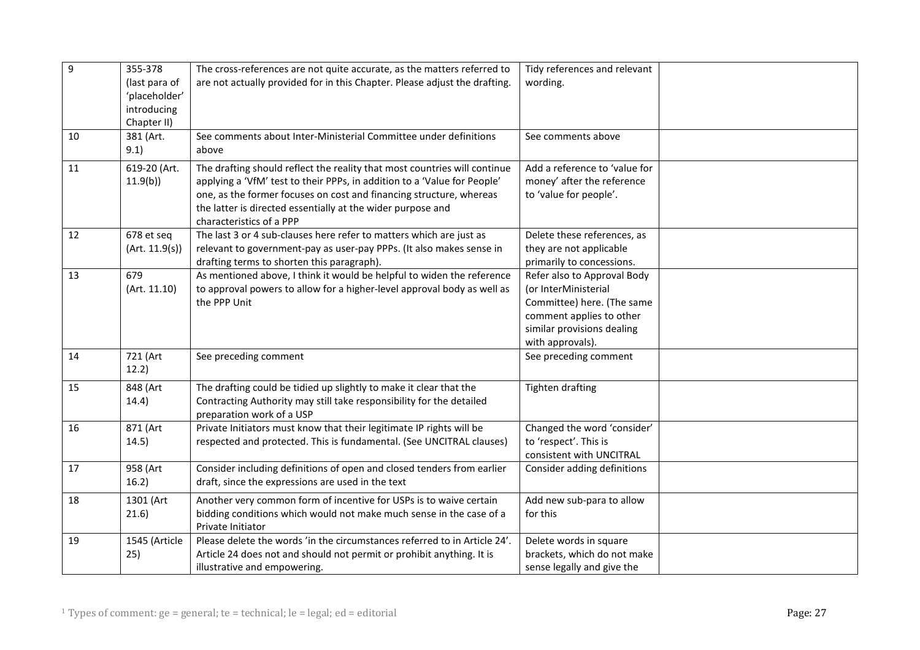| 9  | 355-378                      | The cross-references are not quite accurate, as the matters referred to                 | Tidy references and relevant                           |  |
|----|------------------------------|-----------------------------------------------------------------------------------------|--------------------------------------------------------|--|
|    | (last para of                | are not actually provided for in this Chapter. Please adjust the drafting.              | wording.                                               |  |
|    | 'placeholder'<br>introducing |                                                                                         |                                                        |  |
|    | Chapter II)                  |                                                                                         |                                                        |  |
| 10 | 381 (Art.                    | See comments about Inter-Ministerial Committee under definitions                        | See comments above                                     |  |
|    | 9.1)                         | above                                                                                   |                                                        |  |
| 11 | 619-20 (Art.                 | The drafting should reflect the reality that most countries will continue               | Add a reference to 'value for                          |  |
|    | 11.9(b)                      | applying a 'VfM' test to their PPPs, in addition to a 'Value for People'                | money' after the reference                             |  |
|    |                              | one, as the former focuses on cost and financing structure, whereas                     | to 'value for people'.                                 |  |
|    |                              | the latter is directed essentially at the wider purpose and<br>characteristics of a PPP |                                                        |  |
| 12 | 678 et seq                   | The last 3 or 4 sub-clauses here refer to matters which are just as                     | Delete these references, as                            |  |
|    | (Art. 11.9(s))               | relevant to government-pay as user-pay PPPs. (It also makes sense in                    | they are not applicable                                |  |
|    |                              | drafting terms to shorten this paragraph).                                              | primarily to concessions.                              |  |
| 13 | 679                          | As mentioned above, I think it would be helpful to widen the reference                  | Refer also to Approval Body                            |  |
|    | (Art. 11.10)                 | to approval powers to allow for a higher-level approval body as well as                 | (or InterMinisterial                                   |  |
|    |                              | the PPP Unit                                                                            | Committee) here. (The same                             |  |
|    |                              |                                                                                         | comment applies to other<br>similar provisions dealing |  |
|    |                              |                                                                                         | with approvals).                                       |  |
| 14 | 721 (Art                     | See preceding comment                                                                   | See preceding comment                                  |  |
|    | 12.2)                        |                                                                                         |                                                        |  |
| 15 | 848 (Art                     | The drafting could be tidied up slightly to make it clear that the                      | Tighten drafting                                       |  |
|    | 14.4)                        | Contracting Authority may still take responsibility for the detailed                    |                                                        |  |
|    |                              | preparation work of a USP                                                               |                                                        |  |
| 16 | 871 (Art                     | Private Initiators must know that their legitimate IP rights will be                    | Changed the word 'consider'                            |  |
|    | 14.5)                        | respected and protected. This is fundamental. (See UNCITRAL clauses)                    | to 'respect'. This is<br>consistent with UNCITRAL      |  |
| 17 | 958 (Art                     | Consider including definitions of open and closed tenders from earlier                  | Consider adding definitions                            |  |
|    | 16.2)                        | draft, since the expressions are used in the text                                       |                                                        |  |
| 18 | 1301 (Art                    | Another very common form of incentive for USPs is to waive certain                      | Add new sub-para to allow                              |  |
|    | 21.6)                        | bidding conditions which would not make much sense in the case of a                     | for this                                               |  |
|    |                              | Private Initiator                                                                       |                                                        |  |
| 19 | 1545 (Article                | Please delete the words 'in the circumstances referred to in Article 24'.               | Delete words in square                                 |  |
|    | 25)                          | Article 24 does not and should not permit or prohibit anything. It is                   | brackets, which do not make                            |  |
|    |                              | illustrative and empowering.                                                            | sense legally and give the                             |  |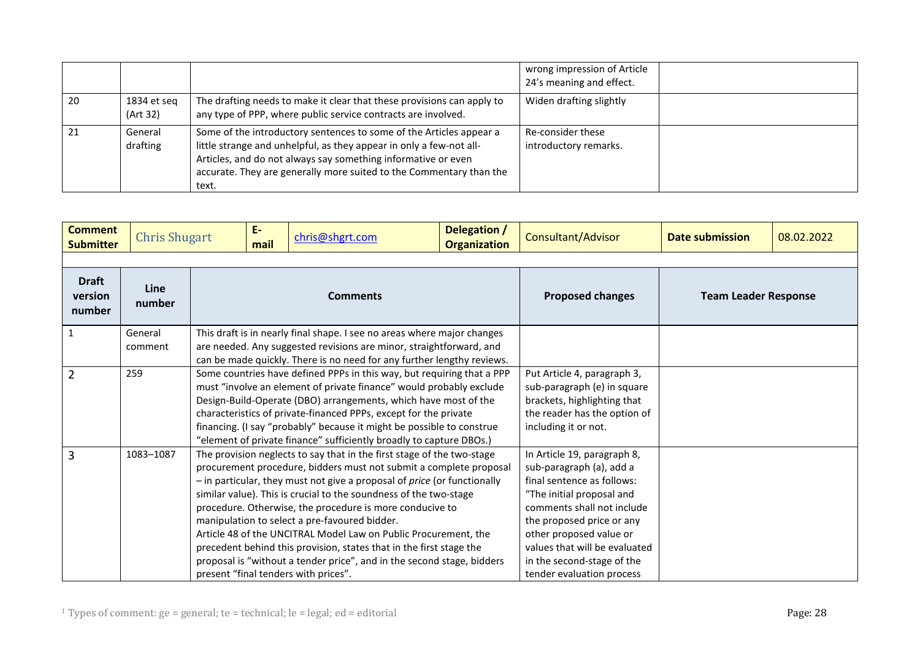|    |                         |                                                                                                                                                                                                                                                                                             | wrong impression of Article<br>24's meaning and effect. |  |
|----|-------------------------|---------------------------------------------------------------------------------------------------------------------------------------------------------------------------------------------------------------------------------------------------------------------------------------------|---------------------------------------------------------|--|
| 20 | 1834 et seg<br>(Art 32) | The drafting needs to make it clear that these provisions can apply to<br>any type of PPP, where public service contracts are involved.                                                                                                                                                     | Widen drafting slightly                                 |  |
| 21 | General<br>drafting     | Some of the introductory sentences to some of the Articles appear a<br>little strange and unhelpful, as they appear in only a few-not all-<br>Articles, and do not always say something informative or even<br>accurate. They are generally more suited to the Commentary than the<br>text. | Re-consider these<br>introductory remarks.              |  |

<span id="page-27-0"></span>

| <b>Comment</b><br><b>Submitter</b> | <b>Chris Shugart</b> |                 | $E-$<br>mail | chris@shgrt.com                                                                                                                                                                                                                                                                                                                                                                                                                                                                                                                                                                                                                                                                 | Delegation /<br><b>Organization</b> | Consultant/Advisor                                                                                                                                                                                                                                                                                   | <b>Date submission</b> | 08.02.2022 |
|------------------------------------|----------------------|-----------------|--------------|---------------------------------------------------------------------------------------------------------------------------------------------------------------------------------------------------------------------------------------------------------------------------------------------------------------------------------------------------------------------------------------------------------------------------------------------------------------------------------------------------------------------------------------------------------------------------------------------------------------------------------------------------------------------------------|-------------------------------------|------------------------------------------------------------------------------------------------------------------------------------------------------------------------------------------------------------------------------------------------------------------------------------------------------|------------------------|------------|
| <b>Draft</b><br>version<br>number  | Line<br>number       | <b>Comments</b> |              |                                                                                                                                                                                                                                                                                                                                                                                                                                                                                                                                                                                                                                                                                 | <b>Proposed changes</b>             | <b>Team Leader Response</b>                                                                                                                                                                                                                                                                          |                        |            |
| 1                                  | General<br>comment   |                 |              | This draft is in nearly final shape. I see no areas where major changes<br>are needed. Any suggested revisions are minor, straightforward, and<br>can be made quickly. There is no need for any further lengthy reviews.                                                                                                                                                                                                                                                                                                                                                                                                                                                        |                                     |                                                                                                                                                                                                                                                                                                      |                        |            |
| $\overline{2}$                     | 259                  |                 |              | Some countries have defined PPPs in this way, but requiring that a PPP<br>must "involve an element of private finance" would probably exclude<br>Design-Build-Operate (DBO) arrangements, which have most of the<br>characteristics of private-financed PPPs, except for the private<br>financing. (I say "probably" because it might be possible to construe<br>"element of private finance" sufficiently broadly to capture DBOs.)                                                                                                                                                                                                                                            |                                     | Put Article 4, paragraph 3,<br>sub-paragraph (e) in square<br>brackets, highlighting that<br>the reader has the option of<br>including it or not.                                                                                                                                                    |                        |            |
| $\overline{3}$                     | 1083-1087            |                 |              | The provision neglects to say that in the first stage of the two-stage<br>procurement procedure, bidders must not submit a complete proposal<br>$-$ in particular, they must not give a proposal of <i>price</i> (or functionally<br>similar value). This is crucial to the soundness of the two-stage<br>procedure. Otherwise, the procedure is more conducive to<br>manipulation to select a pre-favoured bidder.<br>Article 48 of the UNCITRAL Model Law on Public Procurement, the<br>precedent behind this provision, states that in the first stage the<br>proposal is "without a tender price", and in the second stage, bidders<br>present "final tenders with prices". |                                     | In Article 19, paragraph 8,<br>sub-paragraph (a), add a<br>final sentence as follows:<br>"The initial proposal and<br>comments shall not include<br>the proposed price or any<br>other proposed value or<br>values that will be evaluated<br>in the second-stage of the<br>tender evaluation process |                        |            |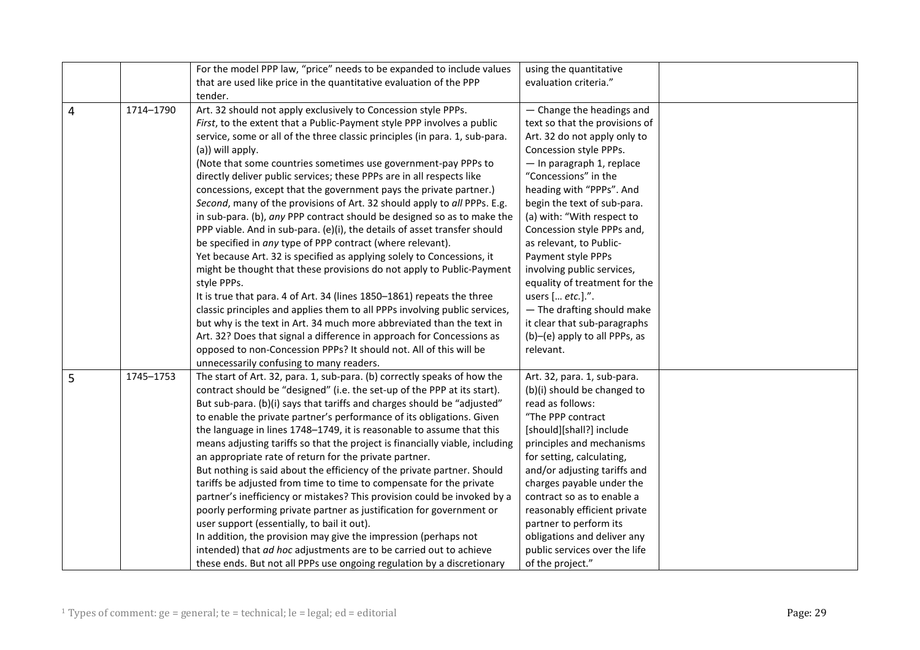|   |           | For the model PPP law, "price" needs to be expanded to include values        | using the quantitative         |
|---|-----------|------------------------------------------------------------------------------|--------------------------------|
|   |           | that are used like price in the quantitative evaluation of the PPP           | evaluation criteria."          |
|   |           | tender.                                                                      |                                |
| 4 | 1714-1790 | Art. 32 should not apply exclusively to Concession style PPPs.               | - Change the headings and      |
|   |           | First, to the extent that a Public-Payment style PPP involves a public       | text so that the provisions of |
|   |           | service, some or all of the three classic principles (in para. 1, sub-para.  | Art. 32 do not apply only to   |
|   |           | (a)) will apply.                                                             | Concession style PPPs.         |
|   |           | (Note that some countries sometimes use government-pay PPPs to               | - In paragraph 1, replace      |
|   |           | directly deliver public services; these PPPs are in all respects like        | "Concessions" in the           |
|   |           | concessions, except that the government pays the private partner.)           | heading with "PPPs". And       |
|   |           | Second, many of the provisions of Art. 32 should apply to all PPPs. E.g.     | begin the text of sub-para.    |
|   |           | in sub-para. (b), any PPP contract should be designed so as to make the      | (a) with: "With respect to     |
|   |           | PPP viable. And in sub-para. (e)(i), the details of asset transfer should    | Concession style PPPs and,     |
|   |           | be specified in any type of PPP contract (where relevant).                   | as relevant, to Public-        |
|   |           | Yet because Art. 32 is specified as applying solely to Concessions, it       | Payment style PPPs             |
|   |           | might be thought that these provisions do not apply to Public-Payment        | involving public services,     |
|   |           | style PPPs.                                                                  | equality of treatment for the  |
|   |           | It is true that para. 4 of Art. 34 (lines 1850-1861) repeats the three       | users [ etc.].".               |
|   |           | classic principles and applies them to all PPPs involving public services,   | - The drafting should make     |
|   |           | but why is the text in Art. 34 much more abbreviated than the text in        | it clear that sub-paragraphs   |
|   |           | Art. 32? Does that signal a difference in approach for Concessions as        | (b)-(e) apply to all PPPs, as  |
|   |           | opposed to non-Concession PPPs? It should not. All of this will be           | relevant.                      |
|   |           | unnecessarily confusing to many readers.                                     |                                |
| 5 | 1745-1753 | The start of Art. 32, para. 1, sub-para. (b) correctly speaks of how the     | Art. 32, para. 1, sub-para.    |
|   |           | contract should be "designed" (i.e. the set-up of the PPP at its start).     | (b)(i) should be changed to    |
|   |           | But sub-para. (b)(i) says that tariffs and charges should be "adjusted"      | read as follows:               |
|   |           | to enable the private partner's performance of its obligations. Given        | "The PPP contract              |
|   |           | the language in lines 1748-1749, it is reasonable to assume that this        | [should][shall?] include       |
|   |           | means adjusting tariffs so that the project is financially viable, including | principles and mechanisms      |
|   |           | an appropriate rate of return for the private partner.                       | for setting, calculating,      |
|   |           | But nothing is said about the efficiency of the private partner. Should      | and/or adjusting tariffs and   |
|   |           | tariffs be adjusted from time to time to compensate for the private          | charges payable under the      |
|   |           | partner's inefficiency or mistakes? This provision could be invoked by a     | contract so as to enable a     |
|   |           | poorly performing private partner as justification for government or         | reasonably efficient private   |
|   |           | user support (essentially, to bail it out).                                  | partner to perform its         |
|   |           | In addition, the provision may give the impression (perhaps not              | obligations and deliver any    |
|   |           | intended) that ad hoc adjustments are to be carried out to achieve           | public services over the life  |
|   |           | these ends. But not all PPPs use ongoing regulation by a discretionary       | of the project."               |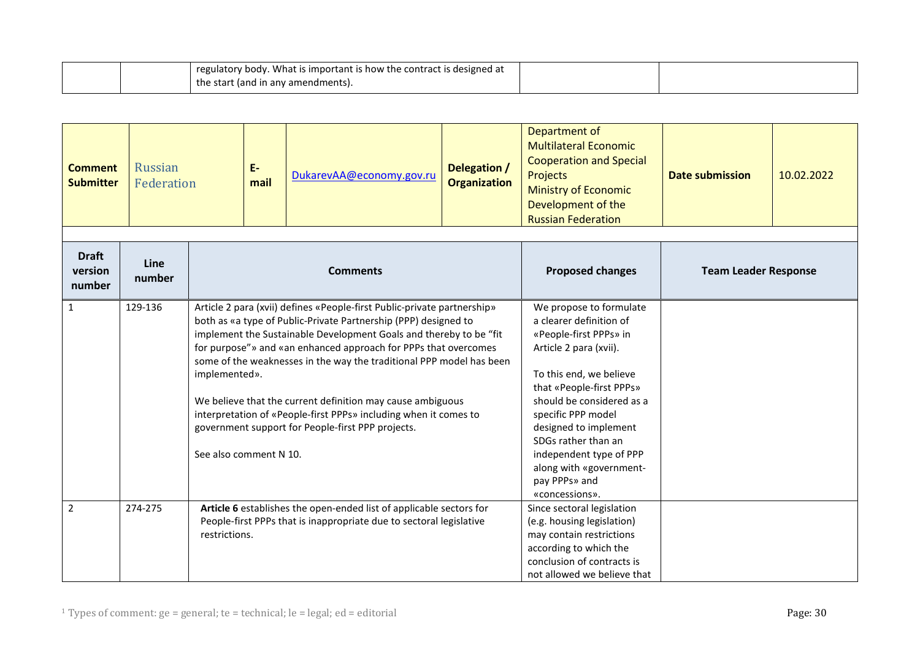| regulatory body. What is important is how the contract is designed at |  |
|-----------------------------------------------------------------------|--|
| I the start (and in any amendments).                                  |  |

<span id="page-29-0"></span>

| <b>Comment</b><br><b>Submitter</b> | <b>Russian</b><br>Federation |                                                                                                                                                             | E-<br>mail                                                                                                                                                                                                                                                                                                                                                                                                                                                                                                                                                                                    | DukarevAA@economy.gov.ru                                                                                                                                                    | Delegation /<br><b>Organization</b> | Department of<br><b>Multilateral Economic</b><br><b>Cooperation and Special</b><br>Projects<br><b>Ministry of Economic</b><br>Development of the<br><b>Russian Federation</b>                                                                                                                                                                             | <b>Date submission</b> | 10.02.2022 |
|------------------------------------|------------------------------|-------------------------------------------------------------------------------------------------------------------------------------------------------------|-----------------------------------------------------------------------------------------------------------------------------------------------------------------------------------------------------------------------------------------------------------------------------------------------------------------------------------------------------------------------------------------------------------------------------------------------------------------------------------------------------------------------------------------------------------------------------------------------|-----------------------------------------------------------------------------------------------------------------------------------------------------------------------------|-------------------------------------|-----------------------------------------------------------------------------------------------------------------------------------------------------------------------------------------------------------------------------------------------------------------------------------------------------------------------------------------------------------|------------------------|------------|
|                                    |                              |                                                                                                                                                             |                                                                                                                                                                                                                                                                                                                                                                                                                                                                                                                                                                                               |                                                                                                                                                                             |                                     |                                                                                                                                                                                                                                                                                                                                                           |                        |            |
| <b>Draft</b><br>version<br>number  | Line<br>number               | <b>Comments</b>                                                                                                                                             |                                                                                                                                                                                                                                                                                                                                                                                                                                                                                                                                                                                               | <b>Proposed changes</b>                                                                                                                                                     | <b>Team Leader Response</b>         |                                                                                                                                                                                                                                                                                                                                                           |                        |            |
| $\mathbf{1}$                       | 129-136                      |                                                                                                                                                             | Article 2 para (xvii) defines «People-first Public-private partnership»<br>both as «a type of Public-Private Partnership (PPP) designed to<br>implement the Sustainable Development Goals and thereby to be "fit<br>for purpose"» and «an enhanced approach for PPPs that overcomes<br>some of the weaknesses in the way the traditional PPP model has been<br>implemented».<br>We believe that the current definition may cause ambiguous<br>interpretation of «People-first PPPs» including when it comes to<br>government support for People-first PPP projects.<br>See also comment N 10. |                                                                                                                                                                             |                                     | We propose to formulate<br>a clearer definition of<br>«People-first PPPs» in<br>Article 2 para (xvii).<br>To this end, we believe<br>that «People-first PPPs»<br>should be considered as a<br>specific PPP model<br>designed to implement<br>SDGs rather than an<br>independent type of PPP<br>along with «government-<br>pay PPPs» and<br>«concessions». |                        |            |
| $\overline{2}$                     | 274-275                      | Article 6 establishes the open-ended list of applicable sectors for<br>People-first PPPs that is inappropriate due to sectoral legislative<br>restrictions. |                                                                                                                                                                                                                                                                                                                                                                                                                                                                                                                                                                                               | Since sectoral legislation<br>(e.g. housing legislation)<br>may contain restrictions<br>according to which the<br>conclusion of contracts is<br>not allowed we believe that |                                     |                                                                                                                                                                                                                                                                                                                                                           |                        |            |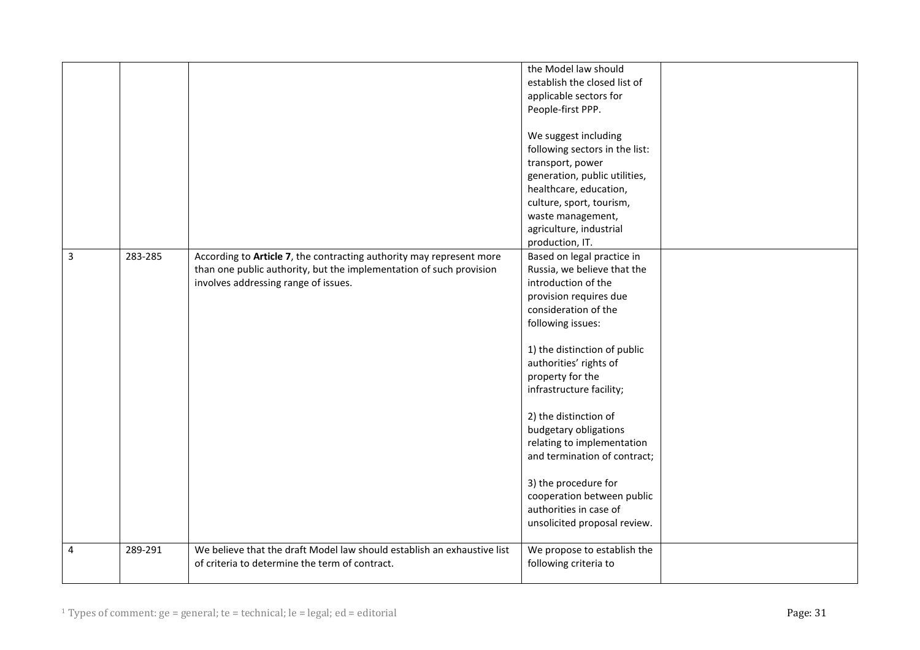|              |         |                                                                                                                                                                                     | the Model law should<br>establish the closed list of<br>applicable sectors for<br>People-first PPP.<br>We suggest including<br>following sectors in the list:<br>transport, power<br>generation, public utilities,<br>healthcare, education,<br>culture, sport, tourism,<br>waste management,<br>agriculture, industrial<br>production, IT.                                                                                                                                                       |  |
|--------------|---------|-------------------------------------------------------------------------------------------------------------------------------------------------------------------------------------|---------------------------------------------------------------------------------------------------------------------------------------------------------------------------------------------------------------------------------------------------------------------------------------------------------------------------------------------------------------------------------------------------------------------------------------------------------------------------------------------------|--|
| $\mathbf{3}$ | 283-285 | According to Article 7, the contracting authority may represent more<br>than one public authority, but the implementation of such provision<br>involves addressing range of issues. | Based on legal practice in<br>Russia, we believe that the<br>introduction of the<br>provision requires due<br>consideration of the<br>following issues:<br>1) the distinction of public<br>authorities' rights of<br>property for the<br>infrastructure facility;<br>2) the distinction of<br>budgetary obligations<br>relating to implementation<br>and termination of contract;<br>3) the procedure for<br>cooperation between public<br>authorities in case of<br>unsolicited proposal review. |  |
| 4            | 289-291 | We believe that the draft Model law should establish an exhaustive list<br>of criteria to determine the term of contract.                                                           | We propose to establish the<br>following criteria to                                                                                                                                                                                                                                                                                                                                                                                                                                              |  |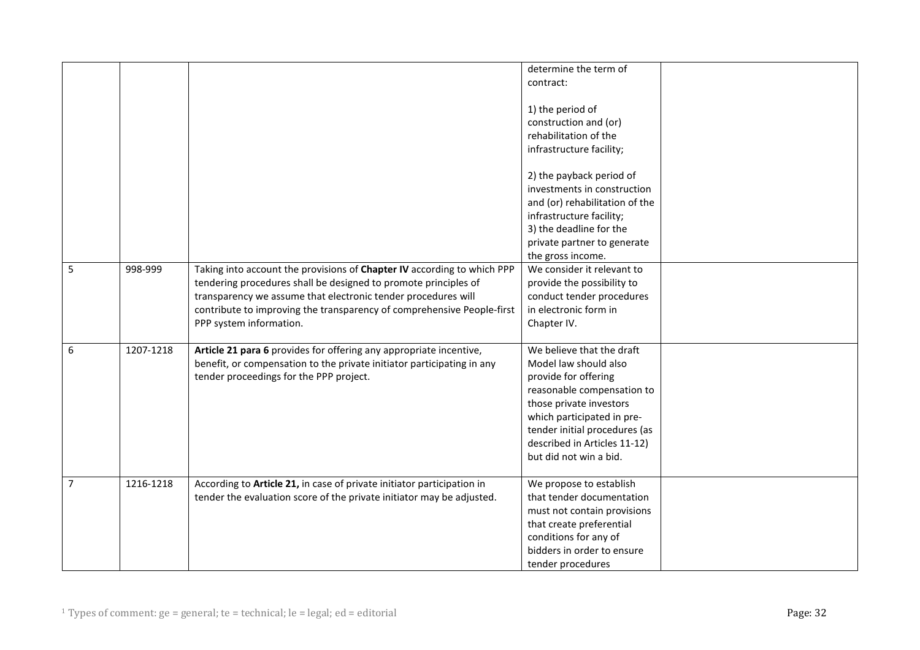|                |           |                                                                                                                                                                                                                                                                                                                  | determine the term of                                                                                                                                                                                                                                        |  |
|----------------|-----------|------------------------------------------------------------------------------------------------------------------------------------------------------------------------------------------------------------------------------------------------------------------------------------------------------------------|--------------------------------------------------------------------------------------------------------------------------------------------------------------------------------------------------------------------------------------------------------------|--|
|                |           |                                                                                                                                                                                                                                                                                                                  | contract:                                                                                                                                                                                                                                                    |  |
|                |           |                                                                                                                                                                                                                                                                                                                  | 1) the period of<br>construction and (or)<br>rehabilitation of the                                                                                                                                                                                           |  |
|                |           |                                                                                                                                                                                                                                                                                                                  | infrastructure facility;                                                                                                                                                                                                                                     |  |
|                |           |                                                                                                                                                                                                                                                                                                                  | 2) the payback period of<br>investments in construction<br>and (or) rehabilitation of the<br>infrastructure facility;<br>3) the deadline for the                                                                                                             |  |
|                |           |                                                                                                                                                                                                                                                                                                                  | private partner to generate<br>the gross income.                                                                                                                                                                                                             |  |
| 5              | 998-999   | Taking into account the provisions of Chapter IV according to which PPP<br>tendering procedures shall be designed to promote principles of<br>transparency we assume that electronic tender procedures will<br>contribute to improving the transparency of comprehensive People-first<br>PPP system information. | We consider it relevant to<br>provide the possibility to<br>conduct tender procedures<br>in electronic form in<br>Chapter IV.                                                                                                                                |  |
| 6              | 1207-1218 | Article 21 para 6 provides for offering any appropriate incentive,<br>benefit, or compensation to the private initiator participating in any<br>tender proceedings for the PPP project.                                                                                                                          | We believe that the draft<br>Model law should also<br>provide for offering<br>reasonable compensation to<br>those private investors<br>which participated in pre-<br>tender initial procedures (as<br>described in Articles 11-12)<br>but did not win a bid. |  |
| $\overline{7}$ | 1216-1218 | According to Article 21, in case of private initiator participation in<br>tender the evaluation score of the private initiator may be adjusted.                                                                                                                                                                  | We propose to establish<br>that tender documentation<br>must not contain provisions<br>that create preferential<br>conditions for any of<br>bidders in order to ensure<br>tender procedures                                                                  |  |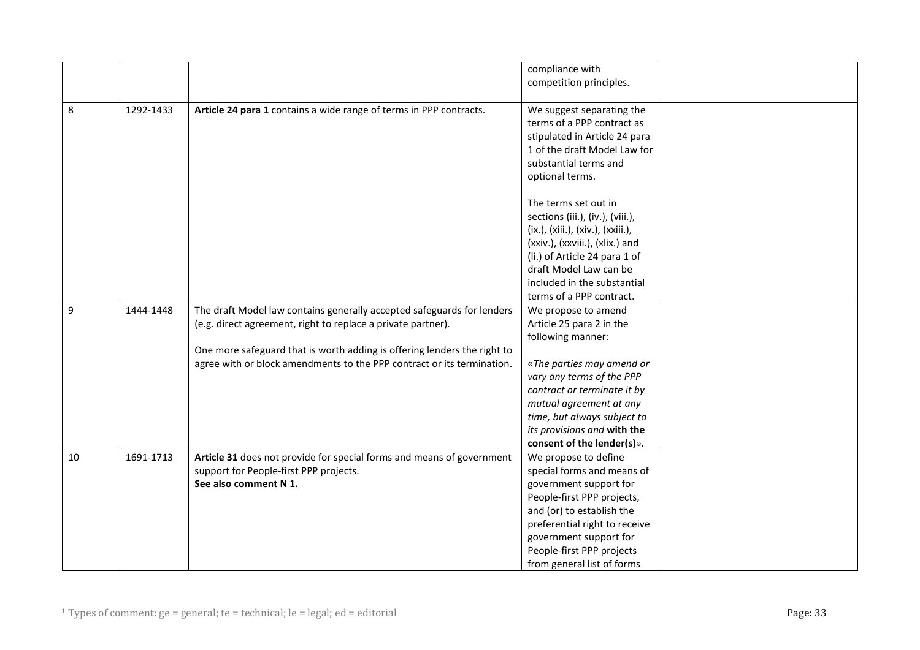|         |           |                                                                          | compliance with                   |  |
|---------|-----------|--------------------------------------------------------------------------|-----------------------------------|--|
|         |           |                                                                          |                                   |  |
|         |           |                                                                          | competition principles.           |  |
|         |           |                                                                          |                                   |  |
| $\,8\,$ | 1292-1433 | Article 24 para 1 contains a wide range of terms in PPP contracts.       | We suggest separating the         |  |
|         |           |                                                                          | terms of a PPP contract as        |  |
|         |           |                                                                          | stipulated in Article 24 para     |  |
|         |           |                                                                          | 1 of the draft Model Law for      |  |
|         |           |                                                                          | substantial terms and             |  |
|         |           |                                                                          | optional terms.                   |  |
|         |           |                                                                          |                                   |  |
|         |           |                                                                          | The terms set out in              |  |
|         |           |                                                                          | sections (iii.), (iv.), (viii.),  |  |
|         |           |                                                                          | (ix.), (xiii.), (xiv.), (xxiii.), |  |
|         |           |                                                                          | (xxiv.), (xxviii.), (xlix.) and   |  |
|         |           |                                                                          | (li.) of Article 24 para 1 of     |  |
|         |           |                                                                          | draft Model Law can be            |  |
|         |           |                                                                          | included in the substantial       |  |
|         |           |                                                                          | terms of a PPP contract.          |  |
| 9       | 1444-1448 | The draft Model law contains generally accepted safeguards for lenders   | We propose to amend               |  |
|         |           |                                                                          |                                   |  |
|         |           | (e.g. direct agreement, right to replace a private partner).             | Article 25 para 2 in the          |  |
|         |           |                                                                          | following manner:                 |  |
|         |           | One more safeguard that is worth adding is offering lenders the right to |                                   |  |
|         |           | agree with or block amendments to the PPP contract or its termination.   | «The parties may amend or         |  |
|         |           |                                                                          | vary any terms of the PPP         |  |
|         |           |                                                                          | contract or terminate it by       |  |
|         |           |                                                                          | mutual agreement at any           |  |
|         |           |                                                                          | time, but always subject to       |  |
|         |           |                                                                          | its provisions and with the       |  |
|         |           |                                                                          | consent of the lender(s)».        |  |
| 10      | 1691-1713 | Article 31 does not provide for special forms and means of government    | We propose to define              |  |
|         |           | support for People-first PPP projects.                                   | special forms and means of        |  |
|         |           | See also comment N 1.                                                    | government support for            |  |
|         |           |                                                                          | People-first PPP projects,        |  |
|         |           |                                                                          | and (or) to establish the         |  |
|         |           |                                                                          | preferential right to receive     |  |
|         |           |                                                                          | government support for            |  |
|         |           |                                                                          | People-first PPP projects         |  |
|         |           |                                                                          | from general list of forms        |  |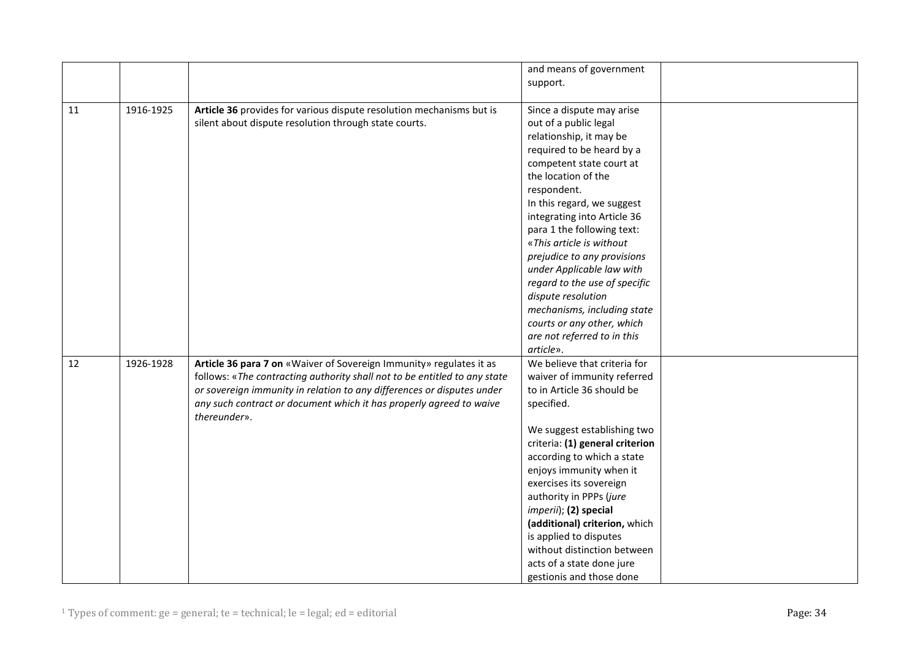|    |           |                                                                           | and means of government         |  |
|----|-----------|---------------------------------------------------------------------------|---------------------------------|--|
|    |           |                                                                           | support.                        |  |
|    |           |                                                                           |                                 |  |
| 11 | 1916-1925 | Article 36 provides for various dispute resolution mechanisms but is      | Since a dispute may arise       |  |
|    |           | silent about dispute resolution through state courts.                     | out of a public legal           |  |
|    |           |                                                                           | relationship, it may be         |  |
|    |           |                                                                           | required to be heard by a       |  |
|    |           |                                                                           | competent state court at        |  |
|    |           |                                                                           | the location of the             |  |
|    |           |                                                                           | respondent.                     |  |
|    |           |                                                                           | In this regard, we suggest      |  |
|    |           |                                                                           | integrating into Article 36     |  |
|    |           |                                                                           | para 1 the following text:      |  |
|    |           |                                                                           | «This article is without        |  |
|    |           |                                                                           | prejudice to any provisions     |  |
|    |           |                                                                           | under Applicable law with       |  |
|    |           |                                                                           | regard to the use of specific   |  |
|    |           |                                                                           | dispute resolution              |  |
|    |           |                                                                           | mechanisms, including state     |  |
|    |           |                                                                           | courts or any other, which      |  |
|    |           |                                                                           | are not referred to in this     |  |
|    |           |                                                                           | article».                       |  |
| 12 | 1926-1928 | Article 36 para 7 on «Waiver of Sovereign Immunity» regulates it as       | We believe that criteria for    |  |
|    |           | follows: «The contracting authority shall not to be entitled to any state | waiver of immunity referred     |  |
|    |           | or sovereign immunity in relation to any differences or disputes under    | to in Article 36 should be      |  |
|    |           | any such contract or document which it has properly agreed to waive       | specified.                      |  |
|    |           | thereunder».                                                              |                                 |  |
|    |           |                                                                           | We suggest establishing two     |  |
|    |           |                                                                           | criteria: (1) general criterion |  |
|    |           |                                                                           | according to which a state      |  |
|    |           |                                                                           | enjoys immunity when it         |  |
|    |           |                                                                           | exercises its sovereign         |  |
|    |           |                                                                           | authority in PPPs (jure         |  |
|    |           |                                                                           | imperii); (2) special           |  |
|    |           |                                                                           | (additional) criterion, which   |  |
|    |           |                                                                           | is applied to disputes          |  |
|    |           |                                                                           | without distinction between     |  |
|    |           |                                                                           | acts of a state done jure       |  |
|    |           |                                                                           | gestionis and those done        |  |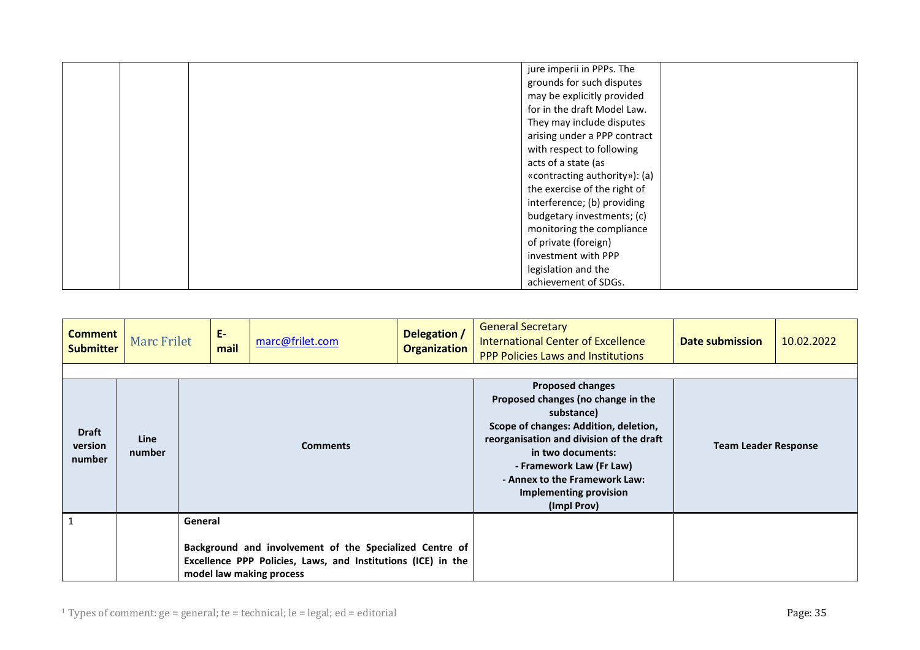|  | jure imperii in PPPs. The     |
|--|-------------------------------|
|  | grounds for such disputes     |
|  |                               |
|  | may be explicitly provided    |
|  | for in the draft Model Law.   |
|  | They may include disputes     |
|  | arising under a PPP contract  |
|  | with respect to following     |
|  | acts of a state (as           |
|  | «contracting authority»): (a) |
|  | the exercise of the right of  |
|  | interference; (b) providing   |
|  | budgetary investments; (c)    |
|  | monitoring the compliance     |
|  | of private (foreign)          |
|  | investment with PPP           |
|  | legislation and the           |
|  | achievement of SDGs.          |

<span id="page-34-0"></span>

| <b>Comment</b><br><b>Submitter</b> | <b>Marc Frilet</b>    | E-<br>mail                                                                                                                                          | marc@frilet.com | Delegation /<br><b>Organization</b> | <b>General Secretary</b><br><b>International Center of Excellence</b><br><b>PPP Policies Laws and Institutions</b>                                                                                                                                                                                 | Date submission             | 10.02.2022 |
|------------------------------------|-----------------------|-----------------------------------------------------------------------------------------------------------------------------------------------------|-----------------|-------------------------------------|----------------------------------------------------------------------------------------------------------------------------------------------------------------------------------------------------------------------------------------------------------------------------------------------------|-----------------------------|------------|
|                                    |                       |                                                                                                                                                     |                 |                                     |                                                                                                                                                                                                                                                                                                    |                             |            |
| <b>Draft</b><br>version<br>number  | <b>Line</b><br>number | <b>Comments</b>                                                                                                                                     |                 |                                     | <b>Proposed changes</b><br>Proposed changes (no change in the<br>substance)<br>Scope of changes: Addition, deletion,<br>reorganisation and division of the draft<br>in two documents:<br>- Framework Law (Fr Law)<br>- Annex to the Framework Law:<br><b>Implementing provision</b><br>(Impl Prov) | <b>Team Leader Response</b> |            |
|                                    |                       | General                                                                                                                                             |                 |                                     |                                                                                                                                                                                                                                                                                                    |                             |            |
|                                    |                       | Background and involvement of the Specialized Centre of<br>Excellence PPP Policies, Laws, and Institutions (ICE) in the<br>model law making process |                 |                                     |                                                                                                                                                                                                                                                                                                    |                             |            |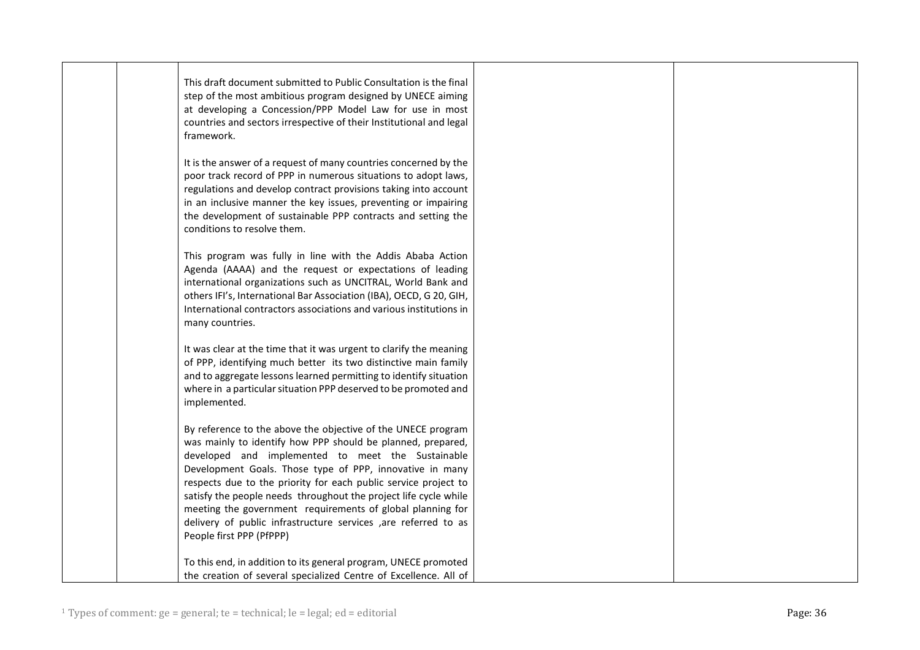| This draft document submitted to Public Consultation is the final<br>step of the most ambitious program designed by UNECE aiming<br>at developing a Concession/PPP Model Law for use in most<br>countries and sectors irrespective of their Institutional and legal<br>framework.<br>It is the answer of a request of many countries concerned by the                                                                                                                                                               |  |
|---------------------------------------------------------------------------------------------------------------------------------------------------------------------------------------------------------------------------------------------------------------------------------------------------------------------------------------------------------------------------------------------------------------------------------------------------------------------------------------------------------------------|--|
| poor track record of PPP in numerous situations to adopt laws,<br>regulations and develop contract provisions taking into account<br>in an inclusive manner the key issues, preventing or impairing<br>the development of sustainable PPP contracts and setting the<br>conditions to resolve them.                                                                                                                                                                                                                  |  |
| This program was fully in line with the Addis Ababa Action<br>Agenda (AAAA) and the request or expectations of leading<br>international organizations such as UNCITRAL, World Bank and<br>others IFI's, International Bar Association (IBA), OECD, G 20, GIH,<br>International contractors associations and various institutions in<br>many countries.                                                                                                                                                              |  |
| It was clear at the time that it was urgent to clarify the meaning<br>of PPP, identifying much better its two distinctive main family<br>and to aggregate lessons learned permitting to identify situation<br>where in a particular situation PPP deserved to be promoted and<br>implemented.                                                                                                                                                                                                                       |  |
| By reference to the above the objective of the UNECE program<br>was mainly to identify how PPP should be planned, prepared,<br>developed and implemented to meet the Sustainable<br>Development Goals. Those type of PPP, innovative in many<br>respects due to the priority for each public service project to<br>satisfy the people needs throughout the project life cycle while<br>meeting the government requirements of global planning for<br>delivery of public infrastructure services ,are referred to as |  |
| People first PPP (PfPPP)<br>To this end, in addition to its general program, UNECE promoted<br>the creation of several specialized Centre of Excellence. All of                                                                                                                                                                                                                                                                                                                                                     |  |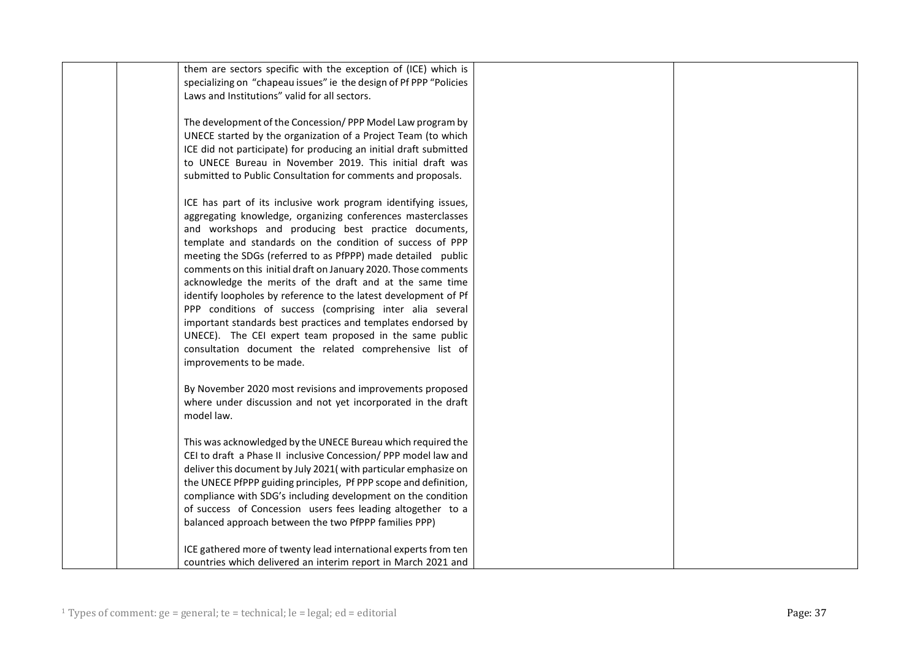| them are sectors specific with the exception of (ICE) which is     |  |
|--------------------------------------------------------------------|--|
|                                                                    |  |
| specializing on "chapeau issues" ie the design of Pf PPP "Policies |  |
| Laws and Institutions" valid for all sectors.                      |  |
|                                                                    |  |
| The development of the Concession/PPP Model Law program by         |  |
| UNECE started by the organization of a Project Team (to which      |  |
| ICE did not participate) for producing an initial draft submitted  |  |
|                                                                    |  |
| to UNECE Bureau in November 2019. This initial draft was           |  |
| submitted to Public Consultation for comments and proposals.       |  |
| ICE has part of its inclusive work program identifying issues,     |  |
|                                                                    |  |
| aggregating knowledge, organizing conferences masterclasses        |  |
| and workshops and producing best practice documents,               |  |
| template and standards on the condition of success of PPP          |  |
| meeting the SDGs (referred to as PfPPP) made detailed public       |  |
| comments on this initial draft on January 2020. Those comments     |  |
| acknowledge the merits of the draft and at the same time           |  |
| identify loopholes by reference to the latest development of Pf    |  |
| PPP conditions of success (comprising inter alia several           |  |
|                                                                    |  |
| important standards best practices and templates endorsed by       |  |
| UNECE). The CEI expert team proposed in the same public            |  |
| consultation document the related comprehensive list of            |  |
| improvements to be made.                                           |  |
|                                                                    |  |
| By November 2020 most revisions and improvements proposed          |  |
| where under discussion and not yet incorporated in the draft       |  |
| model law.                                                         |  |
|                                                                    |  |
| This was acknowledged by the UNECE Bureau which required the       |  |
| CEI to draft a Phase II inclusive Concession/PPP model law and     |  |
| deliver this document by July 2021(with particular emphasize on    |  |
|                                                                    |  |
| the UNECE PfPPP guiding principles, Pf PPP scope and definition,   |  |
| compliance with SDG's including development on the condition       |  |
| of success of Concession users fees leading altogether to a        |  |
| balanced approach between the two PfPPP families PPP)              |  |
|                                                                    |  |
| ICE gathered more of twenty lead international experts from ten    |  |
| countries which delivered an interim report in March 2021 and      |  |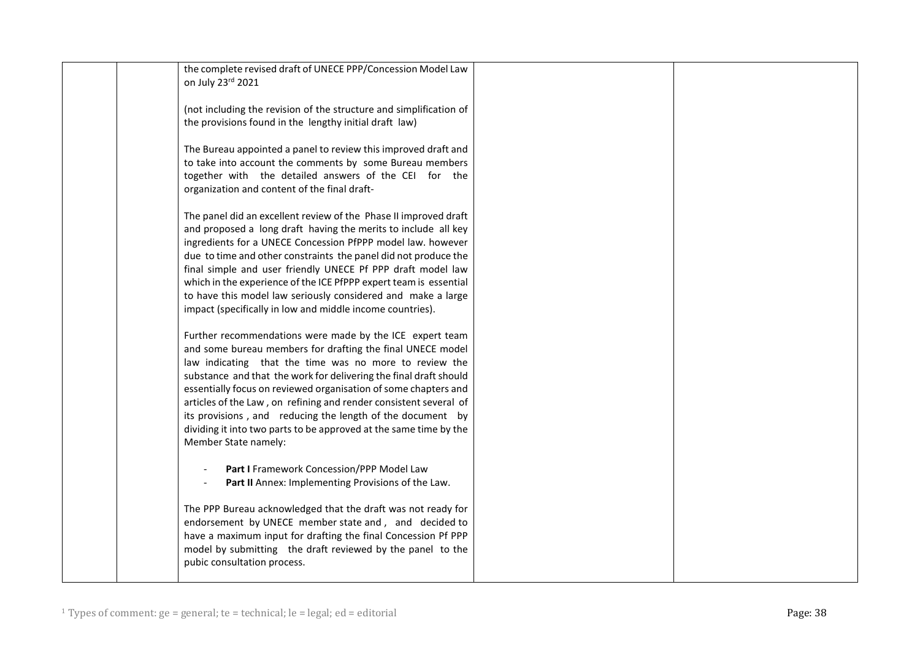| the complete revised draft of UNECE PPP/Concession Model Law<br>on July 23rd 2021                                                                                                                                                                                                                                                                                                                                                                                                                                                                        |
|----------------------------------------------------------------------------------------------------------------------------------------------------------------------------------------------------------------------------------------------------------------------------------------------------------------------------------------------------------------------------------------------------------------------------------------------------------------------------------------------------------------------------------------------------------|
| (not including the revision of the structure and simplification of<br>the provisions found in the lengthy initial draft law)                                                                                                                                                                                                                                                                                                                                                                                                                             |
| The Bureau appointed a panel to review this improved draft and<br>to take into account the comments by some Bureau members<br>together with the detailed answers of the CEI for the<br>organization and content of the final draft-                                                                                                                                                                                                                                                                                                                      |
| The panel did an excellent review of the Phase II improved draft<br>and proposed a long draft having the merits to include all key<br>ingredients for a UNECE Concession PfPPP model law. however<br>due to time and other constraints the panel did not produce the<br>final simple and user friendly UNECE Pf PPP draft model law<br>which in the experience of the ICE PfPPP expert team is essential<br>to have this model law seriously considered and make a large<br>impact (specifically in low and middle income countries).                    |
| Further recommendations were made by the ICE expert team<br>and some bureau members for drafting the final UNECE model<br>law indicating that the time was no more to review the<br>substance and that the work for delivering the final draft should<br>essentially focus on reviewed organisation of some chapters and<br>articles of the Law, on refining and render consistent several of<br>its provisions, and reducing the length of the document by<br>dividing it into two parts to be approved at the same time by the<br>Member State namely: |
| Part I Framework Concession/PPP Model Law<br>Part II Annex: Implementing Provisions of the Law.<br>The PPP Bureau acknowledged that the draft was not ready for<br>endorsement by UNECE member state and, and decided to<br>have a maximum input for drafting the final Concession Pf PPP<br>model by submitting the draft reviewed by the panel to the<br>pubic consultation process.                                                                                                                                                                   |
|                                                                                                                                                                                                                                                                                                                                                                                                                                                                                                                                                          |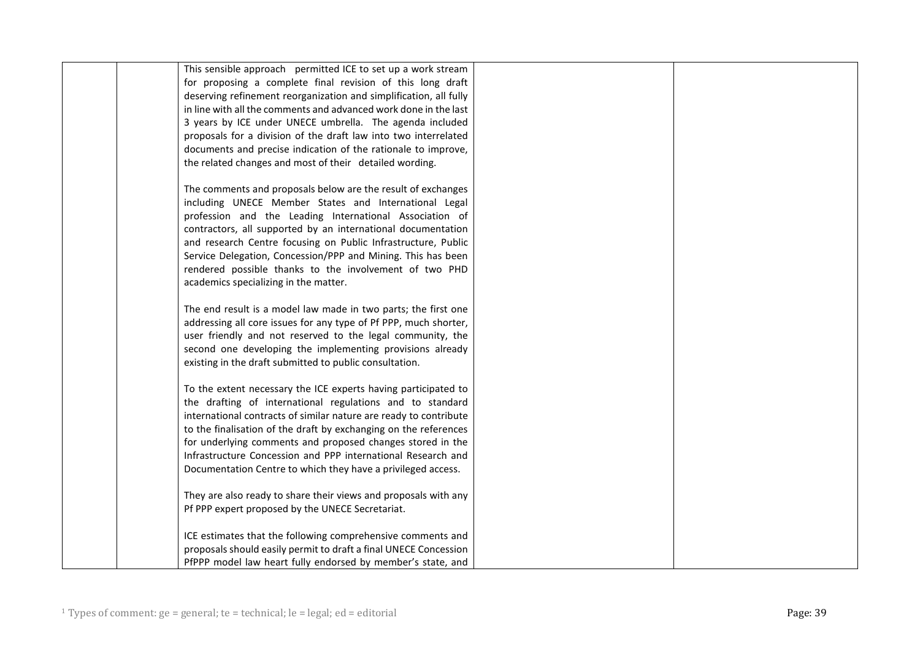| This sensible approach permitted ICE to set up a work stream      |  |
|-------------------------------------------------------------------|--|
| for proposing a complete final revision of this long draft        |  |
| deserving refinement reorganization and simplification, all fully |  |
| in line with all the comments and advanced work done in the last  |  |
| 3 years by ICE under UNECE umbrella. The agenda included          |  |
| proposals for a division of the draft law into two interrelated   |  |
|                                                                   |  |
| documents and precise indication of the rationale to improve,     |  |
| the related changes and most of their detailed wording.           |  |
|                                                                   |  |
| The comments and proposals below are the result of exchanges      |  |
| including UNECE Member States and International Legal             |  |
| profession and the Leading International Association of           |  |
| contractors, all supported by an international documentation      |  |
| and research Centre focusing on Public Infrastructure, Public     |  |
| Service Delegation, Concession/PPP and Mining. This has been      |  |
|                                                                   |  |
| rendered possible thanks to the involvement of two PHD            |  |
| academics specializing in the matter.                             |  |
|                                                                   |  |
| The end result is a model law made in two parts; the first one    |  |
| addressing all core issues for any type of Pf PPP, much shorter,  |  |
| user friendly and not reserved to the legal community, the        |  |
| second one developing the implementing provisions already         |  |
| existing in the draft submitted to public consultation.           |  |
|                                                                   |  |
| To the extent necessary the ICE experts having participated to    |  |
| the drafting of international regulations and to standard         |  |
|                                                                   |  |
| international contracts of similar nature are ready to contribute |  |
| to the finalisation of the draft by exchanging on the references  |  |
| for underlying comments and proposed changes stored in the        |  |
| Infrastructure Concession and PPP international Research and      |  |
| Documentation Centre to which they have a privileged access.      |  |
|                                                                   |  |
| They are also ready to share their views and proposals with any   |  |
| Pf PPP expert proposed by the UNECE Secretariat.                  |  |
|                                                                   |  |
| ICE estimates that the following comprehensive comments and       |  |
| proposals should easily permit to draft a final UNECE Concession  |  |
|                                                                   |  |
| PfPPP model law heart fully endorsed by member's state, and       |  |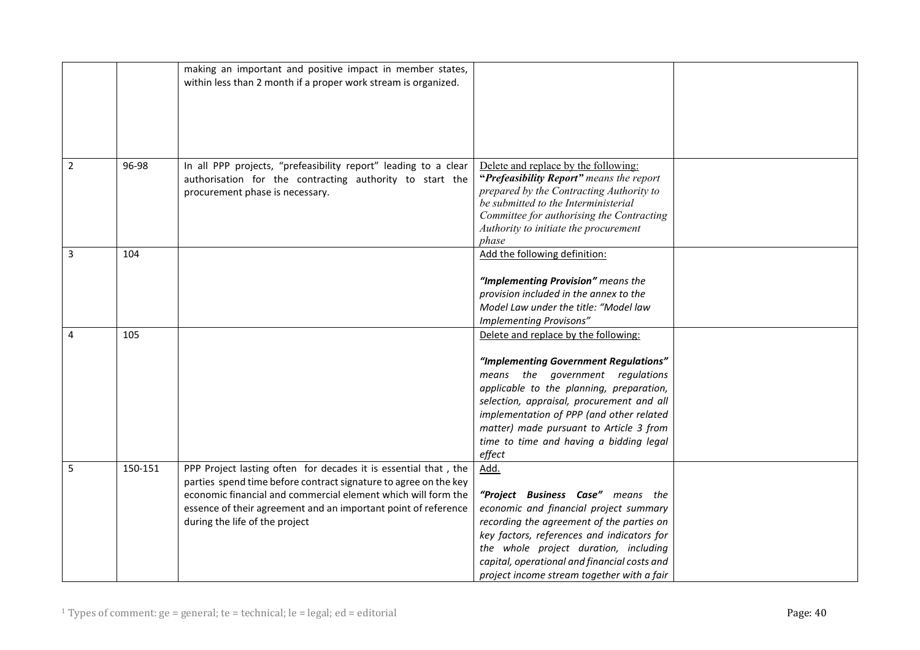|                |         | making an important and positive impact in member states,        |                                              |  |
|----------------|---------|------------------------------------------------------------------|----------------------------------------------|--|
|                |         | within less than 2 month if a proper work stream is organized.   |                                              |  |
|                |         |                                                                  |                                              |  |
|                |         |                                                                  |                                              |  |
|                |         |                                                                  |                                              |  |
|                |         |                                                                  |                                              |  |
|                |         |                                                                  |                                              |  |
|                |         |                                                                  |                                              |  |
| $\overline{2}$ | 96-98   | In all PPP projects, "prefeasibility report" leading to a clear  | Delete and replace by the following:         |  |
|                |         | authorisation for the contracting authority to start the         | "Prefeasibility Report" means the report     |  |
|                |         | procurement phase is necessary.                                  | prepared by the Contracting Authority to     |  |
|                |         |                                                                  | be submitted to the Interministerial         |  |
|                |         |                                                                  | Committee for authorising the Contracting    |  |
|                |         |                                                                  |                                              |  |
|                |         |                                                                  | Authority to initiate the procurement        |  |
|                |         |                                                                  | phase                                        |  |
| $\mathbf{3}$   | 104     |                                                                  | Add the following definition:                |  |
|                |         |                                                                  |                                              |  |
|                |         |                                                                  | "Implementing Provision" means the           |  |
|                |         |                                                                  | provision included in the annex to the       |  |
|                |         |                                                                  | Model Law under the title: "Model law        |  |
|                |         |                                                                  | Implementing Provisons"                      |  |
| $\overline{4}$ | 105     |                                                                  | Delete and replace by the following:         |  |
|                |         |                                                                  |                                              |  |
|                |         |                                                                  |                                              |  |
|                |         |                                                                  | "Implementing Government Regulations"        |  |
|                |         |                                                                  | means the government regulations             |  |
|                |         |                                                                  | applicable to the planning, preparation,     |  |
|                |         |                                                                  | selection, appraisal, procurement and all    |  |
|                |         |                                                                  | implementation of PPP (and other related     |  |
|                |         |                                                                  | matter) made pursuant to Article 3 from      |  |
|                |         |                                                                  | time to time and having a bidding legal      |  |
|                |         |                                                                  | effect                                       |  |
| 5              | 150-151 | PPP Project lasting often for decades it is essential that, the  | Add.                                         |  |
|                |         |                                                                  |                                              |  |
|                |         | parties spend time before contract signature to agree on the key |                                              |  |
|                |         | economic financial and commercial element which will form the    | "Project Business Case" means the            |  |
|                |         | essence of their agreement and an important point of reference   | economic and financial project summary       |  |
|                |         | during the life of the project                                   | recording the agreement of the parties on    |  |
|                |         |                                                                  | key factors, references and indicators for   |  |
|                |         |                                                                  | the whole project duration, including        |  |
|                |         |                                                                  | capital, operational and financial costs and |  |
|                |         |                                                                  | project income stream together with a fair   |  |
|                |         |                                                                  |                                              |  |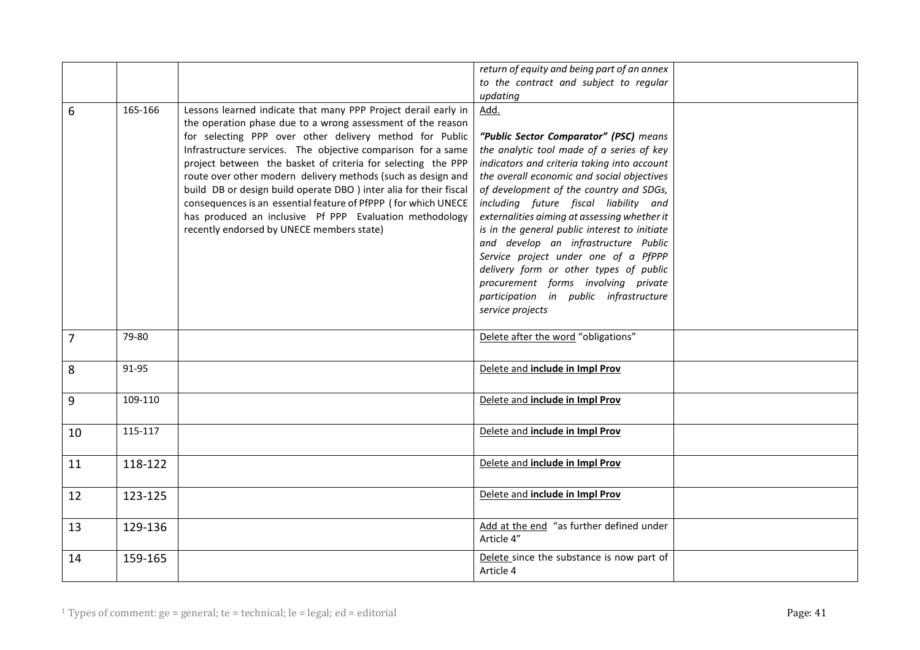|                |         |                                                                    | return of equity and being part of an annex   |  |
|----------------|---------|--------------------------------------------------------------------|-----------------------------------------------|--|
|                |         |                                                                    | to the contract and subject to regular        |  |
|                |         |                                                                    | updating                                      |  |
| 6              | 165-166 | Lessons learned indicate that many PPP Project derail early in     | Add.                                          |  |
|                |         | the operation phase due to a wrong assessment of the reason        |                                               |  |
|                |         | for selecting PPP over other delivery method for Public            | "Public Sector Comparator" (PSC) means        |  |
|                |         | Infrastructure services. The objective comparison for a same       | the analytic tool made of a series of key     |  |
|                |         | project between the basket of criteria for selecting the PPP       | indicators and criteria taking into account   |  |
|                |         | route over other modern delivery methods (such as design and       | the overall economic and social objectives    |  |
|                |         | build DB or design build operate DBO ) inter alia for their fiscal | of development of the country and SDGs,       |  |
|                |         | consequences is an essential feature of PfPPP (for which UNECE     | including future fiscal liability and         |  |
|                |         | has produced an inclusive Pf PPP Evaluation methodology            | externalities aiming at assessing whether it  |  |
|                |         | recently endorsed by UNECE members state)                          | is in the general public interest to initiate |  |
|                |         |                                                                    | and develop an infrastructure Public          |  |
|                |         |                                                                    | Service project under one of a PfPPP          |  |
|                |         |                                                                    | delivery form or other types of public        |  |
|                |         |                                                                    | procurement forms involving private           |  |
|                |         |                                                                    | participation in public infrastructure        |  |
|                |         |                                                                    | service projects                              |  |
|                |         |                                                                    |                                               |  |
| $\overline{7}$ | 79-80   |                                                                    | Delete after the word "obligations"           |  |
|                |         |                                                                    |                                               |  |
| 8              | 91-95   |                                                                    | Delete and include in Impl Prov               |  |
|                |         |                                                                    |                                               |  |
|                |         |                                                                    |                                               |  |
| 9              | 109-110 |                                                                    | Delete and include in Impl Prov               |  |
|                |         |                                                                    |                                               |  |
| 10             | 115-117 |                                                                    | Delete and include in Impl Prov               |  |
|                |         |                                                                    |                                               |  |
| 11             | 118-122 |                                                                    | Delete and include in Impl Prov               |  |
|                |         |                                                                    |                                               |  |
|                |         |                                                                    | Delete and include in Impl Prov               |  |
| 12             | 123-125 |                                                                    |                                               |  |
|                |         |                                                                    |                                               |  |
| 13             | 129-136 |                                                                    | Add at the end "as further defined under      |  |
|                |         |                                                                    | Article 4"                                    |  |
| 14             | 159-165 |                                                                    | Delete since the substance is now part of     |  |
|                |         |                                                                    | Article 4                                     |  |
|                |         |                                                                    |                                               |  |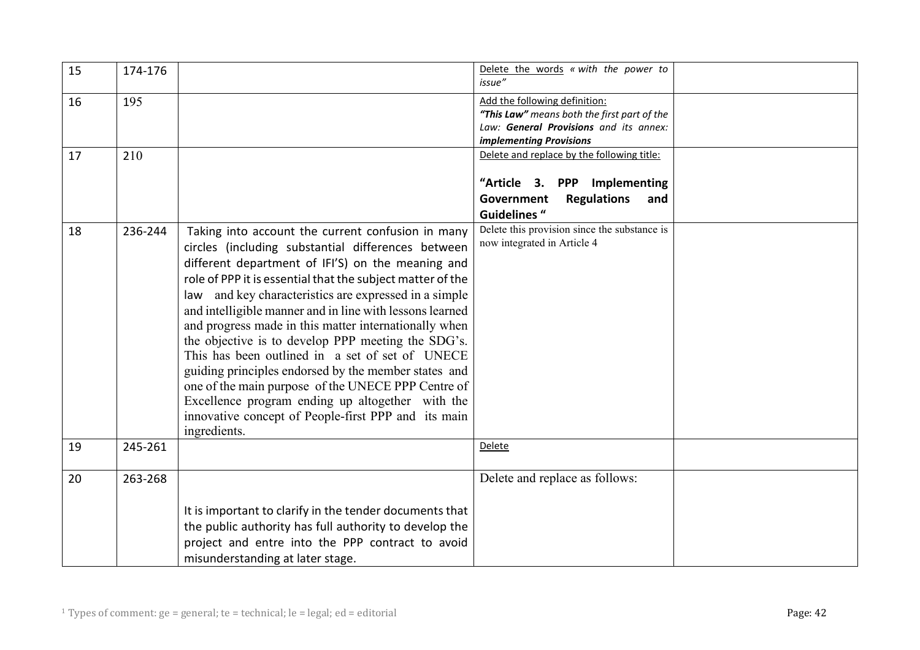| 15 | 174-176 |                                                                                                                                                                                                                                                                                                                                                                                                                                                                                                                                                                                                                                                                                                                                                               | Delete the words « with the power to<br>issue"                                                                                                    |  |
|----|---------|---------------------------------------------------------------------------------------------------------------------------------------------------------------------------------------------------------------------------------------------------------------------------------------------------------------------------------------------------------------------------------------------------------------------------------------------------------------------------------------------------------------------------------------------------------------------------------------------------------------------------------------------------------------------------------------------------------------------------------------------------------------|---------------------------------------------------------------------------------------------------------------------------------------------------|--|
| 16 | 195     |                                                                                                                                                                                                                                                                                                                                                                                                                                                                                                                                                                                                                                                                                                                                                               | Add the following definition:<br>"This Law" means both the first part of the<br>Law: General Provisions and its annex:<br>implementing Provisions |  |
| 17 | 210     |                                                                                                                                                                                                                                                                                                                                                                                                                                                                                                                                                                                                                                                                                                                                                               | Delete and replace by the following title:<br>"Article 3. PPP Implementing<br><b>Regulations</b><br>Government<br>and<br><b>Guidelines "</b>      |  |
| 18 | 236-244 | Taking into account the current confusion in many<br>circles (including substantial differences between<br>different department of IFI'S) on the meaning and<br>role of PPP it is essential that the subject matter of the<br>and key characteristics are expressed in a simple<br>law<br>and intelligible manner and in line with lessons learned<br>and progress made in this matter internationally when<br>the objective is to develop PPP meeting the SDG's.<br>This has been outlined in a set of set of UNECE<br>guiding principles endorsed by the member states and<br>one of the main purpose of the UNECE PPP Centre of<br>Excellence program ending up altogether with the<br>innovative concept of People-first PPP and its main<br>ingredients. | Delete this provision since the substance is<br>now integrated in Article 4                                                                       |  |
| 19 | 245-261 |                                                                                                                                                                                                                                                                                                                                                                                                                                                                                                                                                                                                                                                                                                                                                               | Delete                                                                                                                                            |  |
| 20 | 263-268 | It is important to clarify in the tender documents that<br>the public authority has full authority to develop the<br>project and entre into the PPP contract to avoid<br>misunderstanding at later stage.                                                                                                                                                                                                                                                                                                                                                                                                                                                                                                                                                     | Delete and replace as follows:                                                                                                                    |  |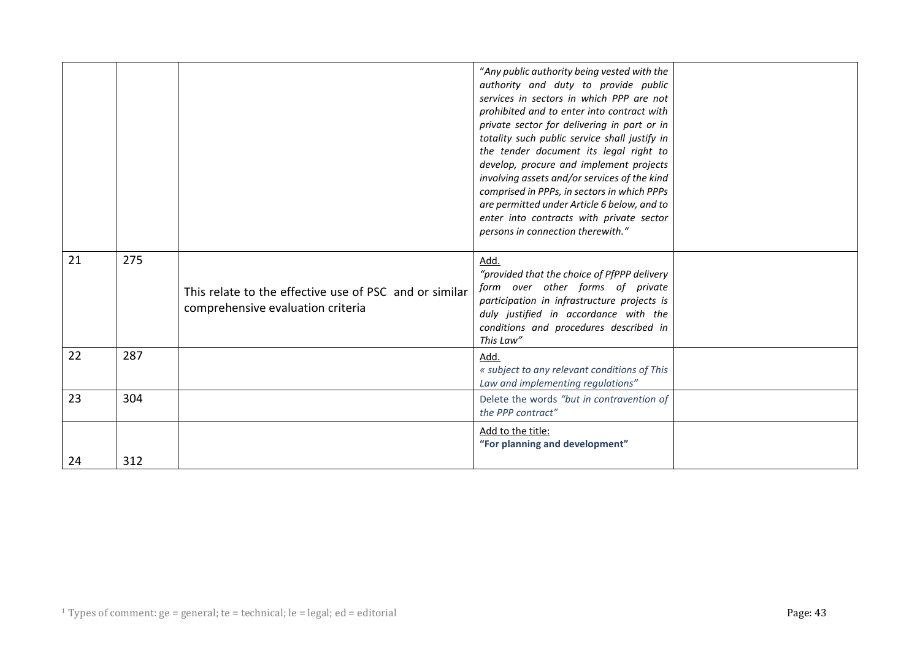|    |     |                                                                                             | "Any public authority being vested with the<br>authority and duty to provide public<br>services in sectors in which PPP are not<br>prohibited and to enter into contract with<br>private sector for delivering in part or in<br>totality such public service shall justify in<br>the tender document its legal right to<br>develop, procure and implement projects<br>involving assets and/or services of the kind<br>comprised in PPPs, in sectors in which PPPs<br>are permitted under Article 6 below, and to<br>enter into contracts with private sector<br>persons in connection therewith." |  |
|----|-----|---------------------------------------------------------------------------------------------|---------------------------------------------------------------------------------------------------------------------------------------------------------------------------------------------------------------------------------------------------------------------------------------------------------------------------------------------------------------------------------------------------------------------------------------------------------------------------------------------------------------------------------------------------------------------------------------------------|--|
| 21 | 275 | This relate to the effective use of PSC and or similar<br>comprehensive evaluation criteria | Add.<br>"provided that the choice of PfPPP delivery<br>form over other forms of private<br>participation in infrastructure projects is<br>duly justified in accordance with the<br>conditions and procedures described in<br>This Law"                                                                                                                                                                                                                                                                                                                                                            |  |
| 22 | 287 |                                                                                             | Add.<br>« subject to any relevant conditions of This<br>Law and implementing regulations"                                                                                                                                                                                                                                                                                                                                                                                                                                                                                                         |  |
| 23 | 304 |                                                                                             | Delete the words "but in contravention of<br>the PPP contract"                                                                                                                                                                                                                                                                                                                                                                                                                                                                                                                                    |  |
| 24 | 312 |                                                                                             | Add to the title:<br>"For planning and development"                                                                                                                                                                                                                                                                                                                                                                                                                                                                                                                                               |  |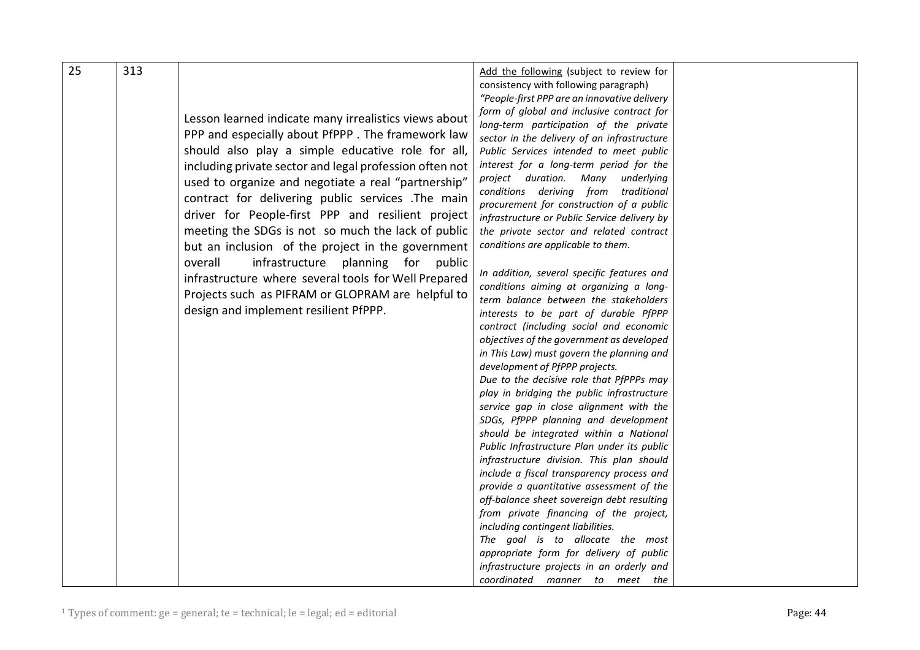| 25 | 313 |                                                         | Add the following (subject to review for                                               |  |
|----|-----|---------------------------------------------------------|----------------------------------------------------------------------------------------|--|
|    |     |                                                         | consistency with following paragraph)                                                  |  |
|    |     |                                                         | "People-first PPP are an innovative delivery                                           |  |
|    |     |                                                         | form of global and inclusive contract for                                              |  |
|    |     | Lesson learned indicate many irrealistics views about   | long-term participation of the private                                                 |  |
|    |     | PPP and especially about PfPPP. The framework law       | sector in the delivery of an infrastructure                                            |  |
|    |     | should also play a simple educative role for all,       | Public Services intended to meet public                                                |  |
|    |     |                                                         | interest for a long-term period for the                                                |  |
|    |     | including private sector and legal profession often not | project duration. Many underlying                                                      |  |
|    |     | used to organize and negotiate a real "partnership"     | conditions deriving from traditional                                                   |  |
|    |     | contract for delivering public services .The main       | procurement for construction of a public                                               |  |
|    |     | driver for People-first PPP and resilient project       | infrastructure or Public Service delivery by                                           |  |
|    |     | meeting the SDGs is not so much the lack of public      | the private sector and related contract                                                |  |
|    |     |                                                         | conditions are applicable to them.                                                     |  |
|    |     | but an inclusion of the project in the government       |                                                                                        |  |
|    |     | overall<br>infrastructure planning for public           |                                                                                        |  |
|    |     | infrastructure where several tools for Well Prepared    | In addition, several specific features and                                             |  |
|    |     | Projects such as PIFRAM or GLOPRAM are helpful to       | conditions aiming at organizing a long-                                                |  |
|    |     | design and implement resilient PfPPP.                   | term balance between the stakeholders                                                  |  |
|    |     |                                                         | interests to be part of durable PfPPP                                                  |  |
|    |     |                                                         | contract (including social and economic                                                |  |
|    |     |                                                         | objectives of the government as developed                                              |  |
|    |     |                                                         | in This Law) must govern the planning and                                              |  |
|    |     |                                                         | development of PfPPP projects.                                                         |  |
|    |     |                                                         | Due to the decisive role that PfPPPs may<br>play in bridging the public infrastructure |  |
|    |     |                                                         |                                                                                        |  |
|    |     |                                                         | service gap in close alignment with the                                                |  |
|    |     |                                                         | SDGs, PfPPP planning and development<br>should be integrated within a National         |  |
|    |     |                                                         | Public Infrastructure Plan under its public                                            |  |
|    |     |                                                         | infrastructure division. This plan should                                              |  |
|    |     |                                                         | include a fiscal transparency process and                                              |  |
|    |     |                                                         | provide a quantitative assessment of the                                               |  |
|    |     |                                                         | off-balance sheet sovereign debt resulting                                             |  |
|    |     |                                                         | from private financing of the project,                                                 |  |
|    |     |                                                         | including contingent liabilities.                                                      |  |
|    |     |                                                         | The goal is to allocate the most                                                       |  |
|    |     |                                                         | appropriate form for delivery of public                                                |  |
|    |     |                                                         | infrastructure projects in an orderly and                                              |  |
|    |     |                                                         | coordinated manner to meet the                                                         |  |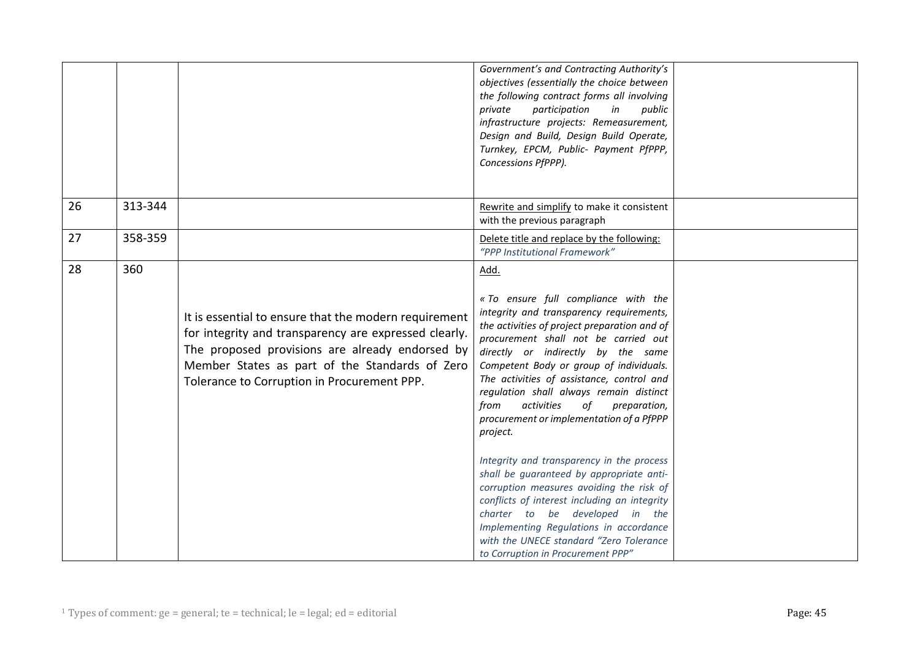|               |                                                                                                                                                                                                                                                                    | Government's and Contracting Authority's<br>objectives (essentially the choice between<br>the following contract forms all involving<br>participation<br>in<br>private<br>public<br>infrastructure projects: Remeasurement,<br>Design and Build, Design Build Operate,<br>Turnkey, EPCM, Public- Payment PfPPP,<br>Concessions PfPPP).                                                                                                                                                                                                                                                                                                                                                                                                                                    |  |
|---------------|--------------------------------------------------------------------------------------------------------------------------------------------------------------------------------------------------------------------------------------------------------------------|---------------------------------------------------------------------------------------------------------------------------------------------------------------------------------------------------------------------------------------------------------------------------------------------------------------------------------------------------------------------------------------------------------------------------------------------------------------------------------------------------------------------------------------------------------------------------------------------------------------------------------------------------------------------------------------------------------------------------------------------------------------------------|--|
| 26<br>313-344 |                                                                                                                                                                                                                                                                    | Rewrite and simplify to make it consistent<br>with the previous paragraph                                                                                                                                                                                                                                                                                                                                                                                                                                                                                                                                                                                                                                                                                                 |  |
| 27<br>358-359 |                                                                                                                                                                                                                                                                    | Delete title and replace by the following:<br>"PPP Institutional Framework"                                                                                                                                                                                                                                                                                                                                                                                                                                                                                                                                                                                                                                                                                               |  |
| 28<br>360     | It is essential to ensure that the modern requirement<br>for integrity and transparency are expressed clearly.<br>The proposed provisions are already endorsed by<br>Member States as part of the Standards of Zero<br>Tolerance to Corruption in Procurement PPP. | Add.<br>« To ensure full compliance with the<br>integrity and transparency requirements,<br>the activities of project preparation and of<br>procurement shall not be carried out<br>directly or indirectly by the same<br>Competent Body or group of individuals.<br>The activities of assistance, control and<br>regulation shall always remain distinct<br>from<br>activities<br>preparation,<br>of<br>procurement or implementation of a PfPPP<br>project.<br>Integrity and transparency in the process<br>shall be guaranteed by appropriate anti-<br>corruption measures avoiding the risk of<br>conflicts of interest including an integrity<br>charter to be developed in the<br>Implementing Regulations in accordance<br>with the UNECE standard "Zero Tolerance |  |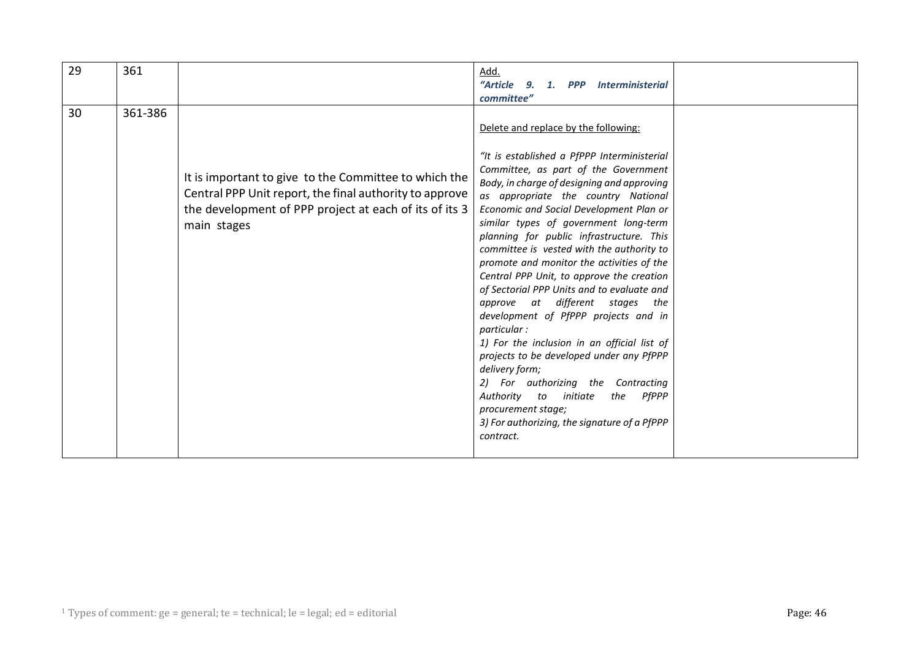| 29 | 361     |                                                                                                                                                                                           | Add.                                                                                                                                                                                                                                                                                                                                                                                                                                                                                                                                                                                                                                                                                                                                                                                                                                                                                                        |  |
|----|---------|-------------------------------------------------------------------------------------------------------------------------------------------------------------------------------------------|-------------------------------------------------------------------------------------------------------------------------------------------------------------------------------------------------------------------------------------------------------------------------------------------------------------------------------------------------------------------------------------------------------------------------------------------------------------------------------------------------------------------------------------------------------------------------------------------------------------------------------------------------------------------------------------------------------------------------------------------------------------------------------------------------------------------------------------------------------------------------------------------------------------|--|
|    |         |                                                                                                                                                                                           | "Article 9. 1. PPP Interministerial                                                                                                                                                                                                                                                                                                                                                                                                                                                                                                                                                                                                                                                                                                                                                                                                                                                                         |  |
|    |         |                                                                                                                                                                                           | committee"                                                                                                                                                                                                                                                                                                                                                                                                                                                                                                                                                                                                                                                                                                                                                                                                                                                                                                  |  |
| 30 | 361-386 | It is important to give to the Committee to which the<br>Central PPP Unit report, the final authority to approve<br>the development of PPP project at each of its of its 3<br>main stages | Delete and replace by the following:<br>"It is established a PfPPP Interministerial<br>Committee, as part of the Government<br>Body, in charge of designing and approving<br>as appropriate the country National<br>Economic and Social Development Plan or<br>similar types of government long-term<br>planning for public infrastructure. This<br>committee is vested with the authority to<br>promote and monitor the activities of the<br>Central PPP Unit, to approve the creation<br>of Sectorial PPP Units and to evaluate and<br>approve at different stages the<br>development of PfPPP projects and in<br>particular:<br>1) For the inclusion in an official list of<br>projects to be developed under any PfPPP<br>delivery form;<br>2) For authorizing the Contracting<br>Authority to initiate<br>the PfPPP<br>procurement stage;<br>3) For authorizing, the signature of a PfPPP<br>contract. |  |
|    |         |                                                                                                                                                                                           |                                                                                                                                                                                                                                                                                                                                                                                                                                                                                                                                                                                                                                                                                                                                                                                                                                                                                                             |  |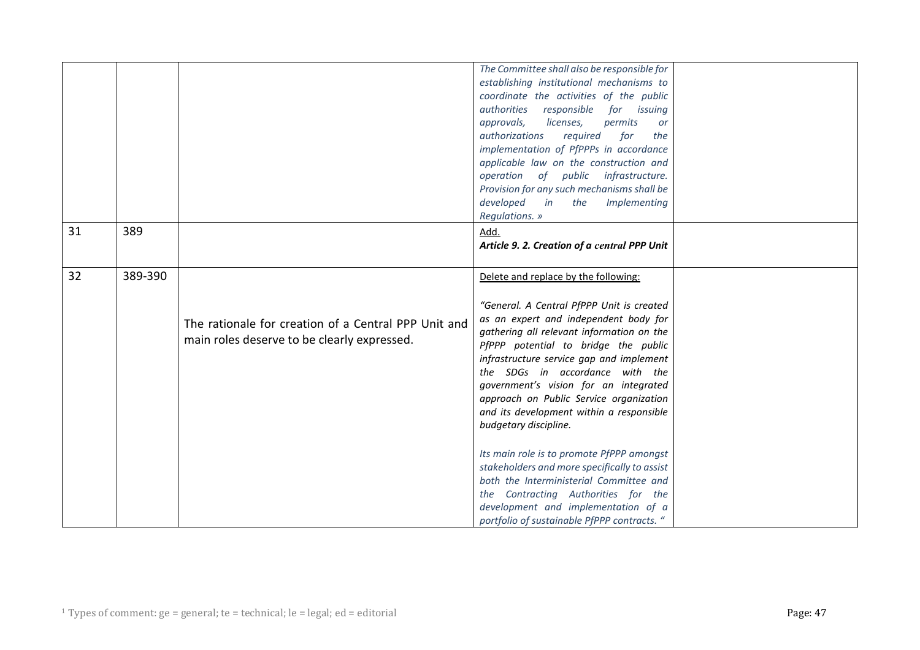| 31 | 389     |                                                                                                     | The Committee shall also be responsible for<br>establishing institutional mechanisms to<br>coordinate the activities of the public<br>authorities responsible for issuing<br>approvals,<br>licenses,<br>permits<br>or<br>authorizations<br>required<br>for<br>the<br>implementation of PfPPPs in accordance<br>applicable law on the construction and<br>operation of public infrastructure.<br>Provision for any such mechanisms shall be<br>in<br>developed<br>the<br>Implementing<br>Regulations. »<br>Add.<br>Article 9. 2. Creation of a central PPP Unit |  |
|----|---------|-----------------------------------------------------------------------------------------------------|----------------------------------------------------------------------------------------------------------------------------------------------------------------------------------------------------------------------------------------------------------------------------------------------------------------------------------------------------------------------------------------------------------------------------------------------------------------------------------------------------------------------------------------------------------------|--|
| 32 | 389-390 |                                                                                                     | Delete and replace by the following:                                                                                                                                                                                                                                                                                                                                                                                                                                                                                                                           |  |
|    |         | The rationale for creation of a Central PPP Unit and<br>main roles deserve to be clearly expressed. | "General. A Central PfPPP Unit is created<br>as an expert and independent body for<br>gathering all relevant information on the<br>PfPPP potential to bridge the public<br>infrastructure service gap and implement<br>the SDGs in accordance with the<br>government's vision for an integrated<br>approach on Public Service organization<br>and its development within a responsible<br>budgetary discipline.<br>Its main role is to promote PfPPP amongst                                                                                                   |  |
|    |         |                                                                                                     | stakeholders and more specifically to assist<br>both the Interministerial Committee and                                                                                                                                                                                                                                                                                                                                                                                                                                                                        |  |
|    |         |                                                                                                     | the Contracting Authorities for the<br>development and implementation of a<br>portfolio of sustainable PfPPP contracts. "                                                                                                                                                                                                                                                                                                                                                                                                                                      |  |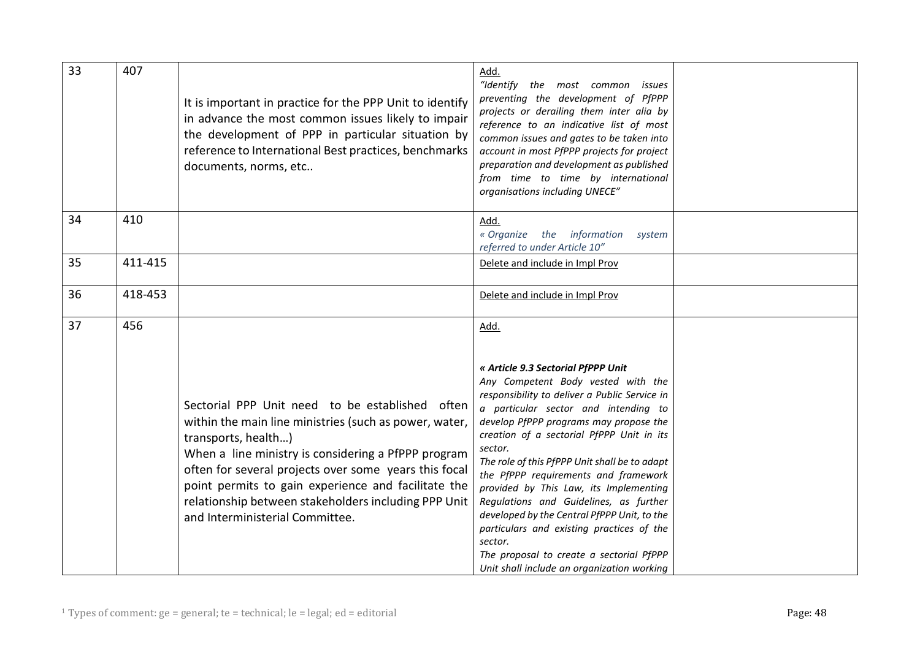| 33 | 407     | It is important in practice for the PPP Unit to identify<br>in advance the most common issues likely to impair<br>the development of PPP in particular situation by<br>reference to International Best practices, benchmarks<br>documents, norms, etc                                                   | Add.<br>"Identify the most common<br>issues<br>preventing the development of PfPPP<br>projects or derailing them inter alia by<br>reference to an indicative list of most<br>common issues and gates to be taken into<br>account in most PfPPP projects for project<br>preparation and development as published<br>from time to time by international<br>organisations including UNECE"                        |  |
|----|---------|---------------------------------------------------------------------------------------------------------------------------------------------------------------------------------------------------------------------------------------------------------------------------------------------------------|----------------------------------------------------------------------------------------------------------------------------------------------------------------------------------------------------------------------------------------------------------------------------------------------------------------------------------------------------------------------------------------------------------------|--|
| 34 | 410     |                                                                                                                                                                                                                                                                                                         | Add.<br>« Organize<br>the information<br>system<br>referred to under Article 10"                                                                                                                                                                                                                                                                                                                               |  |
| 35 | 411-415 |                                                                                                                                                                                                                                                                                                         | Delete and include in Impl Prov                                                                                                                                                                                                                                                                                                                                                                                |  |
| 36 | 418-453 |                                                                                                                                                                                                                                                                                                         | Delete and include in Impl Prov                                                                                                                                                                                                                                                                                                                                                                                |  |
| 37 | 456     | Sectorial PPP Unit need to be established often<br>within the main line ministries (such as power, water,<br>transports, health)<br>When a line ministry is considering a PfPPP program<br>often for several projects over some years this focal<br>point permits to gain experience and facilitate the | Add.<br>« Article 9.3 Sectorial PfPPP Unit<br>Any Competent Body vested with the<br>responsibility to deliver a Public Service in<br>a particular sector and intending to<br>develop PfPPP programs may propose the<br>creation of a sectorial PfPPP Unit in its<br>sector.<br>The role of this PfPPP Unit shall be to adapt<br>the PfPPP requirements and framework<br>provided by This Law, its Implementing |  |
|    |         | relationship between stakeholders including PPP Unit<br>and Interministerial Committee.                                                                                                                                                                                                                 | Regulations and Guidelines, as further<br>developed by the Central PfPPP Unit, to the<br>particulars and existing practices of the<br>sector.<br>The proposal to create a sectorial PfPPP<br>Unit shall include an organization working                                                                                                                                                                        |  |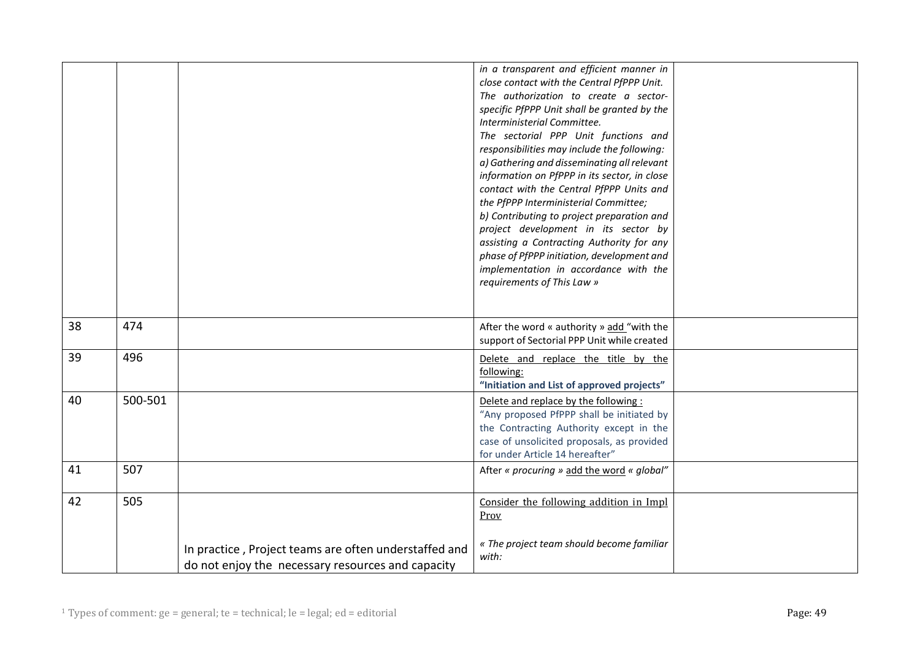|    |         |                                                                                                            | in a transparent and efficient manner in<br>close contact with the Central PfPPP Unit.<br>The authorization to create a sector-<br>specific PfPPP Unit shall be granted by the<br>Interministerial Committee.<br>The sectorial PPP Unit functions and<br>responsibilities may include the following:<br>a) Gathering and disseminating all relevant<br>information on PfPPP in its sector, in close<br>contact with the Central PfPPP Units and<br>the PfPPP Interministerial Committee;<br>b) Contributing to project preparation and<br>project development in its sector by<br>assisting a Contracting Authority for any<br>phase of PfPPP initiation, development and<br>implementation in accordance with the<br>requirements of This Law » |  |
|----|---------|------------------------------------------------------------------------------------------------------------|--------------------------------------------------------------------------------------------------------------------------------------------------------------------------------------------------------------------------------------------------------------------------------------------------------------------------------------------------------------------------------------------------------------------------------------------------------------------------------------------------------------------------------------------------------------------------------------------------------------------------------------------------------------------------------------------------------------------------------------------------|--|
|    |         |                                                                                                            |                                                                                                                                                                                                                                                                                                                                                                                                                                                                                                                                                                                                                                                                                                                                                  |  |
| 38 | 474     |                                                                                                            | After the word « authority » add "with the<br>support of Sectorial PPP Unit while created                                                                                                                                                                                                                                                                                                                                                                                                                                                                                                                                                                                                                                                        |  |
| 39 | 496     |                                                                                                            | Delete and replace the title by the<br>following:<br>"Initiation and List of approved projects"                                                                                                                                                                                                                                                                                                                                                                                                                                                                                                                                                                                                                                                  |  |
| 40 | 500-501 |                                                                                                            | Delete and replace by the following:<br>"Any proposed PfPPP shall be initiated by<br>the Contracting Authority except in the<br>case of unsolicited proposals, as provided<br>for under Article 14 hereafter"                                                                                                                                                                                                                                                                                                                                                                                                                                                                                                                                    |  |
| 41 | 507     |                                                                                                            | After « procuring » add the word « global"                                                                                                                                                                                                                                                                                                                                                                                                                                                                                                                                                                                                                                                                                                       |  |
| 42 | 505     |                                                                                                            | Consider the following addition in Impl<br>Prov                                                                                                                                                                                                                                                                                                                                                                                                                                                                                                                                                                                                                                                                                                  |  |
|    |         | In practice, Project teams are often understaffed and<br>do not enjoy the necessary resources and capacity | « The project team should become familiar<br>with:                                                                                                                                                                                                                                                                                                                                                                                                                                                                                                                                                                                                                                                                                               |  |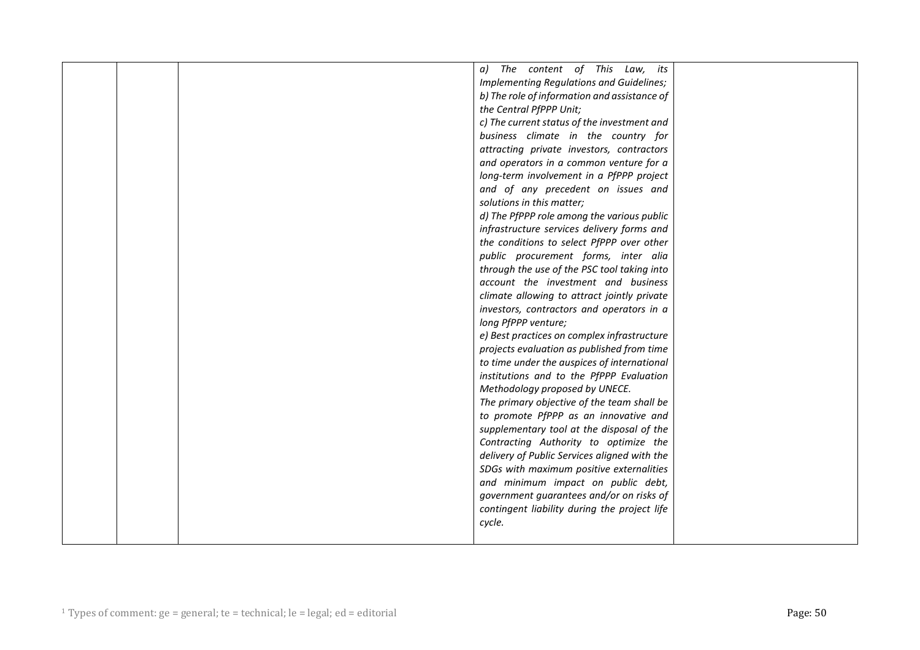|  | a) The content of This Law, its              |  |
|--|----------------------------------------------|--|
|  | Implementing Regulations and Guidelines;     |  |
|  | b) The role of information and assistance of |  |
|  | the Central PfPPP Unit;                      |  |
|  | c) The current status of the investment and  |  |
|  | business climate in the country for          |  |
|  | attracting private investors, contractors    |  |
|  | and operators in a common venture for a      |  |
|  | long-term involvement in a PfPPP project     |  |
|  | and of any precedent on issues and           |  |
|  | solutions in this matter;                    |  |
|  | d) The PfPPP role among the various public   |  |
|  | infrastructure services delivery forms and   |  |
|  | the conditions to select PfPPP over other    |  |
|  | public procurement forms, inter alia         |  |
|  | through the use of the PSC tool taking into  |  |
|  | account the investment and business          |  |
|  | climate allowing to attract jointly private  |  |
|  | investors, contractors and operators in a    |  |
|  | long PfPPP venture;                          |  |
|  | e) Best practices on complex infrastructure  |  |
|  | projects evaluation as published from time   |  |
|  | to time under the auspices of international  |  |
|  | institutions and to the PfPPP Evaluation     |  |
|  | Methodology proposed by UNECE.               |  |
|  | The primary objective of the team shall be   |  |
|  | to promote PfPPP as an innovative and        |  |
|  | supplementary tool at the disposal of the    |  |
|  | Contracting Authority to optimize the        |  |
|  | delivery of Public Services aligned with the |  |
|  | SDGs with maximum positive externalities     |  |
|  | and minimum impact on public debt,           |  |
|  | government guarantees and/or on risks of     |  |
|  | contingent liability during the project life |  |
|  | cycle.                                       |  |
|  |                                              |  |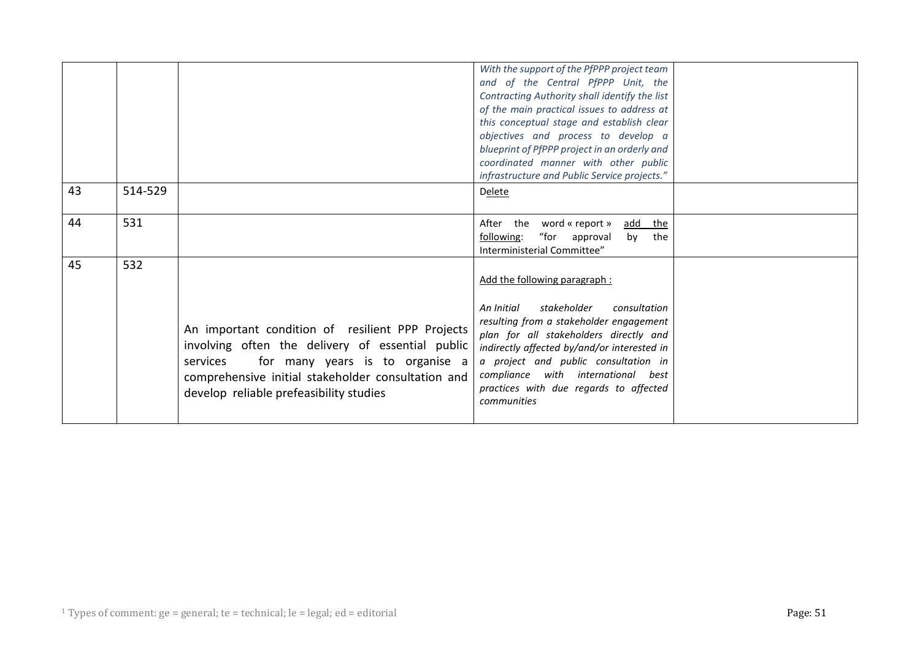|    |         |                                                                                                                                                                                                                                                      | With the support of the PfPPP project team<br>and of the Central PfPPP Unit, the<br>Contracting Authority shall identify the list<br>of the main practical issues to address at<br>this conceptual stage and establish clear<br>objectives and process to develop a<br>blueprint of PfPPP project in an orderly and<br>coordinated manner with other public |  |
|----|---------|------------------------------------------------------------------------------------------------------------------------------------------------------------------------------------------------------------------------------------------------------|-------------------------------------------------------------------------------------------------------------------------------------------------------------------------------------------------------------------------------------------------------------------------------------------------------------------------------------------------------------|--|
| 43 | 514-529 |                                                                                                                                                                                                                                                      | infrastructure and Public Service projects."<br><b>Delete</b>                                                                                                                                                                                                                                                                                               |  |
| 44 | 531     |                                                                                                                                                                                                                                                      | After the word « report »<br>add the<br>"for approval<br>following:<br>by<br>the<br>Interministerial Committee"                                                                                                                                                                                                                                             |  |
| 45 | 532     | An important condition of resilient PPP Projects<br>involving often the delivery of essential public<br>for many years is to organise a<br>services<br>comprehensive initial stakeholder consultation and<br>develop reliable prefeasibility studies | Add the following paragraph:<br>stakeholder<br>consultation<br>An Initial<br>resulting from a stakeholder engagement<br>plan for all stakeholders directly and<br>indirectly affected by/and/or interested in<br>a project and public consultation in<br>compliance with international best<br>practices with due regards to affected<br>communities        |  |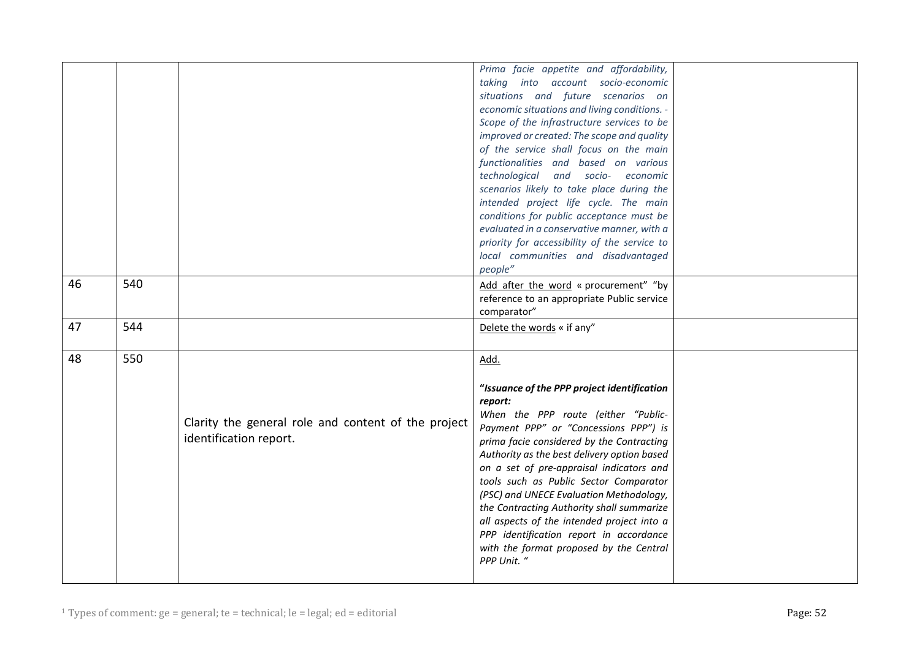|    |     |                                                                               | Prima facie appetite and affordability,<br>taking into account socio-economic<br>situations and future scenarios on<br>economic situations and living conditions. -                                                                                                                                                                                                                                                                                                                                                                                                 |  |
|----|-----|-------------------------------------------------------------------------------|---------------------------------------------------------------------------------------------------------------------------------------------------------------------------------------------------------------------------------------------------------------------------------------------------------------------------------------------------------------------------------------------------------------------------------------------------------------------------------------------------------------------------------------------------------------------|--|
|    |     |                                                                               | Scope of the infrastructure services to be<br>improved or created: The scope and quality                                                                                                                                                                                                                                                                                                                                                                                                                                                                            |  |
|    |     |                                                                               | of the service shall focus on the main<br>functionalities and based on various                                                                                                                                                                                                                                                                                                                                                                                                                                                                                      |  |
|    |     |                                                                               | technological and socio- economic                                                                                                                                                                                                                                                                                                                                                                                                                                                                                                                                   |  |
|    |     |                                                                               | scenarios likely to take place during the                                                                                                                                                                                                                                                                                                                                                                                                                                                                                                                           |  |
|    |     |                                                                               | intended project life cycle. The main                                                                                                                                                                                                                                                                                                                                                                                                                                                                                                                               |  |
|    |     |                                                                               | conditions for public acceptance must be<br>evaluated in a conservative manner, with a                                                                                                                                                                                                                                                                                                                                                                                                                                                                              |  |
|    |     |                                                                               | priority for accessibility of the service to                                                                                                                                                                                                                                                                                                                                                                                                                                                                                                                        |  |
|    |     |                                                                               | local communities and disadvantaged<br>people"                                                                                                                                                                                                                                                                                                                                                                                                                                                                                                                      |  |
| 46 | 540 |                                                                               | Add after the word « procurement" "by                                                                                                                                                                                                                                                                                                                                                                                                                                                                                                                               |  |
|    |     |                                                                               | reference to an appropriate Public service                                                                                                                                                                                                                                                                                                                                                                                                                                                                                                                          |  |
|    |     |                                                                               | comparator"                                                                                                                                                                                                                                                                                                                                                                                                                                                                                                                                                         |  |
| 47 | 544 |                                                                               | Delete the words « if any"                                                                                                                                                                                                                                                                                                                                                                                                                                                                                                                                          |  |
| 48 | 550 |                                                                               | Add.                                                                                                                                                                                                                                                                                                                                                                                                                                                                                                                                                                |  |
|    |     | Clarity the general role and content of the project<br>identification report. | "Issuance of the PPP project identification<br>report:<br>When the PPP route (either "Public-<br>Payment PPP" or "Concessions PPP") is<br>prima facie considered by the Contracting<br>Authority as the best delivery option based<br>on a set of pre-appraisal indicators and<br>tools such as Public Sector Comparator<br>(PSC) and UNECE Evaluation Methodology,<br>the Contracting Authority shall summarize<br>all aspects of the intended project into a<br>PPP identification report in accordance<br>with the format proposed by the Central<br>PPP Unit. " |  |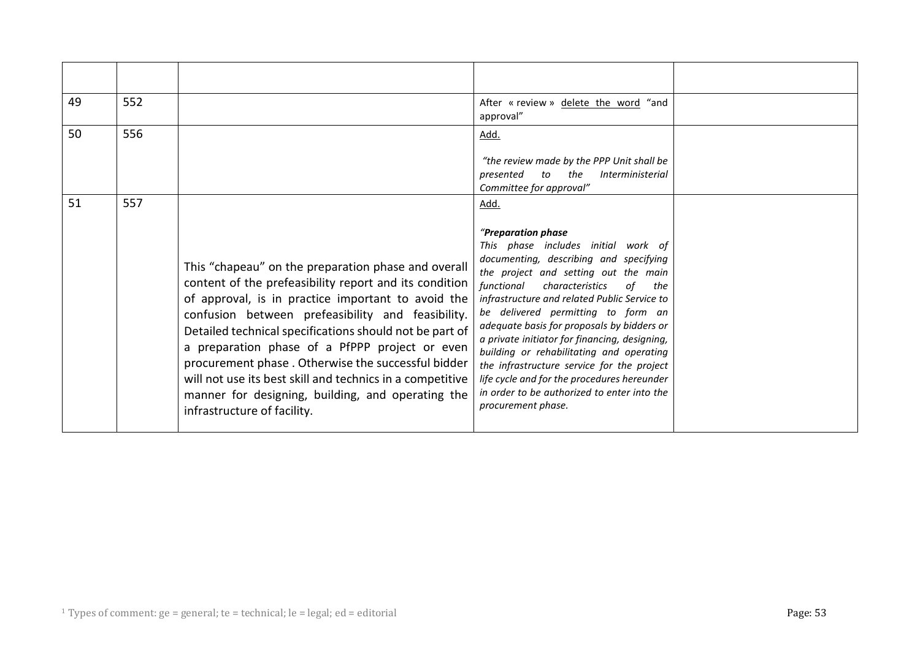| 49 | 552 |                                                                                                                                                                                                                                                                                                                                                                                                                                                                                                                                              | After « review » delete the word "and<br>approval"                                                                                                                                                                                                                                                                                                                                                                                                                                                                                                                                                   |  |
|----|-----|----------------------------------------------------------------------------------------------------------------------------------------------------------------------------------------------------------------------------------------------------------------------------------------------------------------------------------------------------------------------------------------------------------------------------------------------------------------------------------------------------------------------------------------------|------------------------------------------------------------------------------------------------------------------------------------------------------------------------------------------------------------------------------------------------------------------------------------------------------------------------------------------------------------------------------------------------------------------------------------------------------------------------------------------------------------------------------------------------------------------------------------------------------|--|
| 50 | 556 |                                                                                                                                                                                                                                                                                                                                                                                                                                                                                                                                              | Add.<br>"the review made by the PPP Unit shall be<br>the<br><i>Interministerial</i><br>presented<br>to<br>Committee for approval"                                                                                                                                                                                                                                                                                                                                                                                                                                                                    |  |
| 51 | 557 | This "chapeau" on the preparation phase and overall<br>content of the prefeasibility report and its condition<br>of approval, is in practice important to avoid the<br>confusion between prefeasibility and feasibility.<br>Detailed technical specifications should not be part of<br>a preparation phase of a PfPPP project or even<br>procurement phase. Otherwise the successful bidder<br>will not use its best skill and technics in a competitive<br>manner for designing, building, and operating the<br>infrastructure of facility. | Add.<br>"Preparation phase<br>This phase includes initial work of<br>documenting, describing and specifying<br>the project and setting out the main<br>functional<br>characteristics<br>of<br>the<br>infrastructure and related Public Service to<br>be delivered permitting to form an<br>adequate basis for proposals by bidders or<br>a private initiator for financing, designing,<br>building or rehabilitating and operating<br>the infrastructure service for the project<br>life cycle and for the procedures hereunder<br>in order to be authorized to enter into the<br>procurement phase. |  |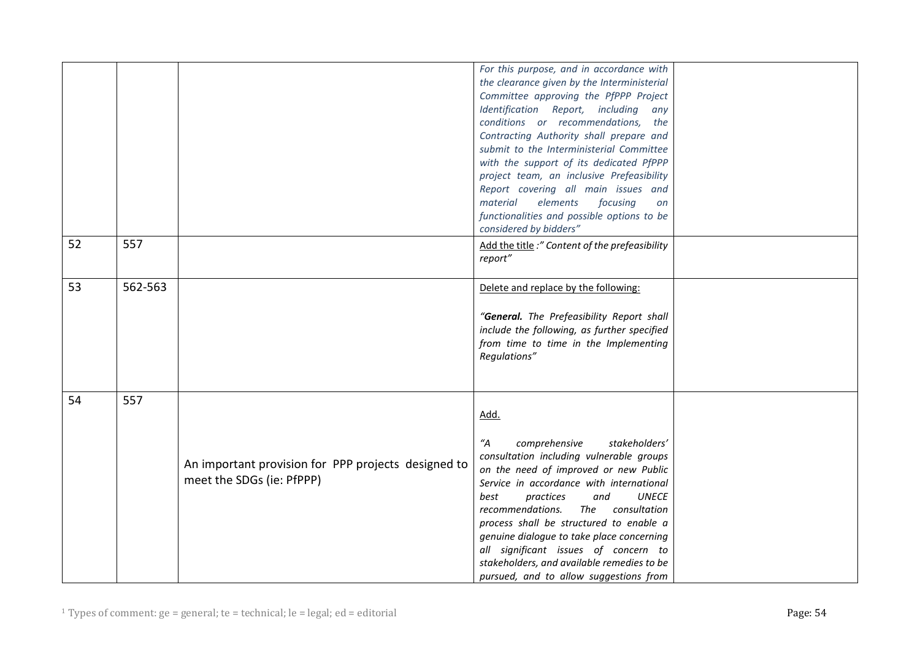|    |         |                                                                                  | For this purpose, and in accordance with<br>the clearance given by the Interministerial<br>Committee approving the PfPPP Project<br>Identification Report, including any<br>conditions or recommendations, the<br>Contracting Authority shall prepare and<br>submit to the Interministerial Committee<br>with the support of its dedicated PfPPP<br>project team, an inclusive Prefeasibility<br>Report covering all main issues and<br>elements<br>focusing<br>material<br>on                                |  |
|----|---------|----------------------------------------------------------------------------------|---------------------------------------------------------------------------------------------------------------------------------------------------------------------------------------------------------------------------------------------------------------------------------------------------------------------------------------------------------------------------------------------------------------------------------------------------------------------------------------------------------------|--|
|    |         |                                                                                  | functionalities and possible options to be<br>considered by bidders"                                                                                                                                                                                                                                                                                                                                                                                                                                          |  |
| 52 | 557     |                                                                                  | Add the title :" Content of the prefeasibility<br>report"                                                                                                                                                                                                                                                                                                                                                                                                                                                     |  |
| 53 | 562-563 |                                                                                  | Delete and replace by the following:<br>"General. The Prefeasibility Report shall<br>include the following, as further specified<br>from time to time in the Implementing<br>Regulations"                                                                                                                                                                                                                                                                                                                     |  |
| 54 | 557     | An important provision for PPP projects designed to<br>meet the SDGs (ie: PfPPP) | Add.<br>$^{\prime\prime}$ A<br>comprehensive<br>stakeholders'<br>consultation including vulnerable groups<br>on the need of improved or new Public<br>Service in accordance with international<br><b>UNECE</b><br>practices<br>and<br>best<br>recommendations.<br>consultation<br>The<br>process shall be structured to enable a<br>genuine dialogue to take place concerning<br>all significant issues of concern to<br>stakeholders, and available remedies to be<br>pursued, and to allow suggestions from |  |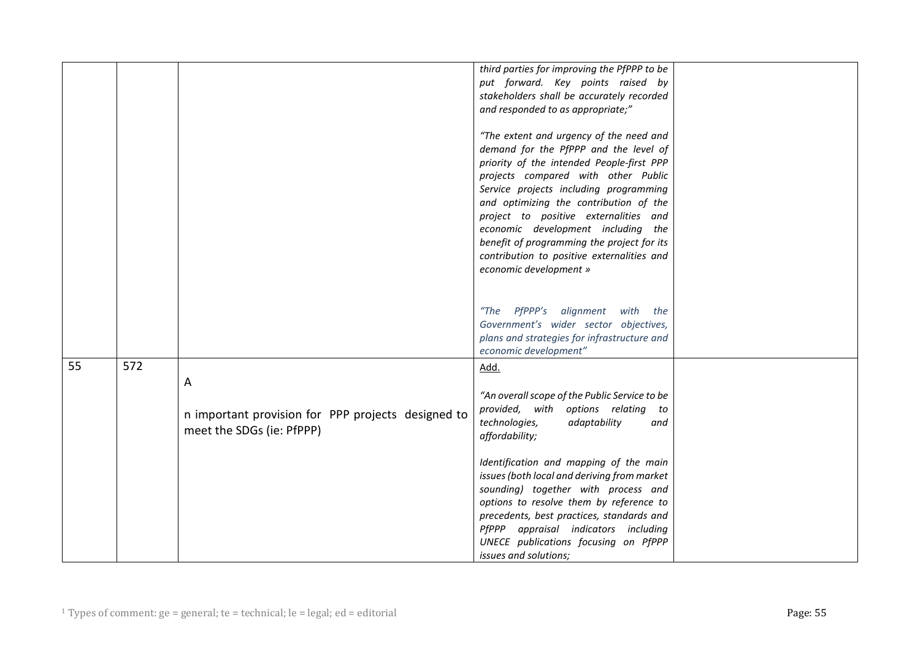|    |     |                                                    | third parties for improving the PfPPP to be   |  |
|----|-----|----------------------------------------------------|-----------------------------------------------|--|
|    |     |                                                    | put forward. Key points raised by             |  |
|    |     |                                                    | stakeholders shall be accurately recorded     |  |
|    |     |                                                    |                                               |  |
|    |     |                                                    | and responded to as appropriate;"             |  |
|    |     |                                                    | "The extent and urgency of the need and       |  |
|    |     |                                                    | demand for the PfPPP and the level of         |  |
|    |     |                                                    | priority of the intended People-first PPP     |  |
|    |     |                                                    | projects compared with other Public           |  |
|    |     |                                                    | Service projects including programming        |  |
|    |     |                                                    | and optimizing the contribution of the        |  |
|    |     |                                                    | project to positive externalities and         |  |
|    |     |                                                    | economic development including the            |  |
|    |     |                                                    | benefit of programming the project for its    |  |
|    |     |                                                    | contribution to positive externalities and    |  |
|    |     |                                                    |                                               |  |
|    |     |                                                    | economic development »                        |  |
|    |     |                                                    |                                               |  |
|    |     |                                                    | "The PfPPP's alignment with the               |  |
|    |     |                                                    | Government's wider sector objectives,         |  |
|    |     |                                                    | plans and strategies for infrastructure and   |  |
|    |     |                                                    | economic development"                         |  |
| 55 | 572 |                                                    | Add.                                          |  |
|    |     |                                                    |                                               |  |
|    |     | $\mathsf{A}$                                       |                                               |  |
|    |     |                                                    | "An overall scope of the Public Service to be |  |
|    |     | n important provision for PPP projects designed to | provided, with options relating to            |  |
|    |     | meet the SDGs (ie: PfPPP)                          | technologies,<br>adaptability<br>and          |  |
|    |     |                                                    | affordability;                                |  |
|    |     |                                                    | Identification and mapping of the main        |  |
|    |     |                                                    | issues (both local and deriving from market   |  |
|    |     |                                                    | sounding) together with process and           |  |
|    |     |                                                    | options to resolve them by reference to       |  |
|    |     |                                                    | precedents, best practices, standards and     |  |
|    |     |                                                    | PfPPP appraisal indicators including          |  |
|    |     |                                                    | UNECE publications focusing on PfPPP          |  |
|    |     |                                                    | issues and solutions;                         |  |
|    |     |                                                    |                                               |  |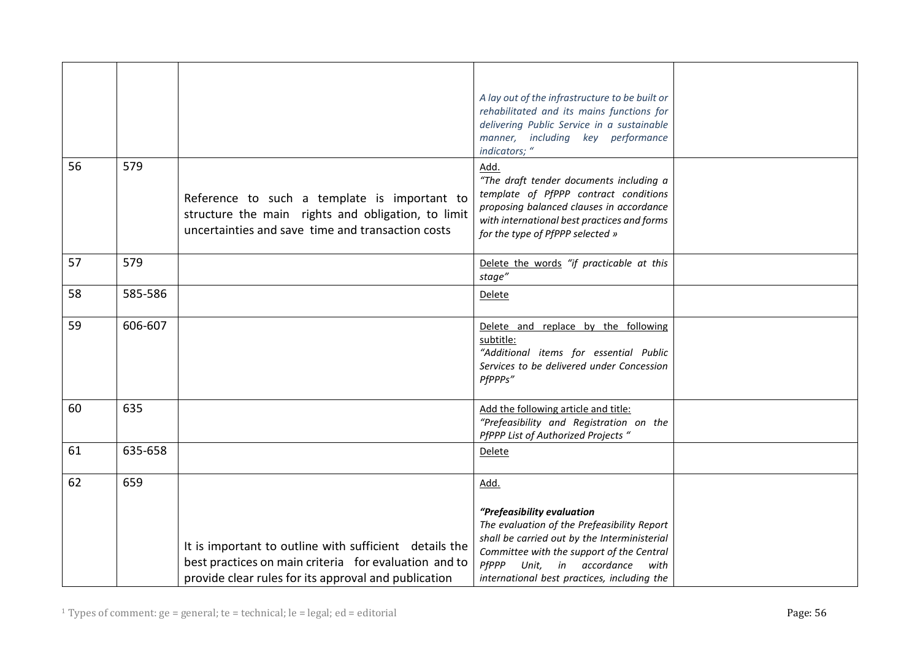| 56 | 579     | Reference to such a template is important to<br>structure the main rights and obligation, to limit<br>uncertainties and save time and transaction costs | A lay out of the infrastructure to be built or<br>rehabilitated and its mains functions for<br>delivering Public Service in a sustainable<br>manner, including key performance<br>indicators; "<br>Add.<br>"The draft tender documents including a<br>template of PfPPP contract conditions<br>proposing balanced clauses in accordance<br>with international best practices and forms |  |
|----|---------|---------------------------------------------------------------------------------------------------------------------------------------------------------|----------------------------------------------------------------------------------------------------------------------------------------------------------------------------------------------------------------------------------------------------------------------------------------------------------------------------------------------------------------------------------------|--|
| 57 | 579     |                                                                                                                                                         | for the type of PfPPP selected »<br>Delete the words "if practicable at this                                                                                                                                                                                                                                                                                                           |  |
|    |         |                                                                                                                                                         | stage"                                                                                                                                                                                                                                                                                                                                                                                 |  |
| 58 | 585-586 |                                                                                                                                                         | <b>Delete</b>                                                                                                                                                                                                                                                                                                                                                                          |  |
| 59 | 606-607 |                                                                                                                                                         | Delete and replace by the following<br>subtitle:<br>"Additional items for essential Public<br>Services to be delivered under Concession<br>PfPPPs"                                                                                                                                                                                                                                     |  |
| 60 | 635     |                                                                                                                                                         | Add the following article and title:<br>"Prefeasibility and Registration on the<br>PfPPP List of Authorized Projects "                                                                                                                                                                                                                                                                 |  |
| 61 | 635-658 |                                                                                                                                                         | Delete                                                                                                                                                                                                                                                                                                                                                                                 |  |
| 62 | 659     | It is important to outline with sufficient details the<br>best practices on main criteria for evaluation and to                                         | Add.<br>"Prefeasibility evaluation<br>The evaluation of the Prefeasibility Report<br>shall be carried out by the Interministerial<br>Committee with the support of the Central<br>PfPPP Unit, in accordance<br>with                                                                                                                                                                    |  |
|    |         | provide clear rules for its approval and publication                                                                                                    | international best practices, including the                                                                                                                                                                                                                                                                                                                                            |  |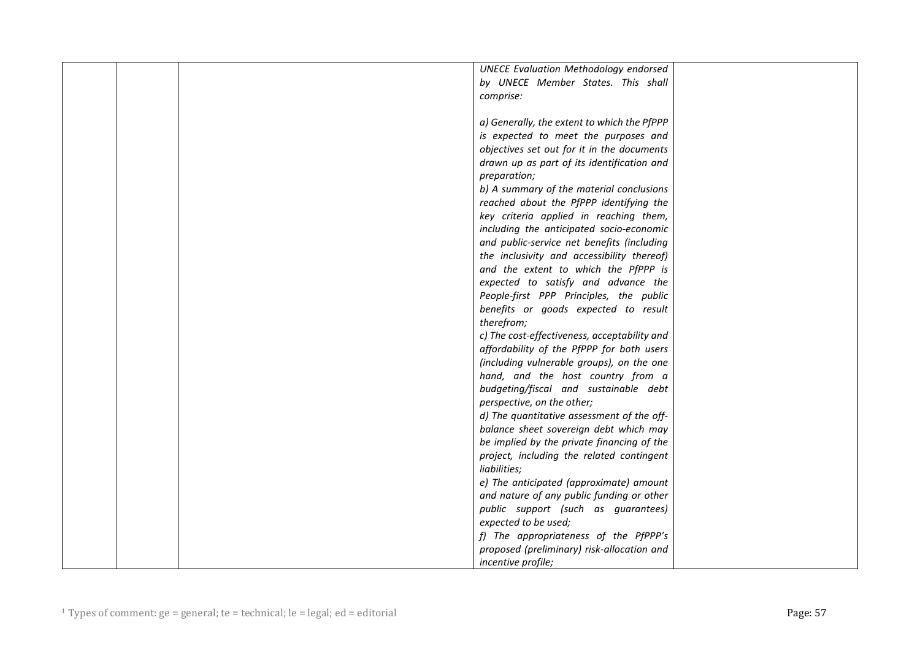|  | <b>UNECE Evaluation Methodology endorsed</b> |  |
|--|----------------------------------------------|--|
|  | by UNECE Member States. This shall           |  |
|  | comprise:                                    |  |
|  |                                              |  |
|  | a) Generally, the extent to which the PfPPP  |  |
|  | is expected to meet the purposes and         |  |
|  | objectives set out for it in the documents   |  |
|  | drawn up as part of its identification and   |  |
|  | preparation;                                 |  |
|  | b) A summary of the material conclusions     |  |
|  | reached about the PfPPP identifying the      |  |
|  | key criteria applied in reaching them,       |  |
|  | including the anticipated socio-economic     |  |
|  | and public-service net benefits (including   |  |
|  | the inclusivity and accessibility thereof)   |  |
|  | and the extent to which the PfPPP is         |  |
|  | expected to satisfy and advance the          |  |
|  | People-first PPP Principles, the public      |  |
|  | benefits or goods expected to result         |  |
|  | therefrom;                                   |  |
|  | c) The cost-effectiveness, acceptability and |  |
|  | affordability of the PfPPP for both users    |  |
|  | (including vulnerable groups), on the one    |  |
|  | hand, and the host country from a            |  |
|  | budgeting/fiscal and sustainable debt        |  |
|  | perspective, on the other;                   |  |
|  | d) The quantitative assessment of the off-   |  |
|  | balance sheet sovereign debt which may       |  |
|  | be implied by the private financing of the   |  |
|  | project, including the related contingent    |  |
|  | liabilities;                                 |  |
|  | e) The anticipated (approximate) amount      |  |
|  | and nature of any public funding or other    |  |
|  | public support (such as guarantees)          |  |
|  | expected to be used;                         |  |
|  | f) The appropriateness of the PfPPP's        |  |
|  | proposed (preliminary) risk-allocation and   |  |
|  | <i>incentive profile;</i>                    |  |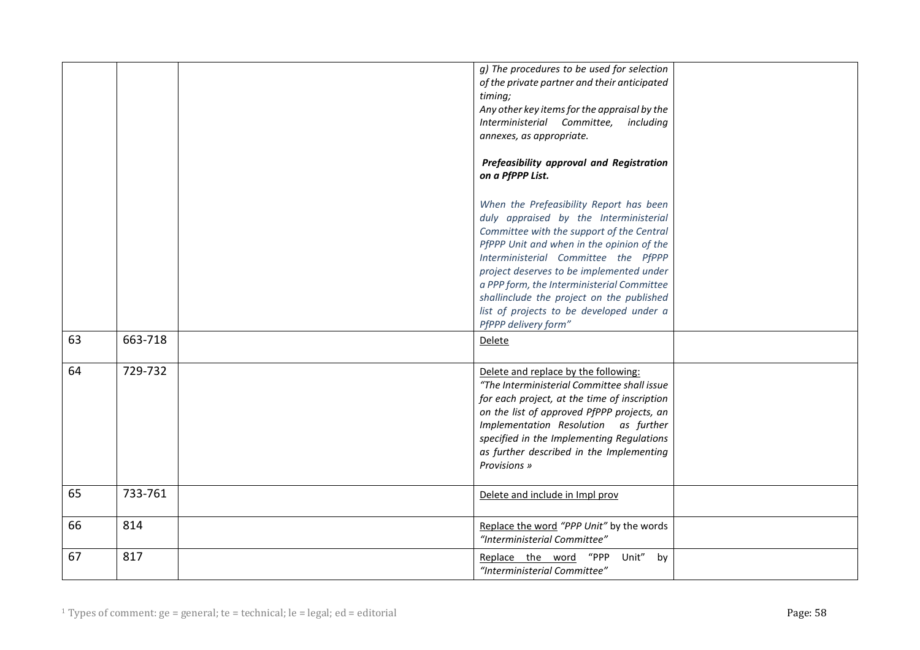|    |         | g) The procedures to be used for selection<br>of the private partner and their anticipated<br>timing;<br>Any other key items for the appraisal by the<br>Interministerial Committee,<br>including<br>annexes, as appropriate.<br>Prefeasibility approval and Registration<br>on a PfPPP List.<br>When the Prefeasibility Report has been<br>duly appraised by the Interministerial<br>Committee with the support of the Central<br>PfPPP Unit and when in the opinion of the<br>Interministerial Committee the PfPPP<br>project deserves to be implemented under<br>a PPP form, the Interministerial Committee<br>shallinclude the project on the published<br>list of projects to be developed under a<br>PfPPP delivery form" |  |
|----|---------|---------------------------------------------------------------------------------------------------------------------------------------------------------------------------------------------------------------------------------------------------------------------------------------------------------------------------------------------------------------------------------------------------------------------------------------------------------------------------------------------------------------------------------------------------------------------------------------------------------------------------------------------------------------------------------------------------------------------------------|--|
| 63 | 663-718 | Delete                                                                                                                                                                                                                                                                                                                                                                                                                                                                                                                                                                                                                                                                                                                          |  |
| 64 | 729-732 | Delete and replace by the following:<br>"The Interministerial Committee shall issue<br>for each project, at the time of inscription<br>on the list of approved PfPPP projects, an<br>Implementation Resolution as further<br>specified in the Implementing Regulations<br>as further described in the Implementing<br>Provisions »                                                                                                                                                                                                                                                                                                                                                                                              |  |
| 65 | 733-761 | Delete and include in Impl prov                                                                                                                                                                                                                                                                                                                                                                                                                                                                                                                                                                                                                                                                                                 |  |
| 66 | 814     | Replace the word "PPP Unit" by the words<br>"Interministerial Committee"                                                                                                                                                                                                                                                                                                                                                                                                                                                                                                                                                                                                                                                        |  |
| 67 | 817     | Unit" by<br>Replace the word "PPP<br>"Interministerial Committee"                                                                                                                                                                                                                                                                                                                                                                                                                                                                                                                                                                                                                                                               |  |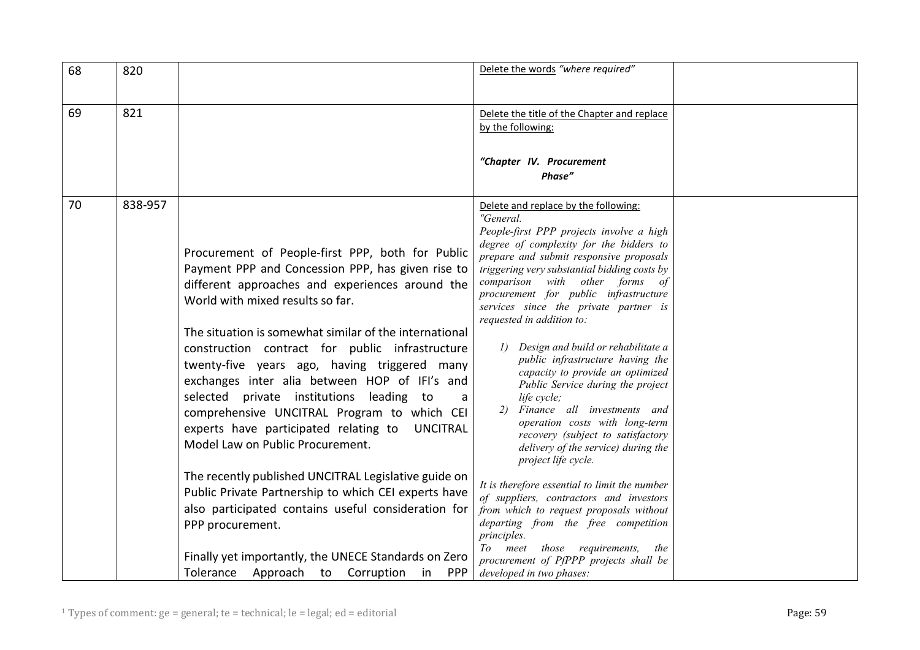| 68 | 820     |                                                                                                                                                                                                                                                                                                                                                                                                                                                                                                                                                                                                                                                          | Delete the words "where required"                                                                                                                                                                                                                                                                                                                                                                                                                                                                                                                                                                                                                                                                                                                                                 |  |
|----|---------|----------------------------------------------------------------------------------------------------------------------------------------------------------------------------------------------------------------------------------------------------------------------------------------------------------------------------------------------------------------------------------------------------------------------------------------------------------------------------------------------------------------------------------------------------------------------------------------------------------------------------------------------------------|-----------------------------------------------------------------------------------------------------------------------------------------------------------------------------------------------------------------------------------------------------------------------------------------------------------------------------------------------------------------------------------------------------------------------------------------------------------------------------------------------------------------------------------------------------------------------------------------------------------------------------------------------------------------------------------------------------------------------------------------------------------------------------------|--|
| 69 | 821     |                                                                                                                                                                                                                                                                                                                                                                                                                                                                                                                                                                                                                                                          | Delete the title of the Chapter and replace<br>by the following:<br>"Chapter IV. Procurement                                                                                                                                                                                                                                                                                                                                                                                                                                                                                                                                                                                                                                                                                      |  |
|    |         |                                                                                                                                                                                                                                                                                                                                                                                                                                                                                                                                                                                                                                                          | Phase"                                                                                                                                                                                                                                                                                                                                                                                                                                                                                                                                                                                                                                                                                                                                                                            |  |
| 70 | 838-957 | Procurement of People-first PPP, both for Public<br>Payment PPP and Concession PPP, has given rise to<br>different approaches and experiences around the<br>World with mixed results so far.<br>The situation is somewhat similar of the international<br>construction contract for public infrastructure<br>twenty-five years ago, having triggered many<br>exchanges inter alia between HOP of IFI's and<br>selected private institutions leading to<br>a<br>comprehensive UNCITRAL Program to which CEI<br>experts have participated relating to UNCITRAL<br>Model Law on Public Procurement.<br>The recently published UNCITRAL Legislative guide on | Delete and replace by the following:<br>"General.<br>People-first PPP projects involve a high<br>degree of complexity for the bidders to<br>prepare and submit responsive proposals<br>triggering very substantial bidding costs by<br>comparison with other forms of<br>procurement for public infrastructure<br>services since the private partner is<br>requested in addition to:<br>Design and build or rehabilitate a<br>public infrastructure having the<br>capacity to provide an optimized<br>Public Service during the project<br>life cycle;<br>Finance all investments and<br>2)<br>operation costs with long-term<br>recovery (subject to satisfactory<br>delivery of the service) during the<br>project life cycle.<br>It is therefore essential to limit the number |  |
|    |         | Public Private Partnership to which CEI experts have<br>also participated contains useful consideration for<br>PPP procurement.                                                                                                                                                                                                                                                                                                                                                                                                                                                                                                                          | of suppliers, contractors and investors<br>from which to request proposals without<br>departing from the free competition<br>principles.                                                                                                                                                                                                                                                                                                                                                                                                                                                                                                                                                                                                                                          |  |
|    |         | Finally yet importantly, the UNECE Standards on Zero<br>Tolerance Approach to Corruption<br><b>PPP</b><br>in                                                                                                                                                                                                                                                                                                                                                                                                                                                                                                                                             | To meet those requirements,<br>the<br>procurement of PfPPP projects shall be<br>developed in two phases:                                                                                                                                                                                                                                                                                                                                                                                                                                                                                                                                                                                                                                                                          |  |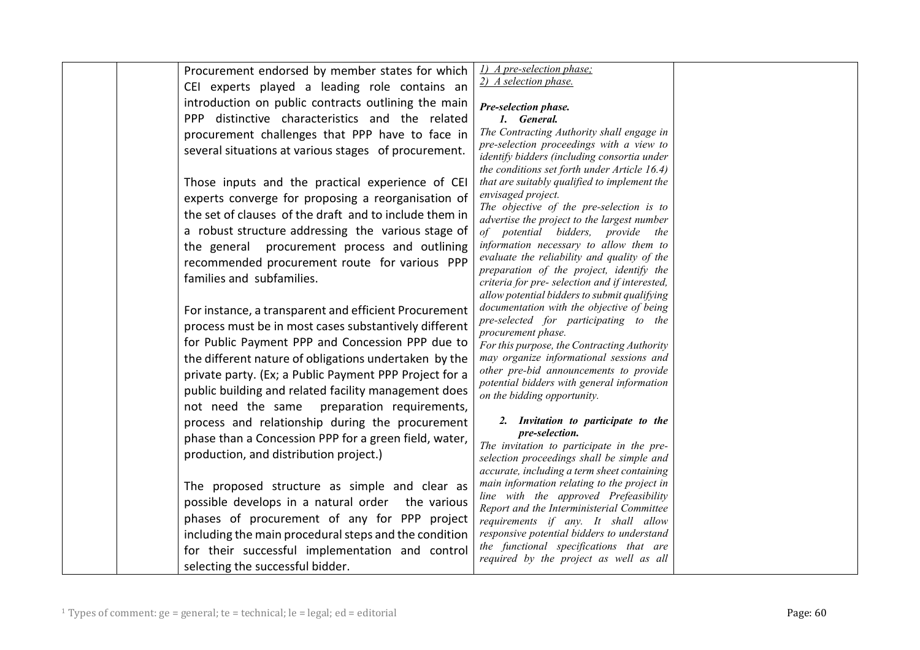| Procurement endorsed by member states for which        | 1) A pre-selection phase;                                                                 |  |
|--------------------------------------------------------|-------------------------------------------------------------------------------------------|--|
| CEI experts played a leading role contains an          | 2) A selection phase.                                                                     |  |
| introduction on public contracts outlining the main    |                                                                                           |  |
|                                                        | Pre-selection phase.                                                                      |  |
| PPP distinctive characteristics and the related        | 1. General.<br>The Contracting Authority shall engage in                                  |  |
| procurement challenges that PPP have to face in        | pre-selection proceedings with a view to                                                  |  |
| several situations at various stages of procurement.   | identify bidders (including consortia under                                               |  |
|                                                        | the conditions set forth under Article 16.4)                                              |  |
| Those inputs and the practical experience of CEI       | that are suitably qualified to implement the                                              |  |
| experts converge for proposing a reorganisation of     | envisaged project.                                                                        |  |
| the set of clauses of the draft and to include them in | The objective of the pre-selection is to<br>advertise the project to the largest number   |  |
| a robust structure addressing the various stage of     | of potential bidders, provide the                                                         |  |
| the general procurement process and outlining          | information necessary to allow them to                                                    |  |
| recommended procurement route for various PPP          | evaluate the reliability and quality of the                                               |  |
| families and subfamilies.                              | preparation of the project, identify the                                                  |  |
|                                                        | criteria for pre- selection and if interested,                                            |  |
|                                                        | allow potential bidders to submit qualifying<br>documentation with the objective of being |  |
| For instance, a transparent and efficient Procurement  | pre-selected for participating to the                                                     |  |
| process must be in most cases substantively different  | procurement phase.                                                                        |  |
| for Public Payment PPP and Concession PPP due to       | For this purpose, the Contracting Authority                                               |  |
| the different nature of obligations undertaken by the  | may organize informational sessions and                                                   |  |
| private party. (Ex; a Public Payment PPP Project for a | other pre-bid announcements to provide                                                    |  |
| public building and related facility management does   | potential bidders with general information<br>on the bidding opportunity.                 |  |
| not need the same<br>preparation requirements,         |                                                                                           |  |
| process and relationship during the procurement        | 2. Invitation to participate to the                                                       |  |
| phase than a Concession PPP for a green field, water,  | pre-selection.                                                                            |  |
| production, and distribution project.)                 | The invitation to participate in the pre-                                                 |  |
|                                                        | selection proceedings shall be simple and<br>accurate, including a term sheet containing  |  |
|                                                        | main information relating to the project in                                               |  |
| The proposed structure as simple and clear as          | line with the approved Prefeasibility                                                     |  |
| possible develops in a natural order the various       | Report and the Interministerial Committee                                                 |  |
| phases of procurement of any for PPP project           | requirements if any. It shall allow                                                       |  |
| including the main procedural steps and the condition  | responsive potential bidders to understand                                                |  |
| for their successful implementation and control        | the functional specifications that are<br>required by the project as well as all          |  |
| selecting the successful bidder.                       |                                                                                           |  |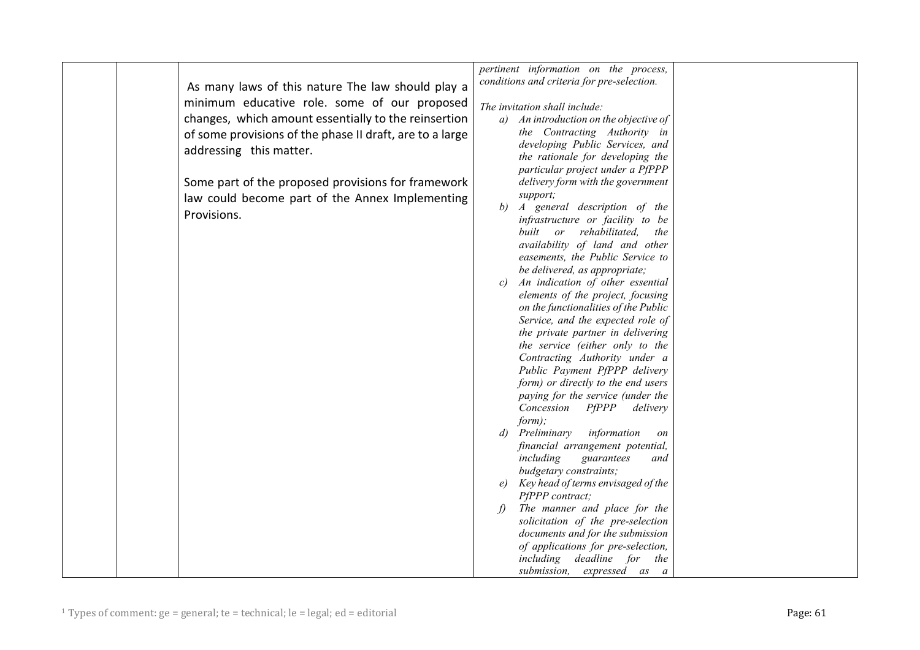|                                                          | pertinent information on the process,                          |
|----------------------------------------------------------|----------------------------------------------------------------|
| As many laws of this nature The law should play a        | conditions and criteria for pre-selection.                     |
|                                                          |                                                                |
| minimum educative role. some of our proposed             | The invitation shall include:                                  |
| changes, which amount essentially to the reinsertion     | a) An introduction on the objective of                         |
| of some provisions of the phase II draft, are to a large | the Contracting Authority in                                   |
| addressing this matter.                                  | developing Public Services, and                                |
|                                                          | the rationale for developing the                               |
|                                                          | particular project under a PfPPP                               |
| Some part of the proposed provisions for framework       | delivery form with the government                              |
| law could become part of the Annex Implementing          | support;                                                       |
| Provisions.                                              | b)<br>A general description of the                             |
|                                                          | infrastructure or facility to be                               |
|                                                          | built or rehabilitated,<br>the                                 |
|                                                          | availability of land and other                                 |
|                                                          | easements, the Public Service to                               |
|                                                          | be delivered, as appropriate;                                  |
|                                                          | An indication of other essential<br>c)                         |
|                                                          | elements of the project, focusing                              |
|                                                          | on the functionalities of the Public                           |
|                                                          | Service, and the expected role of                              |
|                                                          | the private partner in delivering                              |
|                                                          | the service (either only to the                                |
|                                                          | Contracting Authority under a<br>Public Payment PfPPP delivery |
|                                                          | form) or directly to the end users                             |
|                                                          | paying for the service (under the                              |
|                                                          | Concession<br>$P \, \textit{PPP}$<br>delivery                  |
|                                                          | form);                                                         |
|                                                          | Preliminary<br>information<br>d)<br>on                         |
|                                                          | financial arrangement potential,                               |
|                                                          | including<br>guarantees<br>and                                 |
|                                                          | budgetary constraints;                                         |
|                                                          | Key head of terms envisaged of the                             |
|                                                          | PfPPP contract;                                                |
|                                                          | The manner and place for the<br>$\langle f \rangle$            |
|                                                          | solicitation of the pre-selection                              |
|                                                          | documents and for the submission                               |
|                                                          | of applications for pre-selection,                             |
|                                                          | including<br>deadline for the                                  |
|                                                          | submission, expressed as a                                     |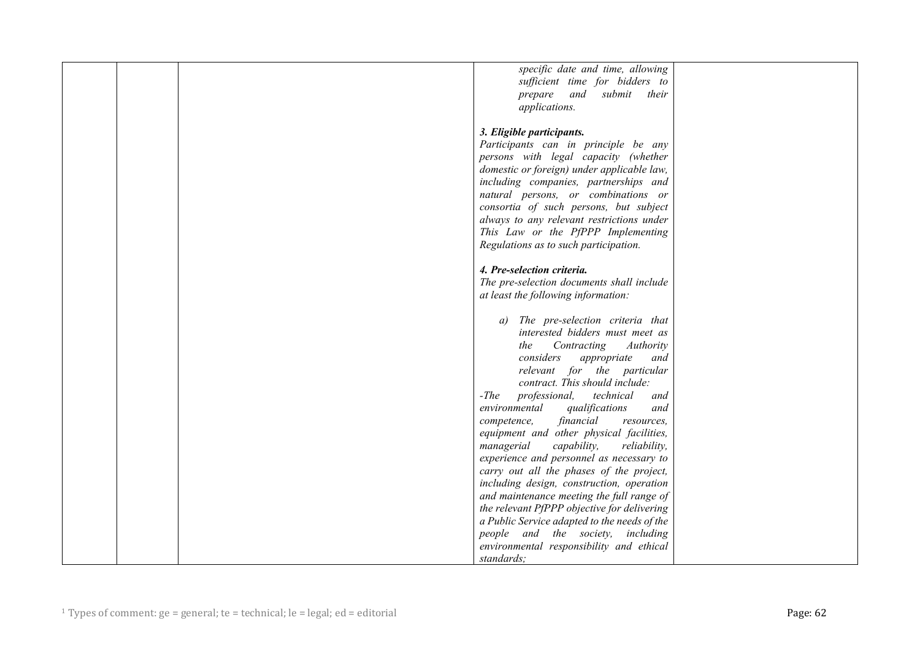| specific date and time, allowing             |  |
|----------------------------------------------|--|
| sufficient time for bidders to               |  |
| prepare and submit their                     |  |
| applications.                                |  |
|                                              |  |
| 3. Eligible participants.                    |  |
|                                              |  |
| Participants can in principle be any         |  |
| persons with legal capacity (whether         |  |
| domestic or foreign) under applicable law,   |  |
| including companies, partnerships and        |  |
| natural persons, or combinations or          |  |
| consortia of such persons, but subject       |  |
| always to any relevant restrictions under    |  |
|                                              |  |
| This Law or the PfPPP Implementing           |  |
| Regulations as to such participation.        |  |
|                                              |  |
| 4. Pre-selection criteria.                   |  |
| The pre-selection documents shall include    |  |
| at least the following information:          |  |
|                                              |  |
| The pre-selection criteria that<br>a)        |  |
| interested bidders must meet as              |  |
| Contracting<br>Authority<br>the              |  |
|                                              |  |
| considers<br>appropriate<br>and              |  |
| relevant for the particular                  |  |
| contract. This should include:               |  |
| -The<br>professional, technical<br>and       |  |
| environmental<br>qualifications<br>and       |  |
| financial<br>competence,<br>resources.       |  |
| equipment and other physical facilities,     |  |
| capability,<br>managerial<br>reliability,    |  |
| experience and personnel as necessary to     |  |
| carry out all the phases of the project,     |  |
|                                              |  |
| including design, construction, operation    |  |
| and maintenance meeting the full range of    |  |
| the relevant PfPPP objective for delivering  |  |
| a Public Service adapted to the needs of the |  |
| people and the society, including            |  |
| environmental responsibility and ethical     |  |
| standards;                                   |  |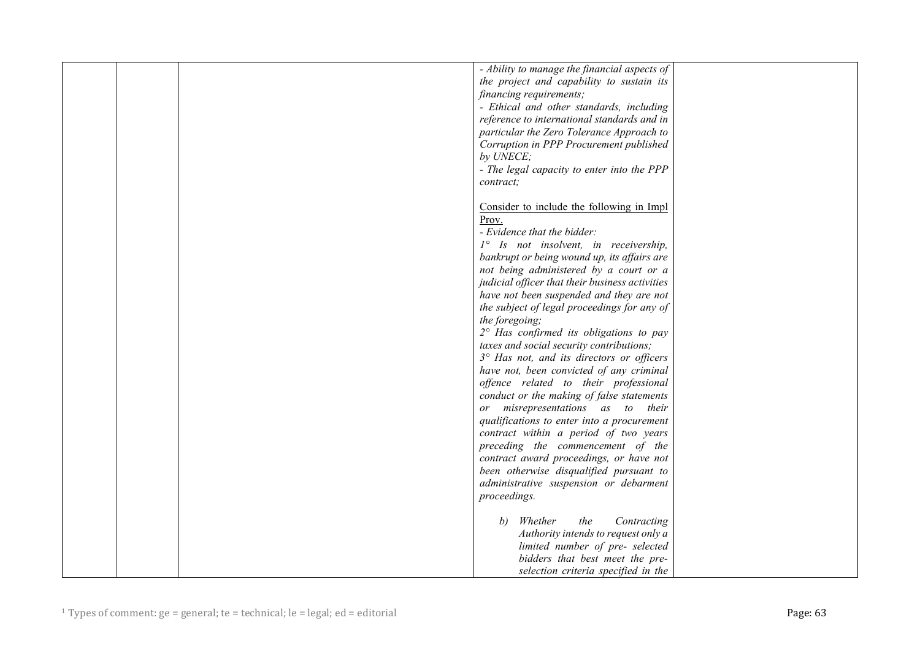|  | - Ability to manage the financial aspects of     |  |
|--|--------------------------------------------------|--|
|  | the project and capability to sustain its        |  |
|  | financing requirements;                          |  |
|  | - Ethical and other standards, including         |  |
|  | reference to international standards and in      |  |
|  | particular the Zero Tolerance Approach to        |  |
|  | Corruption in PPP Procurement published          |  |
|  | by UNECE;                                        |  |
|  | - The legal capacity to enter into the PPP       |  |
|  | contract;                                        |  |
|  |                                                  |  |
|  | Consider to include the following in Impl        |  |
|  | Prov.                                            |  |
|  | - Evidence that the bidder:                      |  |
|  | 1° Is not insolvent, in receivership,            |  |
|  | bankrupt or being wound up, its affairs are      |  |
|  | not being administered by a court or a           |  |
|  | judicial officer that their business activities  |  |
|  | have not been suspended and they are not         |  |
|  |                                                  |  |
|  | the subject of legal proceedings for any of      |  |
|  | the foregoing;                                   |  |
|  | $2^{\circ}$ Has confirmed its obligations to pay |  |
|  | taxes and social security contributions;         |  |
|  | 3° Has not, and its directors or officers        |  |
|  | have not, been convicted of any criminal         |  |
|  | offence related to their professional            |  |
|  | conduct or the making of false statements        |  |
|  | misrepresentations as to their<br>or             |  |
|  | qualifications to enter into a procurement       |  |
|  | contract within a period of two years            |  |
|  | preceding the commencement of the                |  |
|  | contract award proceedings, or have not          |  |
|  | been otherwise disqualified pursuant to          |  |
|  | administrative suspension or debarment           |  |
|  | proceedings.                                     |  |
|  |                                                  |  |
|  | the<br>Whether<br>Contracting<br>b)              |  |
|  | Authority intends to request only a              |  |
|  | limited number of pre- selected                  |  |
|  | bidders that best meet the pre-                  |  |
|  | selection criteria specified in the              |  |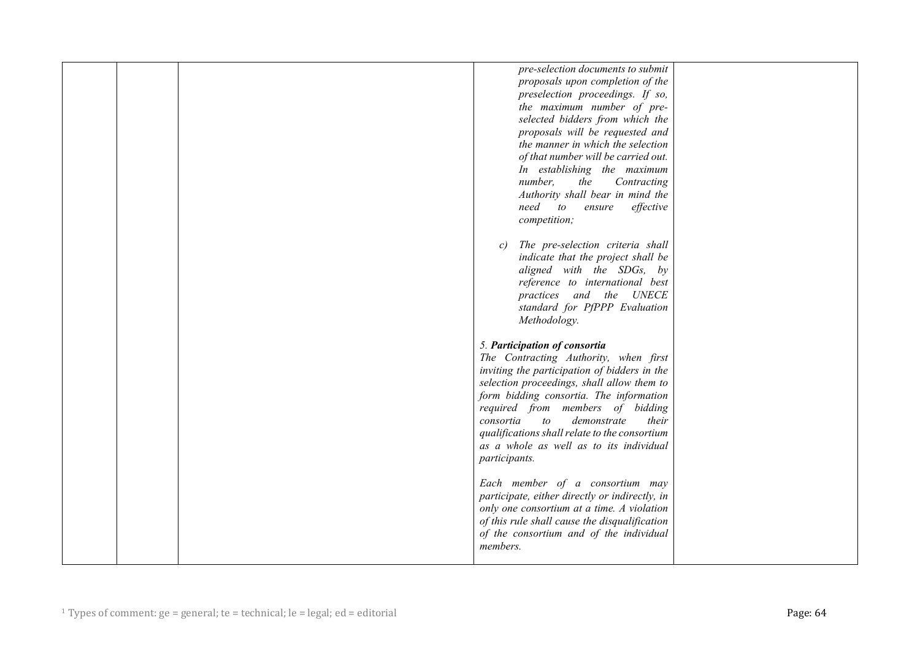| pre-selection documents to submit              |  |
|------------------------------------------------|--|
| proposals upon completion of the               |  |
| preselection proceedings. If so,               |  |
| the maximum number of pre-                     |  |
| selected bidders from which the                |  |
| proposals will be requested and                |  |
| the manner in which the selection              |  |
| of that number will be carried out.            |  |
|                                                |  |
| In establishing the maximum                    |  |
| number,<br>the<br>Contracting                  |  |
| Authority shall bear in mind the               |  |
| need<br>to<br>ensure<br>effective              |  |
| competition;                                   |  |
|                                                |  |
| The pre-selection criteria shall<br>c)         |  |
| indicate that the project shall be             |  |
| aligned with the SDGs, by                      |  |
| reference to international best                |  |
| practices and the UNECE                        |  |
|                                                |  |
| standard for PfPPP Evaluation                  |  |
| Methodology.                                   |  |
|                                                |  |
| 5. Participation of consortia                  |  |
| The Contracting Authority, when first          |  |
| inviting the participation of bidders in the   |  |
| selection proceedings, shall allow them to     |  |
| form bidding consortia. The information        |  |
| required from members of bidding               |  |
| demonstrate<br>their<br>consortia<br>to        |  |
| qualifications shall relate to the consortium  |  |
| as a whole as well as to its individual        |  |
|                                                |  |
| participants.                                  |  |
|                                                |  |
| Each member of a consortium may                |  |
| participate, either directly or indirectly, in |  |
| only one consortium at a time. A violation     |  |
| of this rule shall cause the disqualification  |  |
| of the consortium and of the individual        |  |
| members.                                       |  |
|                                                |  |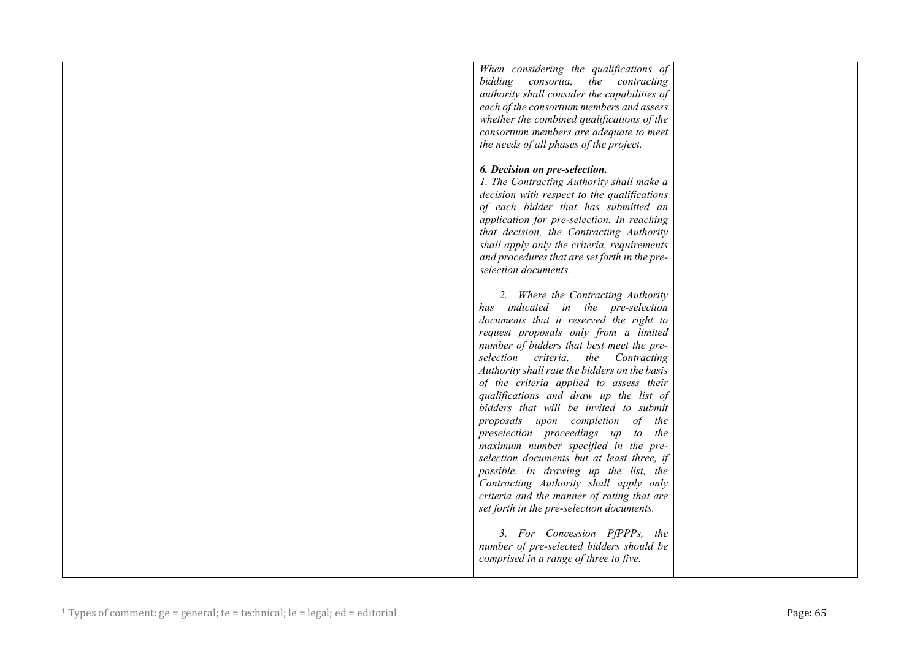|  | When considering the qualifications of<br>bidding consortia, the contracting    |  |
|--|---------------------------------------------------------------------------------|--|
|  | authority shall consider the capabilities of                                    |  |
|  | each of the consortium members and assess                                       |  |
|  | whether the combined qualifications of the                                      |  |
|  | consortium members are adequate to meet                                         |  |
|  | the needs of all phases of the project.                                         |  |
|  |                                                                                 |  |
|  | 6. Decision on pre-selection.                                                   |  |
|  | 1. The Contracting Authority shall make a                                       |  |
|  | decision with respect to the qualifications                                     |  |
|  | of each bidder that has submitted an                                            |  |
|  | application for pre-selection. In reaching                                      |  |
|  | that decision, the Contracting Authority                                        |  |
|  | shall apply only the criteria, requirements                                     |  |
|  | and procedures that are set forth in the pre-                                   |  |
|  | selection documents.                                                            |  |
|  | 2. Where the Contracting Authority                                              |  |
|  | has indicated in the pre-selection                                              |  |
|  | documents that it reserved the right to                                         |  |
|  | request proposals only from a limited                                           |  |
|  | number of bidders that best meet the pre-                                       |  |
|  | selection criteria, the Contracting                                             |  |
|  | Authority shall rate the bidders on the basis                                   |  |
|  | of the criteria applied to assess their                                         |  |
|  | qualifications and draw up the list of                                          |  |
|  | bidders that will be invited to submit                                          |  |
|  | proposals upon completion of the                                                |  |
|  | preselection proceedings up to the                                              |  |
|  | maximum number specified in the pre-                                            |  |
|  | selection documents but at least three, if                                      |  |
|  | possible. In drawing up the list, the<br>Contracting Authority shall apply only |  |
|  | criteria and the manner of rating that are                                      |  |
|  | set forth in the pre-selection documents.                                       |  |
|  |                                                                                 |  |
|  | 3. For Concession PfPPPs, the                                                   |  |
|  | number of pre-selected bidders should be                                        |  |
|  | comprised in a range of three to five.                                          |  |
|  |                                                                                 |  |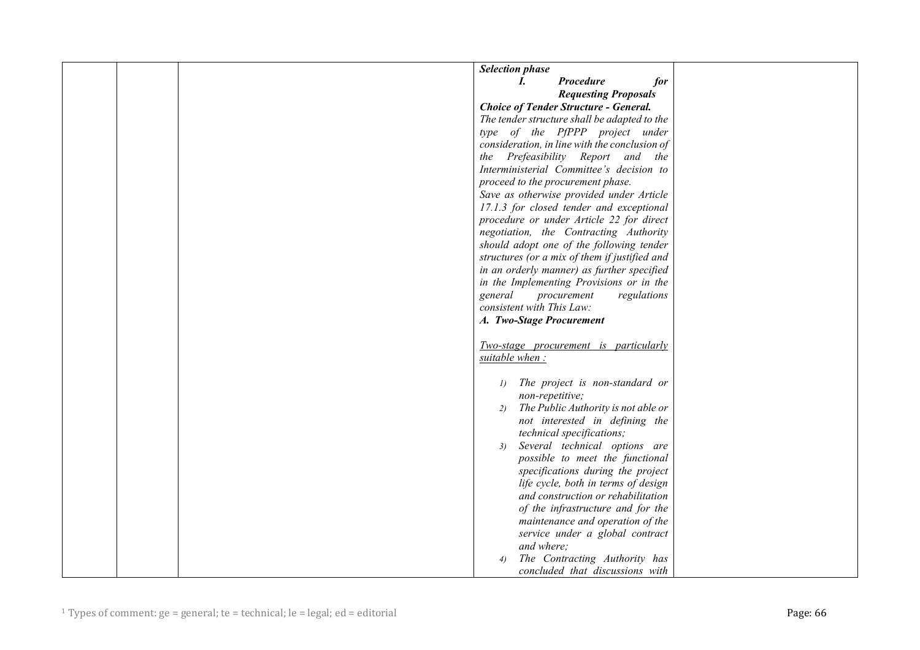| <b>Selection phase</b>                                                   |
|--------------------------------------------------------------------------|
| <b>Procedure</b><br>for<br>L                                             |
| <b>Requesting Proposals</b>                                              |
| <b>Choice of Tender Structure - General.</b>                             |
| The tender structure shall be adapted to the                             |
| type of the PfPPP project under                                          |
| consideration, in line with the conclusion of                            |
| the Prefeasibility Report and the                                        |
| Interministerial Committee's decision to                                 |
| proceed to the procurement phase.                                        |
| Save as otherwise provided under Article                                 |
| 17.1.3 for closed tender and exceptional                                 |
| procedure or under Article 22 for direct                                 |
| negotiation, the Contracting Authority                                   |
| should adopt one of the following tender                                 |
| structures (or a mix of them if justified and                            |
| in an orderly manner) as further specified                               |
| in the Implementing Provisions or in the                                 |
| general<br>procurement<br>regulations                                    |
| consistent with This Law:                                                |
| A. Two-Stage Procurement                                                 |
|                                                                          |
| Two-stage procurement is particularly                                    |
| suitable when:                                                           |
|                                                                          |
| The project is non-standard or<br>$\left( I\right)$                      |
| non-repetitive;                                                          |
| The Public Authority is not able or<br>2)                                |
| not interested in defining the                                           |
| technical specifications;                                                |
| Several technical options are<br>3)                                      |
| possible to meet the functional                                          |
| specifications during the project<br>life cycle, both in terms of design |
| and construction or rehabilitation                                       |
| of the infrastructure and for the                                        |
| maintenance and operation of the                                         |
| service under a global contract                                          |
| and where;                                                               |
| The Contracting Authority has<br>4)                                      |
| concluded that discussions with                                          |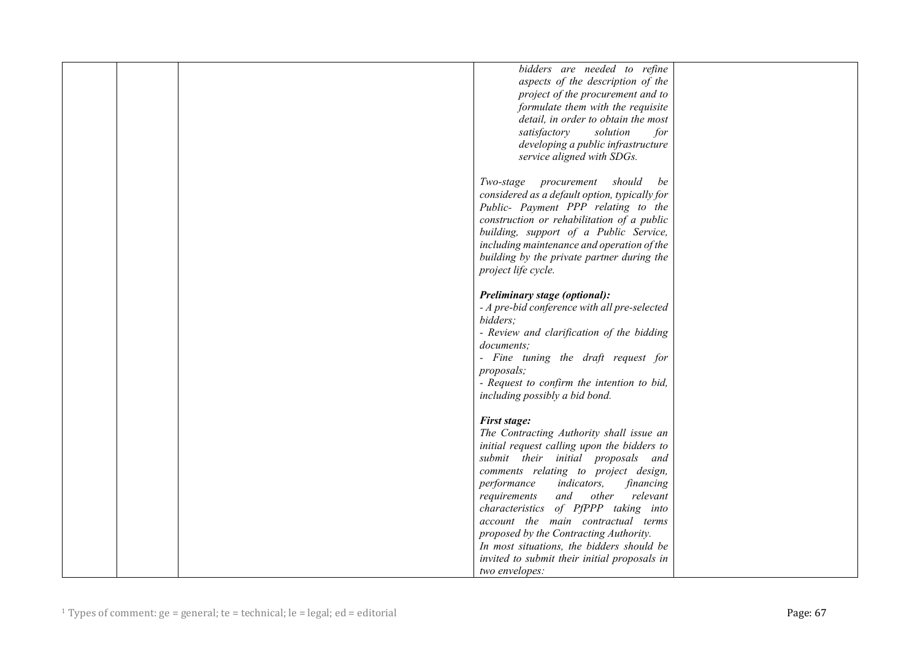|  | bidders are needed to refine                   |  |
|--|------------------------------------------------|--|
|  | aspects of the description of the              |  |
|  |                                                |  |
|  | project of the procurement and to              |  |
|  | formulate them with the requisite              |  |
|  | detail, in order to obtain the most            |  |
|  | satisfactory<br>solution<br>for                |  |
|  | developing a public infrastructure             |  |
|  | service aligned with SDGs.                     |  |
|  |                                                |  |
|  | Two-stage procurement should<br>be             |  |
|  |                                                |  |
|  | considered as a default option, typically for  |  |
|  | Public- Payment PPP relating to the            |  |
|  | construction or rehabilitation of a public     |  |
|  | building, support of a Public Service,         |  |
|  | including maintenance and operation of the     |  |
|  | building by the private partner during the     |  |
|  | project life cycle.                            |  |
|  |                                                |  |
|  | Preliminary stage (optional):                  |  |
|  | - A pre-bid conference with all pre-selected   |  |
|  | bidders;                                       |  |
|  |                                                |  |
|  | - Review and clarification of the bidding      |  |
|  | documents;                                     |  |
|  | - Fine tuning the draft request for            |  |
|  | proposals;                                     |  |
|  | - Request to confirm the intention to bid,     |  |
|  | including possibly a bid bond.                 |  |
|  |                                                |  |
|  | <b>First stage:</b>                            |  |
|  | The Contracting Authority shall issue an       |  |
|  | initial request calling upon the bidders to    |  |
|  |                                                |  |
|  | submit their initial proposals and             |  |
|  | comments relating to project design,           |  |
|  | performance<br><i>indicators,</i><br>financing |  |
|  | and<br>other<br>relevant<br>requirements       |  |
|  | of PfPPP taking into<br>characteristics        |  |
|  | account the main contractual terms             |  |
|  | proposed by the Contracting Authority.         |  |
|  | In most situations, the bidders should be      |  |
|  | invited to submit their initial proposals in   |  |
|  | two envelopes:                                 |  |
|  |                                                |  |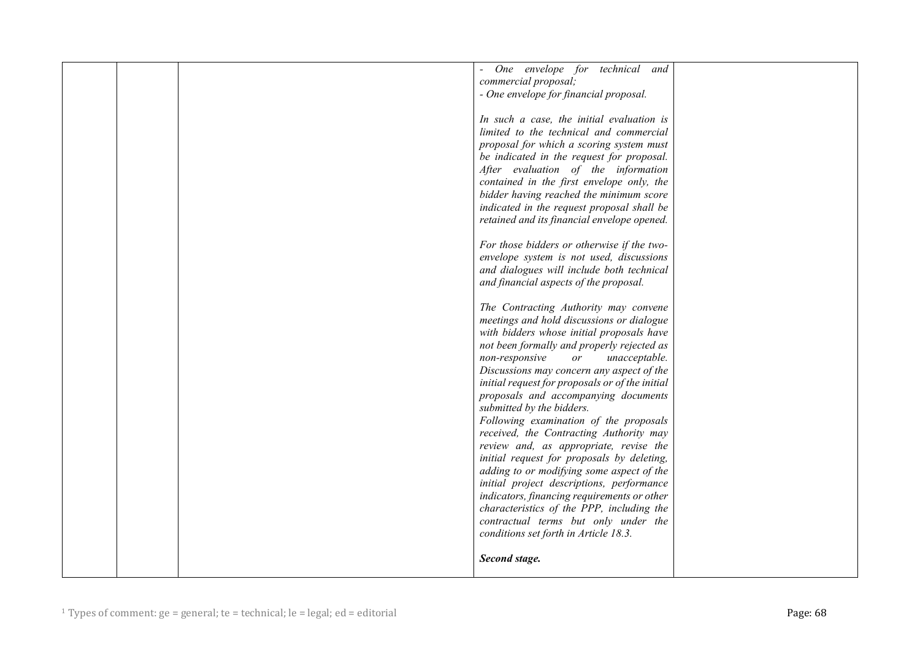|  | One envelope for technical and                  |  |
|--|-------------------------------------------------|--|
|  | commercial proposal;                            |  |
|  | - One envelope for financial proposal.          |  |
|  |                                                 |  |
|  | In such a case, the initial evaluation is       |  |
|  | limited to the technical and commercial         |  |
|  | proposal for which a scoring system must        |  |
|  |                                                 |  |
|  | be indicated in the request for proposal.       |  |
|  | After evaluation of the information             |  |
|  | contained in the first envelope only, the       |  |
|  | bidder having reached the minimum score         |  |
|  | indicated in the request proposal shall be      |  |
|  | retained and its financial envelope opened.     |  |
|  |                                                 |  |
|  | For those bidders or otherwise if the two-      |  |
|  | envelope system is not used, discussions        |  |
|  | and dialogues will include both technical       |  |
|  | and financial aspects of the proposal.          |  |
|  |                                                 |  |
|  | The Contracting Authority may convene           |  |
|  | meetings and hold discussions or dialogue       |  |
|  | with bidders whose initial proposals have       |  |
|  | not been formally and properly rejected as      |  |
|  | non-responsive<br>unacceptable.<br>or           |  |
|  | Discussions may concern any aspect of the       |  |
|  | initial request for proposals or of the initial |  |
|  | proposals and accompanying documents            |  |
|  | submitted by the bidders.                       |  |
|  |                                                 |  |
|  | Following examination of the proposals          |  |
|  | received, the Contracting Authority may         |  |
|  | review and, as appropriate, revise the          |  |
|  | initial request for proposals by deleting,      |  |
|  | adding to or modifying some aspect of the       |  |
|  | initial project descriptions, performance       |  |
|  | indicators, financing requirements or other     |  |
|  | characteristics of the PPP, including the       |  |
|  | contractual terms but only under the            |  |
|  | conditions set forth in Article 18.3.           |  |
|  |                                                 |  |
|  | Second stage.                                   |  |
|  |                                                 |  |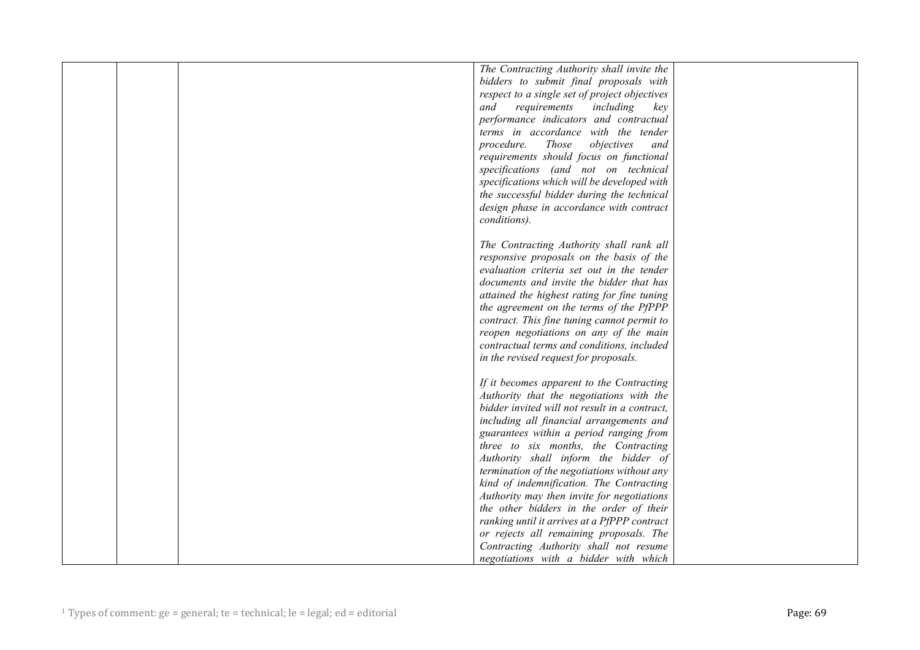|  | The Contracting Authority shall invite the    |  |
|--|-----------------------------------------------|--|
|  | bidders to submit final proposals with        |  |
|  | respect to a single set of project objectives |  |
|  | and<br>requirements<br>including<br>key       |  |
|  | performance indicators and contractual        |  |
|  | terms in accordance with the tender           |  |
|  | Those<br>procedure.<br>objectives<br>and      |  |
|  | requirements should focus on functional       |  |
|  | specifications (and not on technical          |  |
|  | specifications which will be developed with   |  |
|  | the successful bidder during the technical    |  |
|  | design phase in accordance with contract      |  |
|  | conditions).                                  |  |
|  |                                               |  |
|  | The Contracting Authority shall rank all      |  |
|  | responsive proposals on the basis of the      |  |
|  | evaluation criteria set out in the tender     |  |
|  | documents and invite the bidder that has      |  |
|  | attained the highest rating for fine tuning   |  |
|  | the agreement on the terms of the PfPPP       |  |
|  | contract. This fine tuning cannot permit to   |  |
|  | reopen negotiations on any of the main        |  |
|  | contractual terms and conditions, included    |  |
|  | in the revised request for proposals.         |  |
|  |                                               |  |
|  | If it becomes apparent to the Contracting     |  |
|  | Authority that the negotiations with the      |  |
|  | bidder invited will not result in a contract, |  |
|  | including all financial arrangements and      |  |
|  | guarantees within a period ranging from       |  |
|  | three to six months, the Contracting          |  |
|  | Authority shall inform the bidder of          |  |
|  | termination of the negotiations without any   |  |
|  | kind of indemnification. The Contracting      |  |
|  | Authority may then invite for negotiations    |  |
|  | the other bidders in the order of their       |  |
|  | ranking until it arrives at a PfPPP contract  |  |
|  | or rejects all remaining proposals. The       |  |
|  | Contracting Authority shall not resume        |  |
|  | negotiations with a bidder with which         |  |
|  |                                               |  |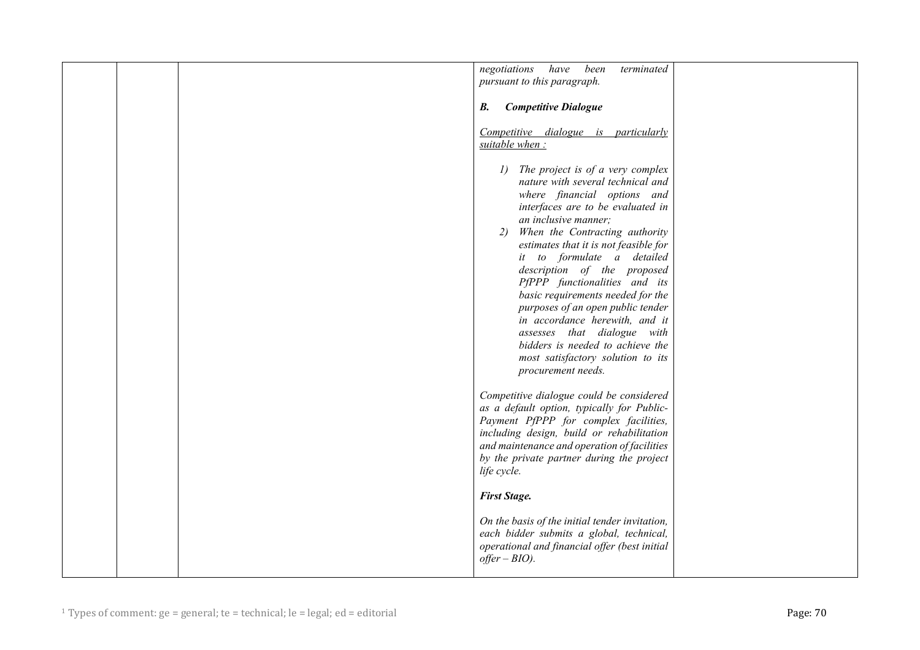|  | negotiations<br>have<br>been<br>terminated<br>pursuant to this paragraph.                                                                                                                                                                                                                                                                                                                                                                                                                                                                                                                     |  |
|--|-----------------------------------------------------------------------------------------------------------------------------------------------------------------------------------------------------------------------------------------------------------------------------------------------------------------------------------------------------------------------------------------------------------------------------------------------------------------------------------------------------------------------------------------------------------------------------------------------|--|
|  | <b>Competitive Dialogue</b><br>В.                                                                                                                                                                                                                                                                                                                                                                                                                                                                                                                                                             |  |
|  | Competitive dialogue is particularly<br>suitable when:                                                                                                                                                                                                                                                                                                                                                                                                                                                                                                                                        |  |
|  | 1) The project is of a very complex<br>nature with several technical and<br>where financial options and<br>interfaces are to be evaluated in<br>an inclusive manner;<br>When the Contracting authority<br>2)<br>estimates that it is not feasible for<br>it to formulate a detailed<br>description of the proposed<br>PfPPP functionalities and its<br>basic requirements needed for the<br>purposes of an open public tender<br>in accordance herewith, and it<br>assesses that dialogue with<br>bidders is needed to achieve the<br>most satisfactory solution to its<br>procurement needs. |  |
|  | Competitive dialogue could be considered<br>as a default option, typically for Public-<br>Payment PfPPP for complex facilities,<br>including design, build or rehabilitation<br>and maintenance and operation of facilities<br>by the private partner during the project<br>life cycle.                                                                                                                                                                                                                                                                                                       |  |
|  | <b>First Stage.</b>                                                                                                                                                                                                                                                                                                                                                                                                                                                                                                                                                                           |  |
|  | On the basis of the initial tender invitation,<br>each bidder submits a global, technical,<br>operational and financial offer (best initial<br>$offer-BIO$ ).                                                                                                                                                                                                                                                                                                                                                                                                                                 |  |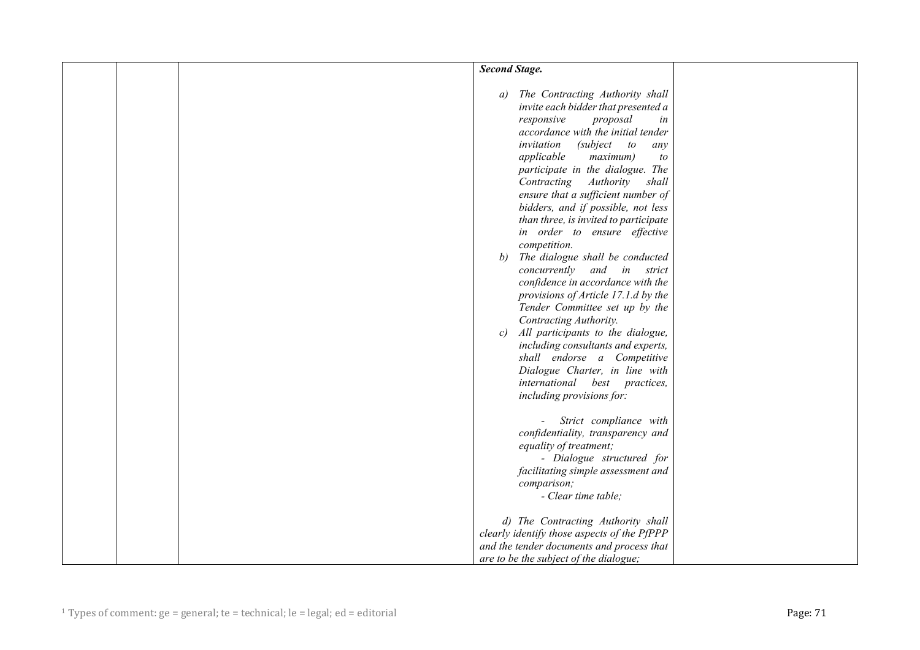|  | <b>Second Stage.</b>                                                                                                                                                                                                                                                                                                                                                                                                                                                                                                                                                                                                                                                                                                                                                                                                                                                                                |  |
|--|-----------------------------------------------------------------------------------------------------------------------------------------------------------------------------------------------------------------------------------------------------------------------------------------------------------------------------------------------------------------------------------------------------------------------------------------------------------------------------------------------------------------------------------------------------------------------------------------------------------------------------------------------------------------------------------------------------------------------------------------------------------------------------------------------------------------------------------------------------------------------------------------------------|--|
|  | The Contracting Authority shall<br>a)<br>invite each bidder that presented a<br>responsive<br>proposal<br>in<br>accordance with the initial tender<br>invitation<br>(subject to<br>any<br>applicable<br>maximum)<br>to<br>participate in the dialogue. The<br>Contracting<br>Authority<br>shall<br>ensure that a sufficient number of<br>bidders, and if possible, not less<br>than three, is invited to participate<br>in order to ensure effective<br>competition.<br>The dialogue shall be conducted<br>b)<br>concurrently and in strict<br>confidence in accordance with the<br>provisions of Article 17.1.d by the<br>Tender Committee set up by the<br>Contracting Authority.<br>All participants to the dialogue,<br>c)<br>including consultants and experts,<br>shall endorse a Competitive<br>Dialogue Charter, in line with<br>international best practices,<br>including provisions for: |  |
|  | Strict compliance with<br>confidentiality, transparency and<br>equality of treatment;<br>- Dialogue structured for<br>facilitating simple assessment and<br>comparison;<br>- Clear time table;<br>d) The Contracting Authority shall<br>clearly identify those aspects of the PfPPP<br>and the tender documents and process that<br>are to be the subject of the dialogue;                                                                                                                                                                                                                                                                                                                                                                                                                                                                                                                          |  |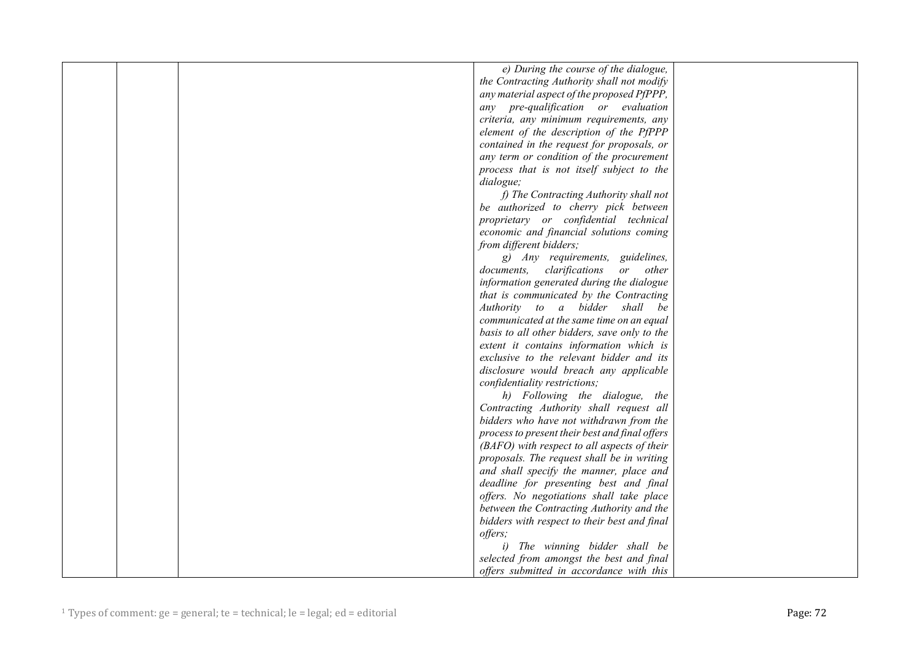|  | e) During the course of the dialogue,          |  |
|--|------------------------------------------------|--|
|  | the Contracting Authority shall not modify     |  |
|  | any material aspect of the proposed PfPPP,     |  |
|  | any pre-qualification or evaluation            |  |
|  | criteria, any minimum requirements, any        |  |
|  | element of the description of the PfPPP        |  |
|  | contained in the request for proposals, or     |  |
|  | any term or condition of the procurement       |  |
|  |                                                |  |
|  | process that is not itself subject to the      |  |
|  | dialogue;                                      |  |
|  | f) The Contracting Authority shall not         |  |
|  | be authorized to cherry pick between           |  |
|  | proprietary or confidential technical          |  |
|  | economic and financial solutions coming        |  |
|  | from different bidders;                        |  |
|  | g) Any requirements, guidelines,               |  |
|  | clarifications<br>documents,<br>or other       |  |
|  | information generated during the dialogue      |  |
|  | that is communicated by the Contracting        |  |
|  | Authority to a bidder shall be                 |  |
|  | communicated at the same time on an equal      |  |
|  | basis to all other bidders, save only to the   |  |
|  | extent it contains information which is        |  |
|  | exclusive to the relevant bidder and its       |  |
|  | disclosure would breach any applicable         |  |
|  | confidentiality restrictions;                  |  |
|  | h) Following the dialogue, the                 |  |
|  | Contracting Authority shall request all        |  |
|  | bidders who have not withdrawn from the        |  |
|  | process to present their best and final offers |  |
|  | (BAFO) with respect to all aspects of their    |  |
|  | proposals. The request shall be in writing     |  |
|  | and shall specify the manner, place and        |  |
|  | deadline for presenting best and final         |  |
|  | offers. No negotiations shall take place       |  |
|  | between the Contracting Authority and the      |  |
|  | bidders with respect to their best and final   |  |
|  | offers;                                        |  |
|  | i) The winning bidder shall be                 |  |
|  | selected from amongst the best and final       |  |
|  | offers submitted in accordance with this       |  |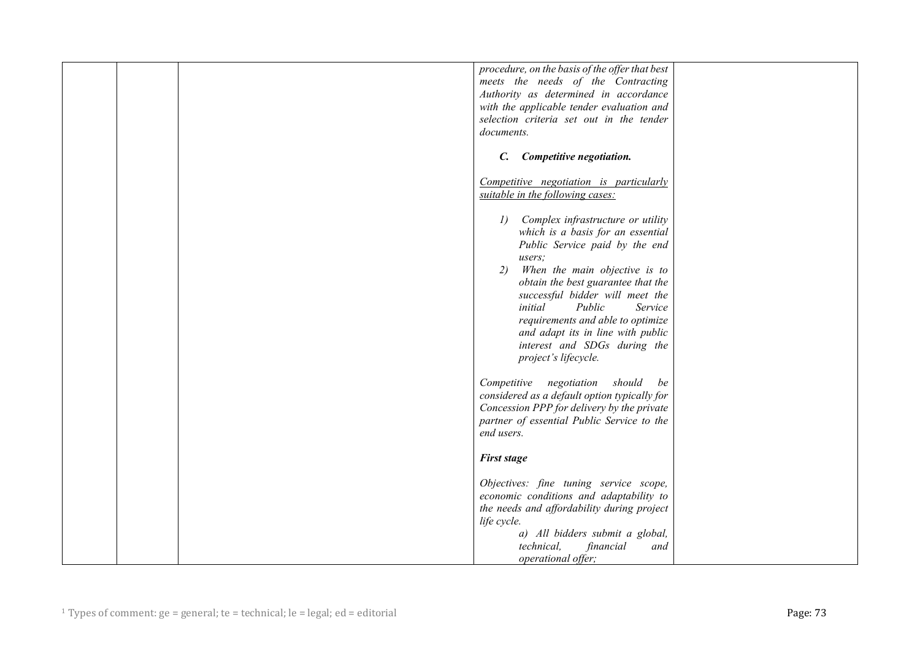|  | procedure, on the basis of the offer that best<br>meets the needs of the Contracting<br>Authority as determined in accordance<br>with the applicable tender evaluation and<br>selection criteria set out in the tender<br>documents.                                                                                                                                                                                                  |  |
|--|---------------------------------------------------------------------------------------------------------------------------------------------------------------------------------------------------------------------------------------------------------------------------------------------------------------------------------------------------------------------------------------------------------------------------------------|--|
|  | Competitive negotiation.<br>$\mathcal{C}$ .                                                                                                                                                                                                                                                                                                                                                                                           |  |
|  | Competitive negotiation is particularly<br>suitable in the following cases:                                                                                                                                                                                                                                                                                                                                                           |  |
|  | Complex infrastructure or utility<br>$\left\langle l\right\rangle$<br>which is a basis for an essential<br>Public Service paid by the end<br>users:<br>When the main objective is to<br>2)<br>obtain the best guarantee that the<br>successful bidder will meet the<br>Public<br>initial<br>Service<br>requirements and able to optimize<br>and adapt its in line with public<br>interest and SDGs during the<br>project's lifecycle. |  |
|  | negotiation<br>should<br>Competitive<br>be<br>considered as a default option typically for<br>Concession PPP for delivery by the private<br>partner of essential Public Service to the<br>end users.                                                                                                                                                                                                                                  |  |
|  | <b>First stage</b>                                                                                                                                                                                                                                                                                                                                                                                                                    |  |
|  | Objectives: fine tuning service scope,<br>economic conditions and adaptability to<br>the needs and affordability during project<br>life cycle.<br>a) All bidders submit a global,<br>technical,<br>financial<br>and                                                                                                                                                                                                                   |  |
|  | operational offer;                                                                                                                                                                                                                                                                                                                                                                                                                    |  |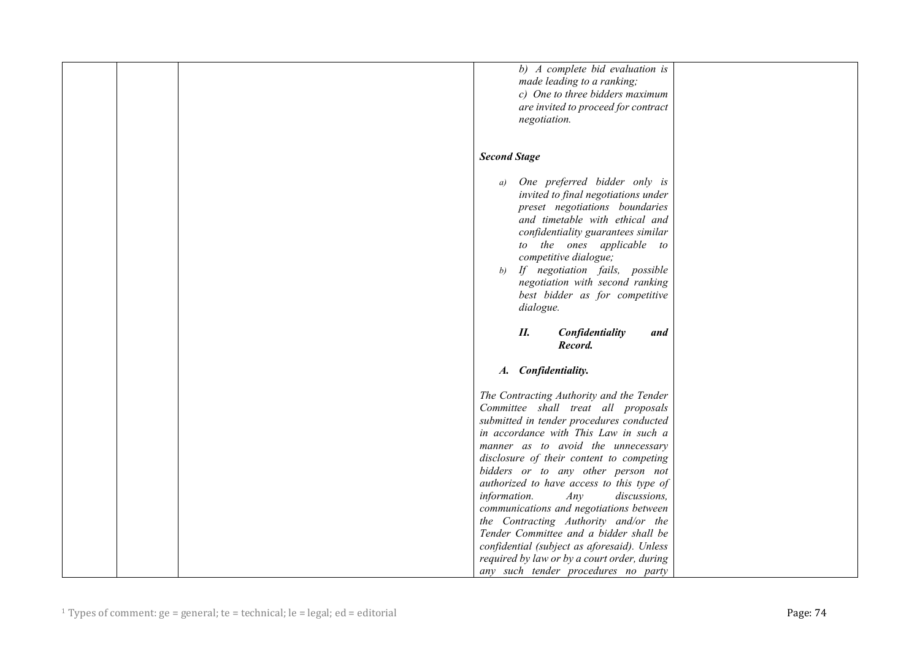| b) A complete bid evaluation is<br>made leading to a ranking;<br>c) One to three bidders maximum<br>are invited to proceed for contract<br>negotiation.<br><b>Second Stage</b><br>One preferred bidder only is<br>a)<br>invited to final negotiations under<br>preset negotiations boundaries<br>and timetable with ethical and<br>confidentiality guarantees similar<br>to the ones applicable to<br>competitive dialogue; |
|-----------------------------------------------------------------------------------------------------------------------------------------------------------------------------------------------------------------------------------------------------------------------------------------------------------------------------------------------------------------------------------------------------------------------------|
|                                                                                                                                                                                                                                                                                                                                                                                                                             |
|                                                                                                                                                                                                                                                                                                                                                                                                                             |
|                                                                                                                                                                                                                                                                                                                                                                                                                             |
|                                                                                                                                                                                                                                                                                                                                                                                                                             |
|                                                                                                                                                                                                                                                                                                                                                                                                                             |
|                                                                                                                                                                                                                                                                                                                                                                                                                             |
|                                                                                                                                                                                                                                                                                                                                                                                                                             |
|                                                                                                                                                                                                                                                                                                                                                                                                                             |
|                                                                                                                                                                                                                                                                                                                                                                                                                             |
|                                                                                                                                                                                                                                                                                                                                                                                                                             |
|                                                                                                                                                                                                                                                                                                                                                                                                                             |
|                                                                                                                                                                                                                                                                                                                                                                                                                             |
|                                                                                                                                                                                                                                                                                                                                                                                                                             |
|                                                                                                                                                                                                                                                                                                                                                                                                                             |
|                                                                                                                                                                                                                                                                                                                                                                                                                             |
|                                                                                                                                                                                                                                                                                                                                                                                                                             |
|                                                                                                                                                                                                                                                                                                                                                                                                                             |
| If negotiation fails, possible<br>b)                                                                                                                                                                                                                                                                                                                                                                                        |
| negotiation with second ranking                                                                                                                                                                                                                                                                                                                                                                                             |
| best bidder as for competitive                                                                                                                                                                                                                                                                                                                                                                                              |
| dialogue.                                                                                                                                                                                                                                                                                                                                                                                                                   |
|                                                                                                                                                                                                                                                                                                                                                                                                                             |
| П.<br>Confidentiality<br>and                                                                                                                                                                                                                                                                                                                                                                                                |
| Record.                                                                                                                                                                                                                                                                                                                                                                                                                     |
|                                                                                                                                                                                                                                                                                                                                                                                                                             |
| A. Confidentiality.                                                                                                                                                                                                                                                                                                                                                                                                         |
|                                                                                                                                                                                                                                                                                                                                                                                                                             |
| The Contracting Authority and the Tender                                                                                                                                                                                                                                                                                                                                                                                    |
| Committee shall treat all proposals                                                                                                                                                                                                                                                                                                                                                                                         |
| submitted in tender procedures conducted                                                                                                                                                                                                                                                                                                                                                                                    |
| in accordance with This Law in such a                                                                                                                                                                                                                                                                                                                                                                                       |
| manner as to avoid the unnecessary                                                                                                                                                                                                                                                                                                                                                                                          |
| disclosure of their content to competing                                                                                                                                                                                                                                                                                                                                                                                    |
| bidders or to any other person not                                                                                                                                                                                                                                                                                                                                                                                          |
| authorized to have access to this type of                                                                                                                                                                                                                                                                                                                                                                                   |
| information.<br>Any<br>discussions,                                                                                                                                                                                                                                                                                                                                                                                         |
| communications and negotiations between                                                                                                                                                                                                                                                                                                                                                                                     |
| the Contracting Authority and/or the                                                                                                                                                                                                                                                                                                                                                                                        |
| Tender Committee and a bidder shall be                                                                                                                                                                                                                                                                                                                                                                                      |
| confidential (subject as aforesaid). Unless                                                                                                                                                                                                                                                                                                                                                                                 |
| required by law or by a court order, during                                                                                                                                                                                                                                                                                                                                                                                 |
| any such tender procedures no party                                                                                                                                                                                                                                                                                                                                                                                         |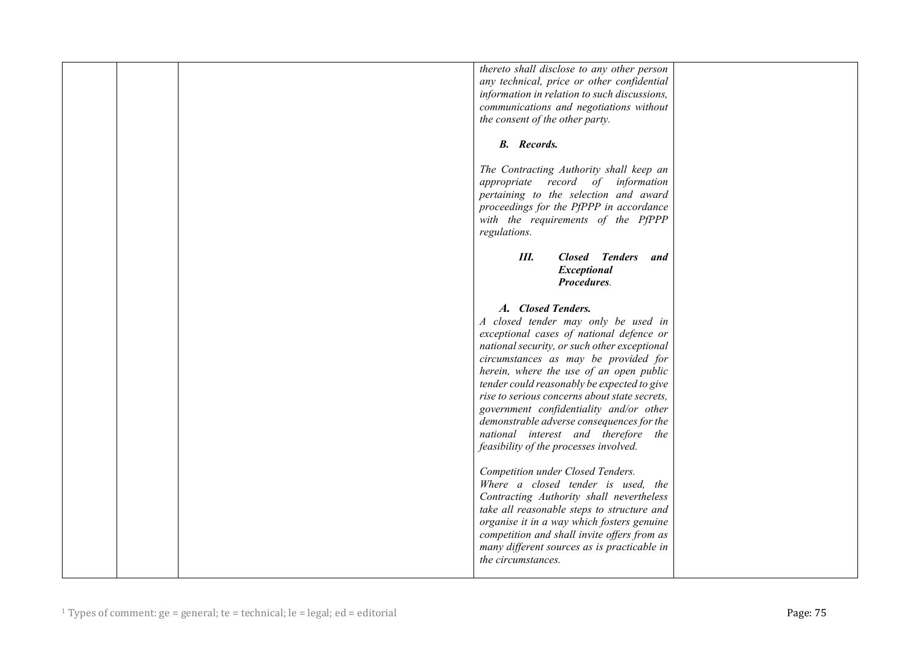|  | thereto shall disclose to any other person<br>any technical, price or other confidential<br>information in relation to such discussions,<br>communications and negotiations without<br>the consent of the other party.<br><b>B.</b> Records.                                                                                                                                                                                                                                                |  |
|--|---------------------------------------------------------------------------------------------------------------------------------------------------------------------------------------------------------------------------------------------------------------------------------------------------------------------------------------------------------------------------------------------------------------------------------------------------------------------------------------------|--|
|  | The Contracting Authority shall keep an<br>appropriate record of information<br>pertaining to the selection and award<br>proceedings for the PfPPP in accordance<br>with the requirements of the PfPPP<br>regulations.                                                                                                                                                                                                                                                                      |  |
|  | Ш.<br><b>Closed Tenders</b><br>and<br>Exceptional<br>Procedures.<br>A. Closed Tenders.                                                                                                                                                                                                                                                                                                                                                                                                      |  |
|  | A closed tender may only be used in<br>exceptional cases of national defence or<br>national security, or such other exceptional<br>circumstances as may be provided for<br>herein, where the use of an open public<br>tender could reasonably be expected to give<br>rise to serious concerns about state secrets,<br>government confidentiality and/or other<br>demonstrable adverse consequences for the<br>national interest and therefore the<br>feasibility of the processes involved. |  |
|  | Competition under Closed Tenders.<br>Where a closed tender is used, the<br>Contracting Authority shall nevertheless<br>take all reasonable steps to structure and<br>organise it in a way which fosters genuine<br>competition and shall invite offers from as<br>many different sources as is practicable in<br>the circumstances.                                                                                                                                                         |  |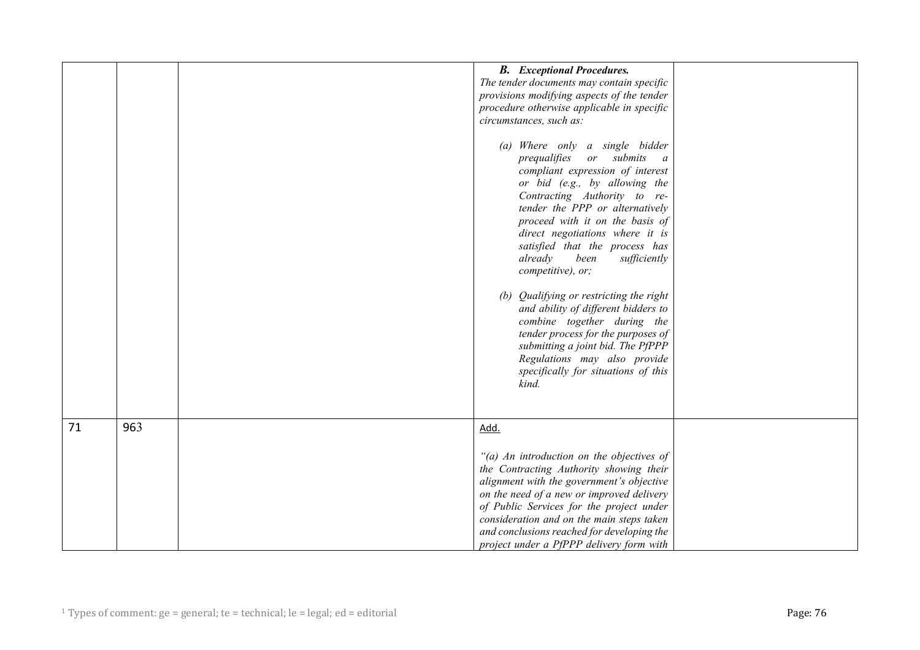|    |     | <b>B.</b> Exceptional Procedures.<br>The tender documents may contain specific<br>provisions modifying aspects of the tender<br>procedure otherwise applicable in specific<br>circumstances, such as:<br>(a) Where only a single bidder<br>prequalifies or submits a<br>compliant expression of interest<br>or bid (e.g., by allowing the<br>Contracting Authority to re-<br>tender the PPP or alternatively<br>proceed with it on the basis of<br>direct negotiations where it is<br>satisfied that the process has<br>already<br>been<br>sufficiently<br>competitive), or;<br>(b) Qualifying or restricting the right<br>and ability of different bidders to<br>combine together during the<br>tender process for the purposes of<br>submitting a joint bid. The PfPPP |  |
|----|-----|--------------------------------------------------------------------------------------------------------------------------------------------------------------------------------------------------------------------------------------------------------------------------------------------------------------------------------------------------------------------------------------------------------------------------------------------------------------------------------------------------------------------------------------------------------------------------------------------------------------------------------------------------------------------------------------------------------------------------------------------------------------------------|--|
|    |     | Regulations may also provide<br>specifically for situations of this<br>kind.                                                                                                                                                                                                                                                                                                                                                                                                                                                                                                                                                                                                                                                                                             |  |
| 71 | 963 | Add.<br>"(a) An introduction on the objectives of<br>the Contracting Authority showing their<br>alignment with the government's objective<br>on the need of a new or improved delivery<br>of Public Services for the project under<br>consideration and on the main steps taken<br>and conclusions reached for developing the<br>project under a PfPPP delivery form with                                                                                                                                                                                                                                                                                                                                                                                                |  |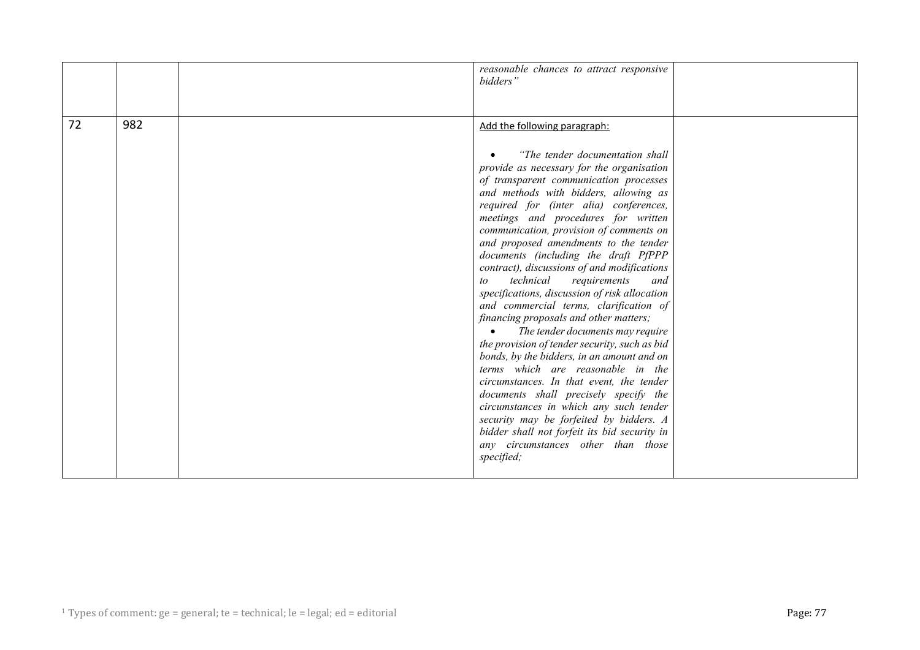|    |     | reasonable chances to attract responsive<br>bidders"                                                                                                                                                                                                                                                                                                                                                                                                                                                                                                                                                                                                                                                                                                                                                                                                                                                                                                                                                                                                                                              |  |
|----|-----|---------------------------------------------------------------------------------------------------------------------------------------------------------------------------------------------------------------------------------------------------------------------------------------------------------------------------------------------------------------------------------------------------------------------------------------------------------------------------------------------------------------------------------------------------------------------------------------------------------------------------------------------------------------------------------------------------------------------------------------------------------------------------------------------------------------------------------------------------------------------------------------------------------------------------------------------------------------------------------------------------------------------------------------------------------------------------------------------------|--|
| 72 | 982 | Add the following paragraph:<br>"The tender documentation shall"<br>provide as necessary for the organisation<br>of transparent communication processes<br>and methods with bidders, allowing as<br>required for (inter alia) conferences,<br>meetings and procedures for written<br>communication, provision of comments on<br>and proposed amendments to the tender<br>documents (including the draft PfPPP<br>contract), discussions of and modifications<br>technical<br>requirements<br>and<br>to<br>specifications, discussion of risk allocation<br>and commercial terms, clarification of<br>financing proposals and other matters;<br>The tender documents may require<br>the provision of tender security, such as bid<br>bonds, by the bidders, in an amount and on<br>terms which are reasonable in the<br>circumstances. In that event, the tender<br>documents shall precisely specify the<br>circumstances in which any such tender<br>security may be forfeited by bidders. A<br>bidder shall not forfeit its bid security in<br>any circumstances other than those<br>specified; |  |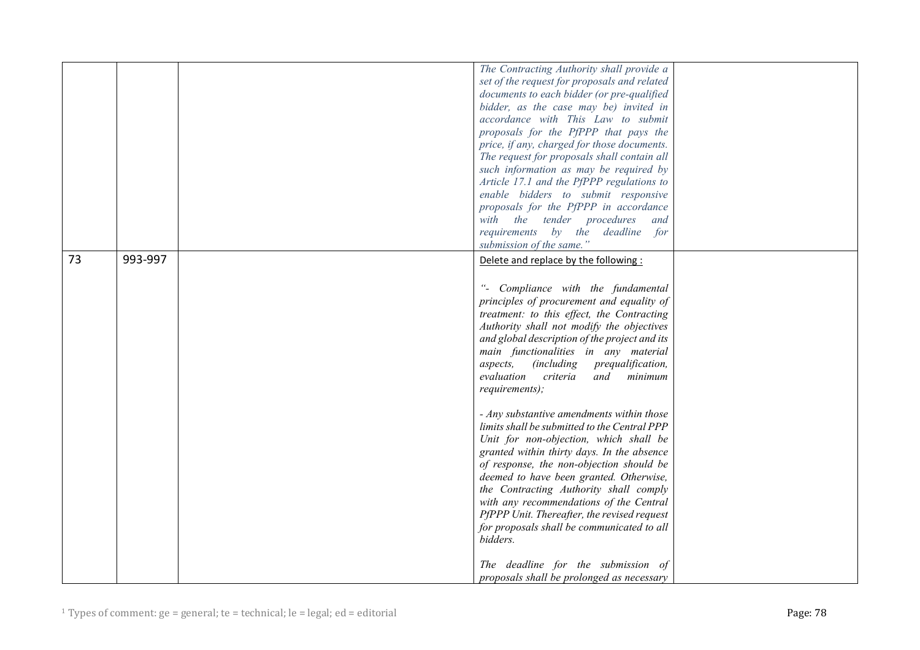|    |         | The Contracting Authority shall provide a     |  |
|----|---------|-----------------------------------------------|--|
|    |         |                                               |  |
|    |         | set of the request for proposals and related  |  |
|    |         | documents to each bidder (or pre-qualified    |  |
|    |         | bidder, as the case may be) invited in        |  |
|    |         | accordance with This Law to submit            |  |
|    |         | proposals for the PfPPP that pays the         |  |
|    |         | price, if any, charged for those documents.   |  |
|    |         | The request for proposals shall contain all   |  |
|    |         | such information as may be required by        |  |
|    |         | Article 17.1 and the PfPPP regulations to     |  |
|    |         |                                               |  |
|    |         | enable bidders to submit responsive           |  |
|    |         | proposals for the PfPPP in accordance         |  |
|    |         | with the tender procedures<br>and             |  |
|    |         | requirements by the deadline<br>for           |  |
|    |         | submission of the same."                      |  |
| 73 | 993-997 | Delete and replace by the following:          |  |
|    |         |                                               |  |
|    |         |                                               |  |
|    |         | "- Compliance with the fundamental            |  |
|    |         | principles of procurement and equality of     |  |
|    |         | treatment: to this effect, the Contracting    |  |
|    |         | Authority shall not modify the objectives     |  |
|    |         | and global description of the project and its |  |
|    |         | main functionalities in any material          |  |
|    |         | (including prequalification,<br>aspects,      |  |
|    |         | evaluation criteria<br>and<br>minimum         |  |
|    |         | requirements);                                |  |
|    |         |                                               |  |
|    |         | - Any substantive amendments within those     |  |
|    |         | limits shall be submitted to the Central PPP  |  |
|    |         |                                               |  |
|    |         | Unit for non-objection, which shall be        |  |
|    |         | granted within thirty days. In the absence    |  |
|    |         | of response, the non-objection should be      |  |
|    |         | deemed to have been granted. Otherwise,       |  |
|    |         | the Contracting Authority shall comply        |  |
|    |         | with any recommendations of the Central       |  |
|    |         | PfPPP Unit. Thereafter, the revised request   |  |
|    |         | for proposals shall be communicated to all    |  |
|    |         | bidders.                                      |  |
|    |         |                                               |  |
|    |         | The deadline for the submission of            |  |
|    |         | proposals shall be prolonged as necessary     |  |
|    |         |                                               |  |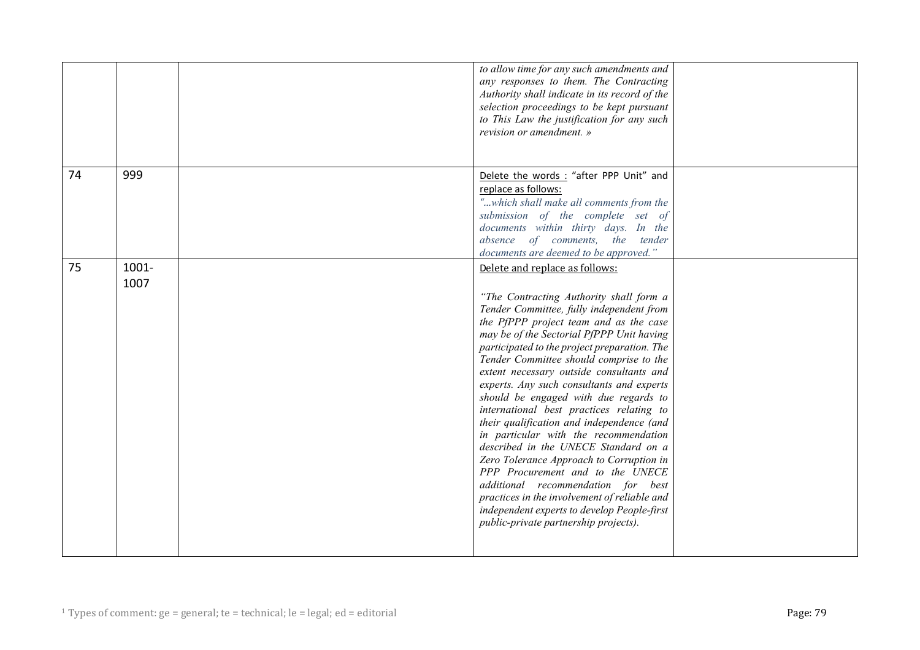|                     | to allow time for any such amendments and<br>any responses to them. The Contracting<br>Authority shall indicate in its record of the<br>selection proceedings to be kept pursuant<br>to This Law the justification for any such<br>revision or amendment. »                                                                                                                                                                                                                                                                                                                                                                                                                                                                                                                                                                                                                       |  |
|---------------------|-----------------------------------------------------------------------------------------------------------------------------------------------------------------------------------------------------------------------------------------------------------------------------------------------------------------------------------------------------------------------------------------------------------------------------------------------------------------------------------------------------------------------------------------------------------------------------------------------------------------------------------------------------------------------------------------------------------------------------------------------------------------------------------------------------------------------------------------------------------------------------------|--|
| 999<br>74           | Delete the words: "after PPP Unit" and<br>replace as follows:<br>"which shall make all comments from the<br>submission of the complete set of<br>documents within thirty days. In the<br>absence of comments, the tender<br>documents are deemed to be approved."                                                                                                                                                                                                                                                                                                                                                                                                                                                                                                                                                                                                                 |  |
| 75<br>1001-<br>1007 | Delete and replace as follows:<br>"The Contracting Authority shall form a<br>Tender Committee, fully independent from<br>the PfPPP project team and as the case<br>may be of the Sectorial PfPPP Unit having<br>participated to the project preparation. The<br>Tender Committee should comprise to the<br>extent necessary outside consultants and<br>experts. Any such consultants and experts<br>should be engaged with due regards to<br>international best practices relating to<br>their qualification and independence (and<br>in particular with the recommendation<br>described in the UNECE Standard on a<br>Zero Tolerance Approach to Corruption in<br>PPP Procurement and to the UNECE<br>additional recommendation for best<br>practices in the involvement of reliable and<br>independent experts to develop People-first<br>public-private partnership projects). |  |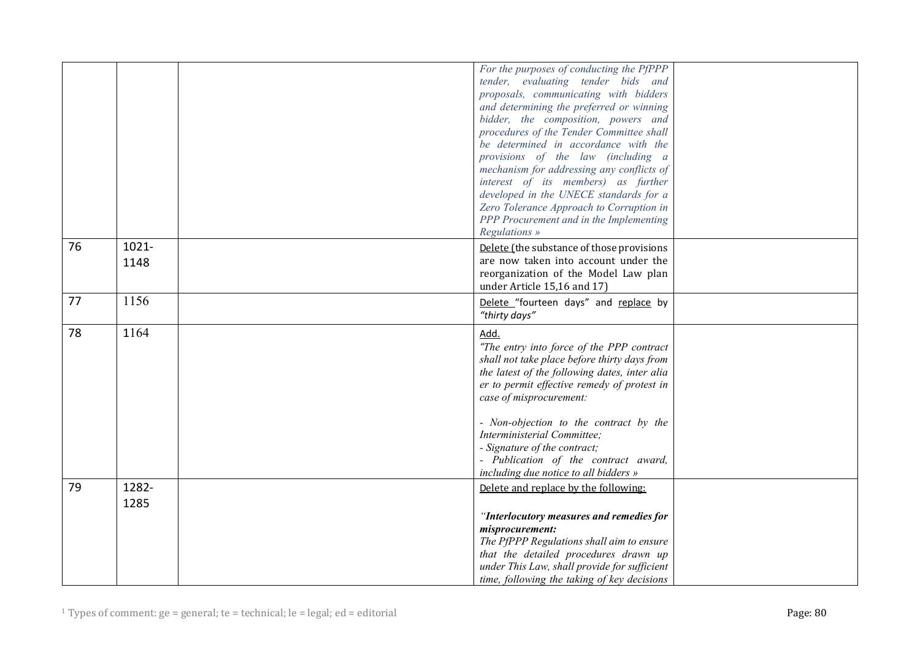|    |       | For the purposes of conducting the PfPPP      |  |
|----|-------|-----------------------------------------------|--|
|    |       | tender, evaluating tender bids and            |  |
|    |       | proposals, communicating with bidders         |  |
|    |       | and determining the preferred or winning      |  |
|    |       |                                               |  |
|    |       | bidder, the composition, powers and           |  |
|    |       | procedures of the Tender Committee shall      |  |
|    |       | be determined in accordance with the          |  |
|    |       | provisions of the law (including a            |  |
|    |       | mechanism for addressing any conflicts of     |  |
|    |       | interest of its members) as further           |  |
|    |       | developed in the UNECE standards for a        |  |
|    |       | Zero Tolerance Approach to Corruption in      |  |
|    |       | PPP Procurement and in the Implementing       |  |
|    |       | Regulations »                                 |  |
| 76 | 1021- | Delete (the substance of those provisions     |  |
|    | 1148  | are now taken into account under the          |  |
|    |       | reorganization of the Model Law plan          |  |
|    |       | under Article 15,16 and 17)                   |  |
| 77 | 1156  |                                               |  |
|    |       | Delete "fourteen days" and replace by         |  |
|    |       | "thirty days"                                 |  |
| 78 | 1164  | Add.                                          |  |
|    |       | "The entry into force of the PPP contract     |  |
|    |       | shall not take place before thirty days from  |  |
|    |       | the latest of the following dates, inter alia |  |
|    |       | er to permit effective remedy of protest in   |  |
|    |       | case of misprocurement:                       |  |
|    |       |                                               |  |
|    |       | - Non-objection to the contract by the        |  |
|    |       | Interministerial Committee;                   |  |
|    |       | - Signature of the contract;                  |  |
|    |       | - Publication of the contract award,          |  |
|    |       | including due notice to all bidders »         |  |
| 79 | 1282- | Delete and replace by the following:          |  |
|    |       |                                               |  |
|    | 1285  |                                               |  |
|    |       | "Interlocutory measures and remedies for      |  |
|    |       | misprocurement:                               |  |
|    |       | The PfPPP Regulations shall aim to ensure     |  |
|    |       | that the detailed procedures drawn up         |  |
|    |       | under This Law, shall provide for sufficient  |  |
|    |       | time, following the taking of key decisions   |  |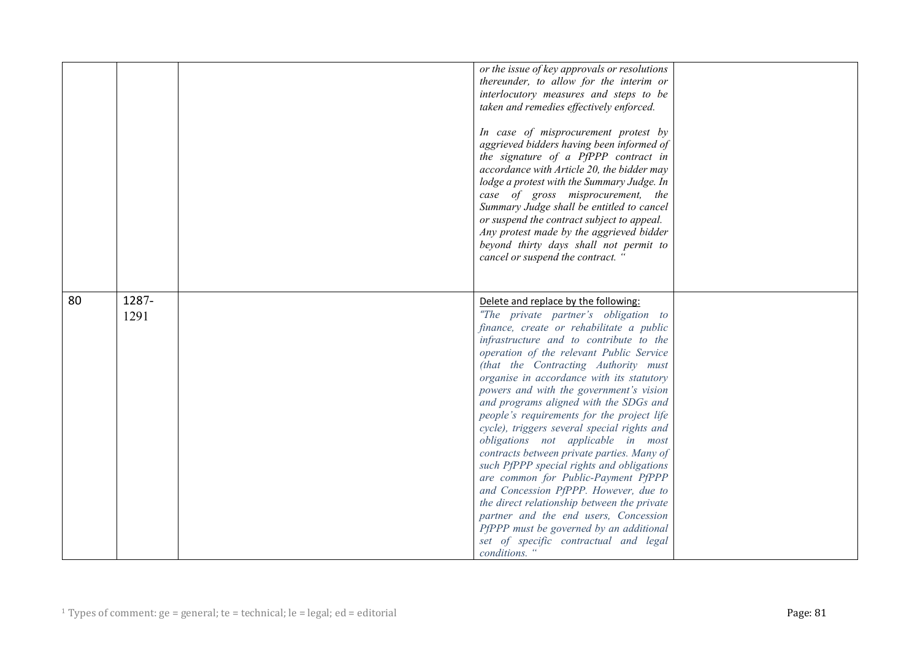|    |               | or the issue of key approvals or resolutions<br>thereunder, to allow for the interim or<br>interlocutory measures and steps to be<br>taken and remedies effectively enforced.<br>In case of misprocurement protest by<br>aggrieved bidders having been informed of<br>the signature of a PfPPP contract in<br>accordance with Article 20, the bidder may<br>lodge a protest with the Summary Judge. In<br>case of gross misprocurement, the<br>Summary Judge shall be entitled to cancel<br>or suspend the contract subject to appeal.<br>Any protest made by the aggrieved bidder<br>beyond thirty days shall not permit to<br>cancel or suspend the contract. "                                                                                                                                                                                                                                    |  |
|----|---------------|------------------------------------------------------------------------------------------------------------------------------------------------------------------------------------------------------------------------------------------------------------------------------------------------------------------------------------------------------------------------------------------------------------------------------------------------------------------------------------------------------------------------------------------------------------------------------------------------------------------------------------------------------------------------------------------------------------------------------------------------------------------------------------------------------------------------------------------------------------------------------------------------------|--|
| 80 | 1287-<br>1291 | Delete and replace by the following:<br>"The private partner's obligation to<br>finance, create or rehabilitate a public<br>infrastructure and to contribute to the<br>operation of the relevant Public Service<br>(that the Contracting Authority must<br>organise in accordance with its statutory<br>powers and with the government's vision<br>and programs aligned with the SDGs and<br>people's requirements for the project life<br>cycle), triggers several special rights and<br>obligations not applicable in most<br>contracts between private parties. Many of<br>such PfPPP special rights and obligations<br>are common for Public-Payment PfPPP<br>and Concession PfPPP. However, due to<br>the direct relationship between the private<br>partner and the end users, Concession<br>PfPPP must be governed by an additional<br>set of specific contractual and legal<br>conditions. " |  |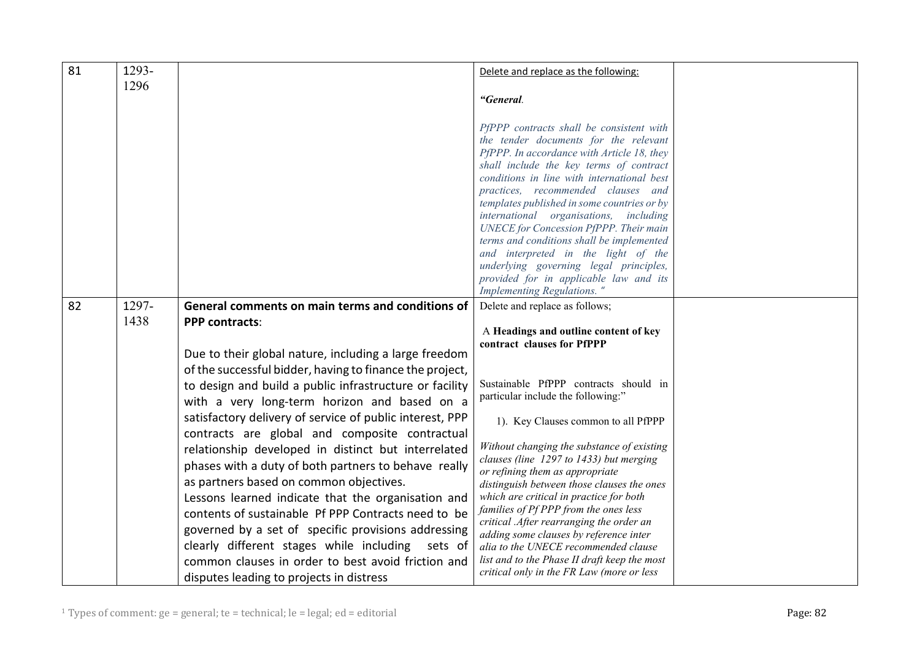| 81 | 1293- |                                                          | Delete and replace as the following:                                                                                                                                                                                                                                                                                                                                                                                                                                                                                                                                                |  |
|----|-------|----------------------------------------------------------|-------------------------------------------------------------------------------------------------------------------------------------------------------------------------------------------------------------------------------------------------------------------------------------------------------------------------------------------------------------------------------------------------------------------------------------------------------------------------------------------------------------------------------------------------------------------------------------|--|
|    | 1296  |                                                          |                                                                                                                                                                                                                                                                                                                                                                                                                                                                                                                                                                                     |  |
|    |       |                                                          | "General.                                                                                                                                                                                                                                                                                                                                                                                                                                                                                                                                                                           |  |
|    |       |                                                          | PfPPP contracts shall be consistent with<br>the tender documents for the relevant<br>PfPPP. In accordance with Article 18, they<br>shall include the key terms of contract<br>conditions in line with international best<br>practices, recommended clauses and<br>templates published in some countries or by<br>international organisations,<br>including<br><b>UNECE</b> for Concession PfPPP. Their main<br>terms and conditions shall be implemented<br>and interpreted in the light of the<br>underlying governing legal principles,<br>provided for in applicable law and its |  |
|    |       |                                                          | Implementing Regulations. "                                                                                                                                                                                                                                                                                                                                                                                                                                                                                                                                                         |  |
| 82 | 1297- | General comments on main terms and conditions of         | Delete and replace as follows;                                                                                                                                                                                                                                                                                                                                                                                                                                                                                                                                                      |  |
|    | 1438  | <b>PPP contracts:</b>                                    | A Headings and outline content of key                                                                                                                                                                                                                                                                                                                                                                                                                                                                                                                                               |  |
|    |       | Due to their global nature, including a large freedom    | contract clauses for PfPPP                                                                                                                                                                                                                                                                                                                                                                                                                                                                                                                                                          |  |
|    |       | of the successful bidder, having to finance the project, |                                                                                                                                                                                                                                                                                                                                                                                                                                                                                                                                                                                     |  |
|    |       | to design and build a public infrastructure or facility  | Sustainable PfPPP contracts should in                                                                                                                                                                                                                                                                                                                                                                                                                                                                                                                                               |  |
|    |       |                                                          | particular include the following:"                                                                                                                                                                                                                                                                                                                                                                                                                                                                                                                                                  |  |
|    |       | with a very long-term horizon and based on a             |                                                                                                                                                                                                                                                                                                                                                                                                                                                                                                                                                                                     |  |
|    |       | satisfactory delivery of service of public interest, PPP | 1). Key Clauses common to all PfPPP                                                                                                                                                                                                                                                                                                                                                                                                                                                                                                                                                 |  |
|    |       | contracts are global and composite contractual           | Without changing the substance of existing                                                                                                                                                                                                                                                                                                                                                                                                                                                                                                                                          |  |
|    |       | relationship developed in distinct but interrelated      | clauses (line 1297 to 1433) but merging                                                                                                                                                                                                                                                                                                                                                                                                                                                                                                                                             |  |
|    |       | phases with a duty of both partners to behave really     | or refining them as appropriate                                                                                                                                                                                                                                                                                                                                                                                                                                                                                                                                                     |  |
|    |       | as partners based on common objectives.                  | distinguish between those clauses the ones                                                                                                                                                                                                                                                                                                                                                                                                                                                                                                                                          |  |
|    |       | Lessons learned indicate that the organisation and       | which are critical in practice for both                                                                                                                                                                                                                                                                                                                                                                                                                                                                                                                                             |  |
|    |       | contents of sustainable Pf PPP Contracts need to be      | families of Pf PPP from the ones less<br>critical .After rearranging the order an                                                                                                                                                                                                                                                                                                                                                                                                                                                                                                   |  |
|    |       | governed by a set of specific provisions addressing      | adding some clauses by reference inter                                                                                                                                                                                                                                                                                                                                                                                                                                                                                                                                              |  |
|    |       | clearly different stages while including<br>sets of      | alia to the UNECE recommended clause                                                                                                                                                                                                                                                                                                                                                                                                                                                                                                                                                |  |
|    |       | common clauses in order to best avoid friction and       | list and to the Phase II draft keep the most                                                                                                                                                                                                                                                                                                                                                                                                                                                                                                                                        |  |
|    |       | disputes leading to projects in distress                 | critical only in the FR Law (more or less                                                                                                                                                                                                                                                                                                                                                                                                                                                                                                                                           |  |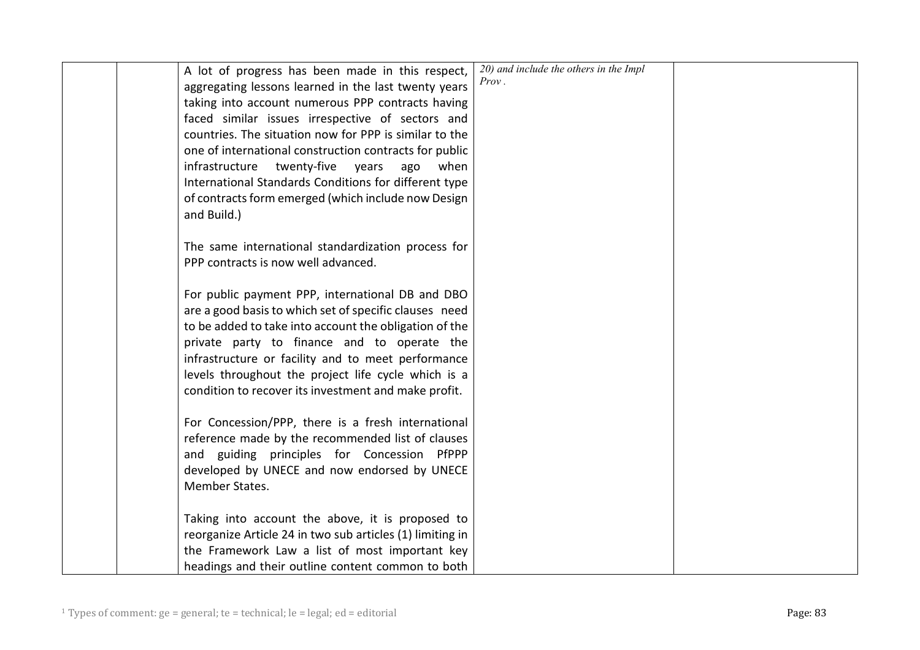| A lot of progress has been made in this respect,          | 20) and include the others in the Impl |  |
|-----------------------------------------------------------|----------------------------------------|--|
| aggregating lessons learned in the last twenty years      | <i>Prov.</i>                           |  |
| taking into account numerous PPP contracts having         |                                        |  |
| faced similar issues irrespective of sectors and          |                                        |  |
| countries. The situation now for PPP is similar to the    |                                        |  |
| one of international construction contracts for public    |                                        |  |
| infrastructure twenty-five years<br>ago<br>when           |                                        |  |
| International Standards Conditions for different type     |                                        |  |
| of contracts form emerged (which include now Design       |                                        |  |
| and Build.)                                               |                                        |  |
|                                                           |                                        |  |
| The same international standardization process for        |                                        |  |
| PPP contracts is now well advanced.                       |                                        |  |
|                                                           |                                        |  |
| For public payment PPP, international DB and DBO          |                                        |  |
| are a good basis to which set of specific clauses need    |                                        |  |
| to be added to take into account the obligation of the    |                                        |  |
| private party to finance and to operate the               |                                        |  |
| infrastructure or facility and to meet performance        |                                        |  |
| levels throughout the project life cycle which is a       |                                        |  |
| condition to recover its investment and make profit.      |                                        |  |
|                                                           |                                        |  |
| For Concession/PPP, there is a fresh international        |                                        |  |
| reference made by the recommended list of clauses         |                                        |  |
| and guiding principles for Concession PfPPP               |                                        |  |
| developed by UNECE and now endorsed by UNECE              |                                        |  |
| Member States.                                            |                                        |  |
|                                                           |                                        |  |
| Taking into account the above, it is proposed to          |                                        |  |
| reorganize Article 24 in two sub articles (1) limiting in |                                        |  |
| the Framework Law a list of most important key            |                                        |  |
| headings and their outline content common to both         |                                        |  |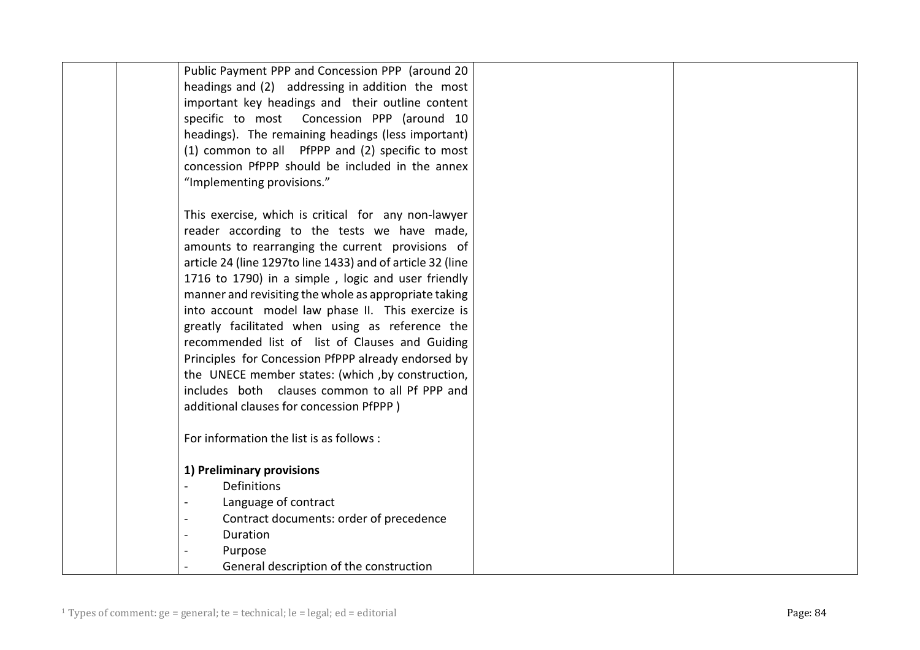| Public Payment PPP and Concession PPP (around 20           |
|------------------------------------------------------------|
| headings and (2) addressing in addition the most           |
| important key headings and their outline content           |
| specific to most  Concession PPP (around 10                |
| headings). The remaining headings (less important)         |
|                                                            |
| (1) common to all PfPPP and (2) specific to most           |
| concession PfPPP should be included in the annex           |
| "Implementing provisions."                                 |
|                                                            |
| This exercise, which is critical for any non-lawyer        |
| reader according to the tests we have made,                |
| amounts to rearranging the current provisions of           |
| article 24 (line 1297to line 1433) and of article 32 (line |
| 1716 to 1790) in a simple, logic and user friendly         |
| manner and revisiting the whole as appropriate taking      |
| into account model law phase II. This exercize is          |
| greatly facilitated when using as reference the            |
| recommended list of list of Clauses and Guiding            |
| Principles for Concession PfPPP already endorsed by        |
| the UNECE member states: (which, by construction,          |
| includes both clauses common to all Pf PPP and             |
| additional clauses for concession PfPPP)                   |
|                                                            |
| For information the list is as follows :                   |
|                                                            |
| 1) Preliminary provisions                                  |
| Definitions                                                |
| Language of contract                                       |
| Contract documents: order of precedence                    |
| Duration                                                   |
| Purpose                                                    |
| General description of the construction                    |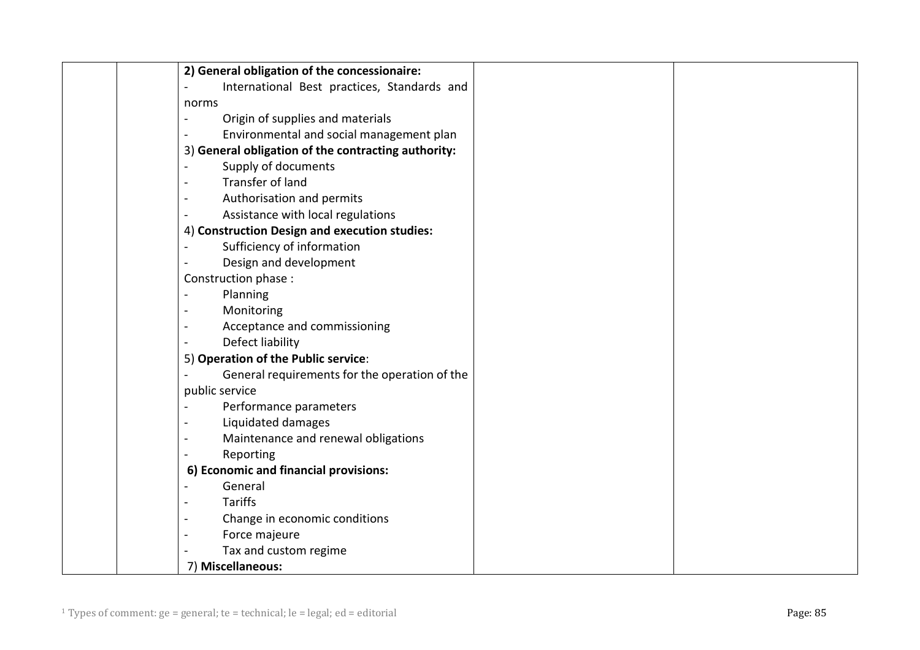| 2) General obligation of the concessionaire:                    |
|-----------------------------------------------------------------|
| International Best practices, Standards and                     |
| norms                                                           |
| Origin of supplies and materials<br>$\frac{1}{2}$               |
| Environmental and social management plan                        |
| 3) General obligation of the contracting authority:             |
| Supply of documents<br>$\overline{a}$                           |
| Transfer of land<br>$\overline{a}$                              |
| Authorisation and permits<br>$\blacksquare$                     |
| Assistance with local regulations                               |
| 4) Construction Design and execution studies:                   |
| Sufficiency of information                                      |
| Design and development                                          |
| Construction phase :                                            |
| Planning                                                        |
| Monitoring<br>$\overline{\phantom{a}}$                          |
| Acceptance and commissioning                                    |
| Defect liability                                                |
| 5) Operation of the Public service:                             |
| General requirements for the operation of the                   |
| public service                                                  |
| Performance parameters                                          |
| Liquidated damages                                              |
| Maintenance and renewal obligations<br>$\overline{\phantom{a}}$ |
| Reporting<br>$\overline{a}$                                     |
| 6) Economic and financial provisions:                           |
| General                                                         |
| <b>Tariffs</b><br>$\frac{1}{2}$                                 |
| Change in economic conditions<br>$\overline{a}$                 |
| Force majeure                                                   |
| Tax and custom regime                                           |
| 7) Miscellaneous:                                               |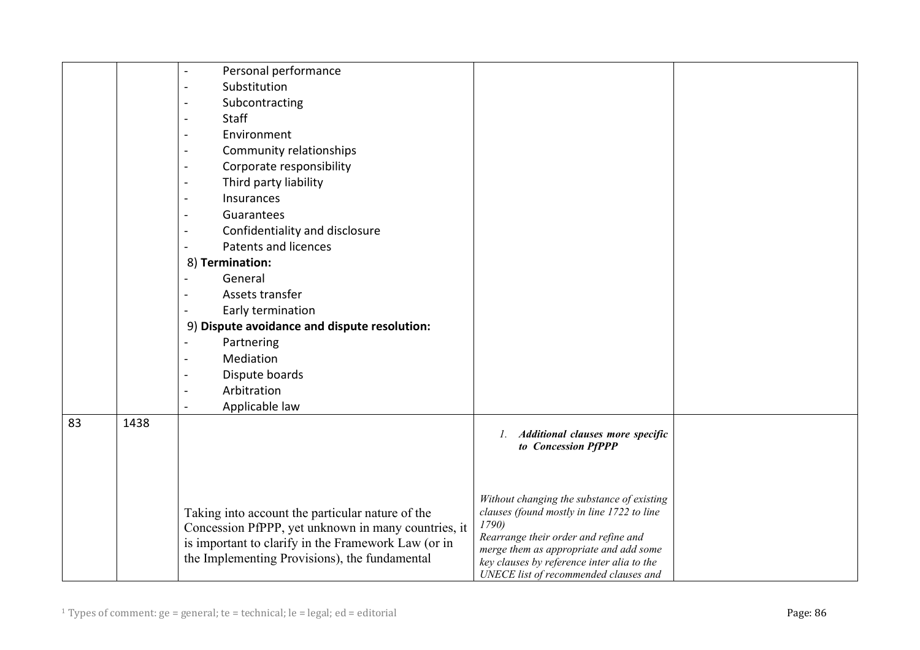|    |      | Personal performance                                |                                                                                          |  |
|----|------|-----------------------------------------------------|------------------------------------------------------------------------------------------|--|
|    |      | Substitution                                        |                                                                                          |  |
|    |      | Subcontracting                                      |                                                                                          |  |
|    |      | <b>Staff</b>                                        |                                                                                          |  |
|    |      | Environment                                         |                                                                                          |  |
|    |      | Community relationships                             |                                                                                          |  |
|    |      | Corporate responsibility                            |                                                                                          |  |
|    |      | Third party liability                               |                                                                                          |  |
|    |      | Insurances                                          |                                                                                          |  |
|    |      | Guarantees                                          |                                                                                          |  |
|    |      | Confidentiality and disclosure                      |                                                                                          |  |
|    |      | Patents and licences                                |                                                                                          |  |
|    |      | 8) Termination:                                     |                                                                                          |  |
|    |      | General                                             |                                                                                          |  |
|    |      | Assets transfer                                     |                                                                                          |  |
|    |      | Early termination                                   |                                                                                          |  |
|    |      | 9) Dispute avoidance and dispute resolution:        |                                                                                          |  |
|    |      | Partnering                                          |                                                                                          |  |
|    |      | Mediation                                           |                                                                                          |  |
|    |      | Dispute boards                                      |                                                                                          |  |
|    |      | Arbitration                                         |                                                                                          |  |
|    |      | Applicable law                                      |                                                                                          |  |
| 83 | 1438 |                                                     |                                                                                          |  |
|    |      |                                                     | 1. Additional clauses more specific<br>to Concession PfPPP                               |  |
|    |      |                                                     |                                                                                          |  |
|    |      |                                                     |                                                                                          |  |
|    |      |                                                     |                                                                                          |  |
|    |      | Taking into account the particular nature of the    | Without changing the substance of existing<br>clauses (found mostly in line 1722 to line |  |
|    |      | Concession PfPPP, yet unknown in many countries, it | 1790)                                                                                    |  |
|    |      | is important to clarify in the Framework Law (or in | Rearrange their order and refine and                                                     |  |
|    |      | the Implementing Provisions), the fundamental       | merge them as appropriate and add some                                                   |  |
|    |      |                                                     | key clauses by reference inter alia to the<br>UNECE list of recommended clauses and      |  |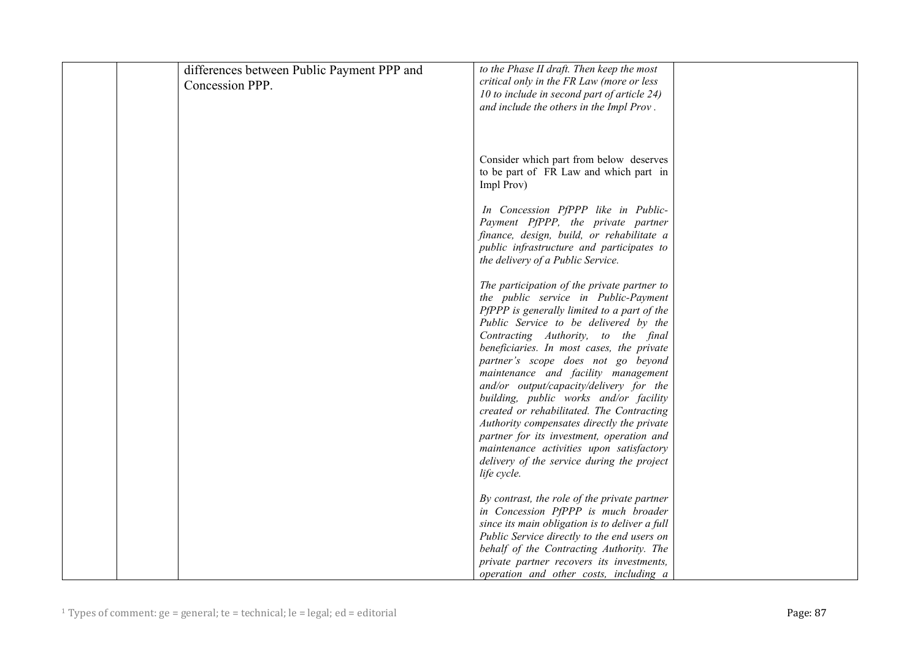| differences between Public Payment PPP and | to the Phase II draft. Then keep the most      |  |
|--------------------------------------------|------------------------------------------------|--|
| Concession PPP.                            | critical only in the FR Law (more or less      |  |
|                                            | 10 to include in second part of article 24)    |  |
|                                            | and include the others in the Impl Prov.       |  |
|                                            |                                                |  |
|                                            |                                                |  |
|                                            |                                                |  |
|                                            | Consider which part from below deserves        |  |
|                                            | to be part of FR Law and which part in         |  |
|                                            | Impl Prov)                                     |  |
|                                            |                                                |  |
|                                            | In Concession PfPPP like in Public-            |  |
|                                            | Payment PfPPP, the private partner             |  |
|                                            | finance, design, build, or rehabilitate a      |  |
|                                            | public infrastructure and participates to      |  |
|                                            | the delivery of a Public Service.              |  |
|                                            |                                                |  |
|                                            | The participation of the private partner to    |  |
|                                            | the public service in Public-Payment           |  |
|                                            | PfPPP is generally limited to a part of the    |  |
|                                            | Public Service to be delivered by the          |  |
|                                            | Contracting Authority, to the final            |  |
|                                            | beneficiaries. In most cases, the private      |  |
|                                            | partner's scope does not go beyond             |  |
|                                            | maintenance and facility management            |  |
|                                            | and/or output/capacity/delivery for the        |  |
|                                            | building, public works and/or facility         |  |
|                                            | created or rehabilitated. The Contracting      |  |
|                                            | Authority compensates directly the private     |  |
|                                            | partner for its investment, operation and      |  |
|                                            | maintenance activities upon satisfactory       |  |
|                                            | delivery of the service during the project     |  |
|                                            | life cycle.                                    |  |
|                                            |                                                |  |
|                                            | By contrast, the role of the private partner   |  |
|                                            | in Concession PfPPP is much broader            |  |
|                                            | since its main obligation is to deliver a full |  |
|                                            | Public Service directly to the end users on    |  |
|                                            | behalf of the Contracting Authority. The       |  |
|                                            | private partner recovers its investments,      |  |
|                                            | operation and other costs, including a         |  |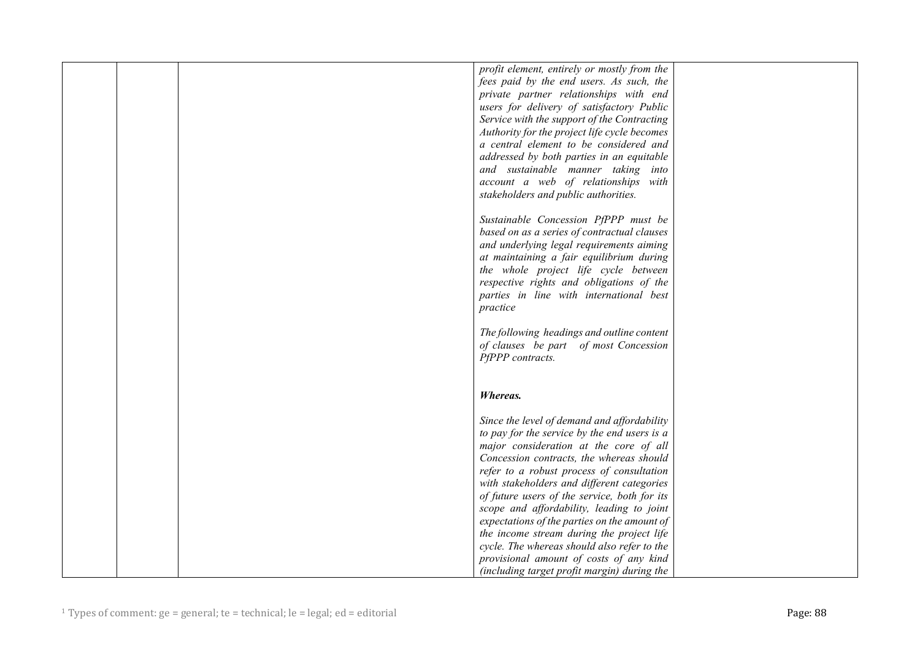|  | profit element, entirely or mostly from the  |  |
|--|----------------------------------------------|--|
|  | fees paid by the end users. As such, the     |  |
|  | private partner relationships with end       |  |
|  | users for delivery of satisfactory Public    |  |
|  | Service with the support of the Contracting  |  |
|  | Authority for the project life cycle becomes |  |
|  | a central element to be considered and       |  |
|  |                                              |  |
|  | addressed by both parties in an equitable    |  |
|  | and sustainable manner taking into           |  |
|  | account a web of relationships with          |  |
|  | stakeholders and public authorities.         |  |
|  |                                              |  |
|  | Sustainable Concession PfPPP must be         |  |
|  | based on as a series of contractual clauses  |  |
|  | and underlying legal requirements aiming     |  |
|  | at maintaining a fair equilibrium during     |  |
|  | the whole project life cycle between         |  |
|  | respective rights and obligations of the     |  |
|  | parties in line with international best      |  |
|  | practice                                     |  |
|  |                                              |  |
|  | The following headings and outline content   |  |
|  | of clauses be part of most Concession        |  |
|  | PfPPP contracts.                             |  |
|  |                                              |  |
|  |                                              |  |
|  | Whereas.                                     |  |
|  |                                              |  |
|  | Since the level of demand and affordability  |  |
|  | to pay for the service by the end users is a |  |
|  | major consideration at the core of all       |  |
|  | Concession contracts, the whereas should     |  |
|  | refer to a robust process of consultation    |  |
|  | with stakeholders and different categories   |  |
|  | of future users of the service, both for its |  |
|  | scope and affordability, leading to joint    |  |
|  | expectations of the parties on the amount of |  |
|  | the income stream during the project life    |  |
|  | cycle. The whereas should also refer to the  |  |
|  |                                              |  |
|  | provisional amount of costs of any kind      |  |
|  | (including target profit margin) during the  |  |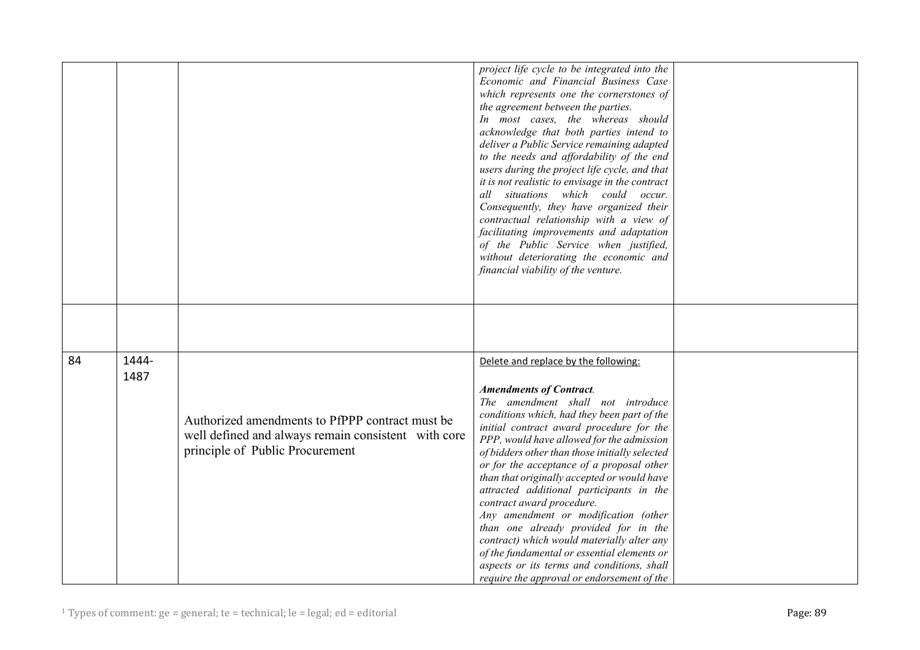|    |               |                                                                                                                                           | project life cycle to be integrated into the<br>Economic and Financial Business Case<br>which represents one the cornerstones of<br>the agreement between the parties.<br>In most cases, the whereas should<br>acknowledge that both parties intend to<br>deliver a Public Service remaining adapted<br>to the needs and affordability of the end<br>users during the project life cycle, and that<br>it is not realistic to envisage in the contract<br>all situations which could occur.<br>Consequently, they have organized their<br>contractual relationship with a view of<br>facilitating improvements and adaptation<br>of the Public Service when justified,<br>without deteriorating the economic and<br>financial viability of the venture. |  |
|----|---------------|-------------------------------------------------------------------------------------------------------------------------------------------|--------------------------------------------------------------------------------------------------------------------------------------------------------------------------------------------------------------------------------------------------------------------------------------------------------------------------------------------------------------------------------------------------------------------------------------------------------------------------------------------------------------------------------------------------------------------------------------------------------------------------------------------------------------------------------------------------------------------------------------------------------|--|
|    |               |                                                                                                                                           |                                                                                                                                                                                                                                                                                                                                                                                                                                                                                                                                                                                                                                                                                                                                                        |  |
| 84 | 1444-<br>1487 | Authorized amendments to PfPPP contract must be<br>well defined and always remain consistent with core<br>principle of Public Procurement | Delete and replace by the following:<br><b>Amendments of Contract.</b><br>The amendment shall not introduce<br>conditions which, had they been part of the<br>initial contract award procedure for the<br>PPP, would have allowed for the admission<br>of bidders other than those initially selected<br>or for the acceptance of a proposal other<br>than that originally accepted or would have<br>attracted additional participants in the<br>contract award procedure.<br>Any amendment or modification (other<br>than one already provided for in the<br>contract) which would materially alter any<br>of the fundamental or essential elements or<br>aspects or its terms and conditions, shall<br>require the approval or endorsement of the    |  |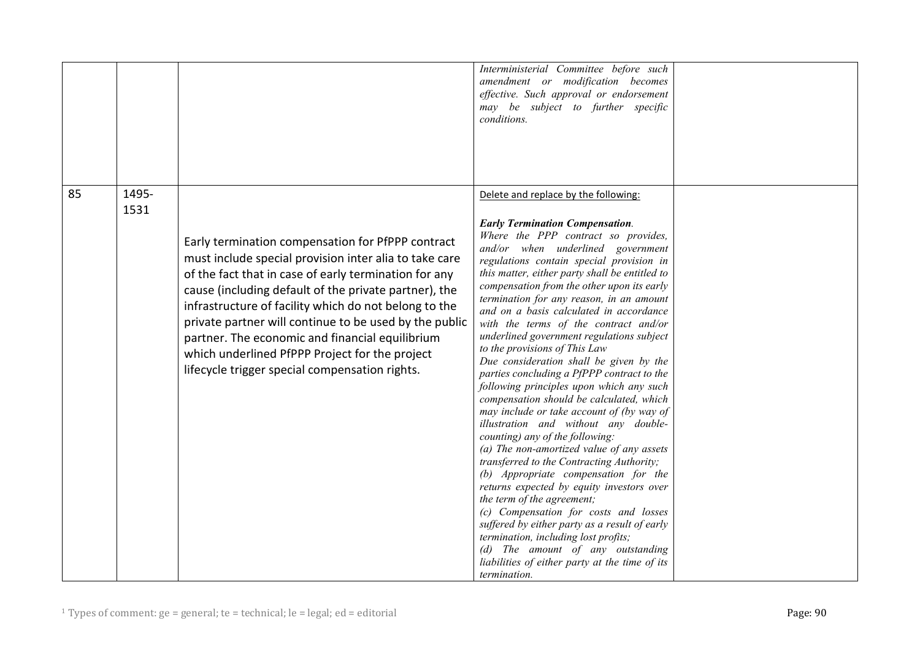|    |       |                                                                                                                                                                                                                                                                                                                                                                                                                                                                                                         | Interministerial Committee before such<br>amendment or modification becomes<br>effective. Such approval or endorsement<br>may be subject to further specific<br>conditions.                                                                                                                                                                                                                                                                                                                                                                                                                                                                                                                                                                                                                                                                                                                                                                                                                                                                                                                                                                                                                                                                 |  |
|----|-------|---------------------------------------------------------------------------------------------------------------------------------------------------------------------------------------------------------------------------------------------------------------------------------------------------------------------------------------------------------------------------------------------------------------------------------------------------------------------------------------------------------|---------------------------------------------------------------------------------------------------------------------------------------------------------------------------------------------------------------------------------------------------------------------------------------------------------------------------------------------------------------------------------------------------------------------------------------------------------------------------------------------------------------------------------------------------------------------------------------------------------------------------------------------------------------------------------------------------------------------------------------------------------------------------------------------------------------------------------------------------------------------------------------------------------------------------------------------------------------------------------------------------------------------------------------------------------------------------------------------------------------------------------------------------------------------------------------------------------------------------------------------|--|
| 85 | 1495- |                                                                                                                                                                                                                                                                                                                                                                                                                                                                                                         | Delete and replace by the following:                                                                                                                                                                                                                                                                                                                                                                                                                                                                                                                                                                                                                                                                                                                                                                                                                                                                                                                                                                                                                                                                                                                                                                                                        |  |
|    | 1531  |                                                                                                                                                                                                                                                                                                                                                                                                                                                                                                         |                                                                                                                                                                                                                                                                                                                                                                                                                                                                                                                                                                                                                                                                                                                                                                                                                                                                                                                                                                                                                                                                                                                                                                                                                                             |  |
|    |       | Early termination compensation for PfPPP contract<br>must include special provision inter alia to take care<br>of the fact that in case of early termination for any<br>cause (including default of the private partner), the<br>infrastructure of facility which do not belong to the<br>private partner will continue to be used by the public<br>partner. The economic and financial equilibrium<br>which underlined PfPPP Project for the project<br>lifecycle trigger special compensation rights. | <b>Early Termination Compensation.</b><br>Where the PPP contract so provides,<br>and/or when underlined government<br>regulations contain special provision in<br>this matter, either party shall be entitled to<br>compensation from the other upon its early<br>termination for any reason, in an amount<br>and on a basis calculated in accordance<br>with the terms of the contract and/or<br>underlined government regulations subject<br>to the provisions of This Law<br>Due consideration shall be given by the<br>parties concluding a PfPPP contract to the<br>following principles upon which any such<br>compensation should be calculated, which<br>may include or take account of (by way of<br>illustration and without any double-<br>counting) any of the following:<br>(a) The non-amortized value of any assets<br>transferred to the Contracting Authority;<br>(b) Appropriate compensation for the<br>returns expected by equity investors over<br>the term of the agreement;<br>(c) Compensation for costs and losses<br>suffered by either party as a result of early<br>termination, including lost profits;<br>(d) The amount of any outstanding<br>liabilities of either party at the time of its<br>termination. |  |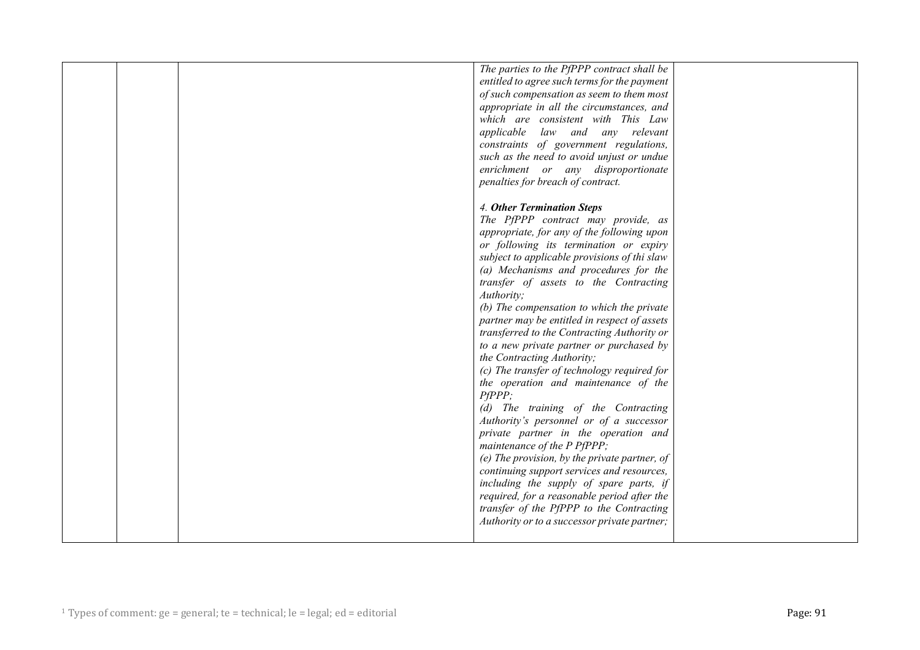|  | The parties to the PfPPP contract shall be    |  |
|--|-----------------------------------------------|--|
|  | entitled to agree such terms for the payment  |  |
|  |                                               |  |
|  | of such compensation as seem to them most     |  |
|  | appropriate in all the circumstances, and     |  |
|  | which are consistent with This Law            |  |
|  | applicable law and any relevant               |  |
|  | constraints of government regulations,        |  |
|  | such as the need to avoid unjust or undue     |  |
|  | enrichment or any disproportionate            |  |
|  | penalties for breach of contract.             |  |
|  |                                               |  |
|  | 4. Other Termination Steps                    |  |
|  | The PfPPP contract may provide, as            |  |
|  | appropriate, for any of the following upon    |  |
|  | or following its termination or expiry        |  |
|  | subject to applicable provisions of thi slaw  |  |
|  | (a) Mechanisms and procedures for the         |  |
|  |                                               |  |
|  | transfer of assets to the Contracting         |  |
|  | Authority;                                    |  |
|  | (b) The compensation to which the private     |  |
|  | partner may be entitled in respect of assets  |  |
|  | transferred to the Contracting Authority or   |  |
|  | to a new private partner or purchased by      |  |
|  | the Contracting Authority;                    |  |
|  | (c) The transfer of technology required for   |  |
|  | the operation and maintenance of the          |  |
|  | PfPPP;                                        |  |
|  | (d) The training of the Contracting           |  |
|  | Authority's personnel or of a successor       |  |
|  | private partner in the operation and          |  |
|  | maintenance of the P PfPPP;                   |  |
|  | (e) The provision, by the private partner, of |  |
|  | continuing support services and resources,    |  |
|  | including the supply of spare parts, if       |  |
|  | required, for a reasonable period after the   |  |
|  |                                               |  |
|  | transfer of the PfPPP to the Contracting      |  |
|  | Authority or to a successor private partner;  |  |
|  |                                               |  |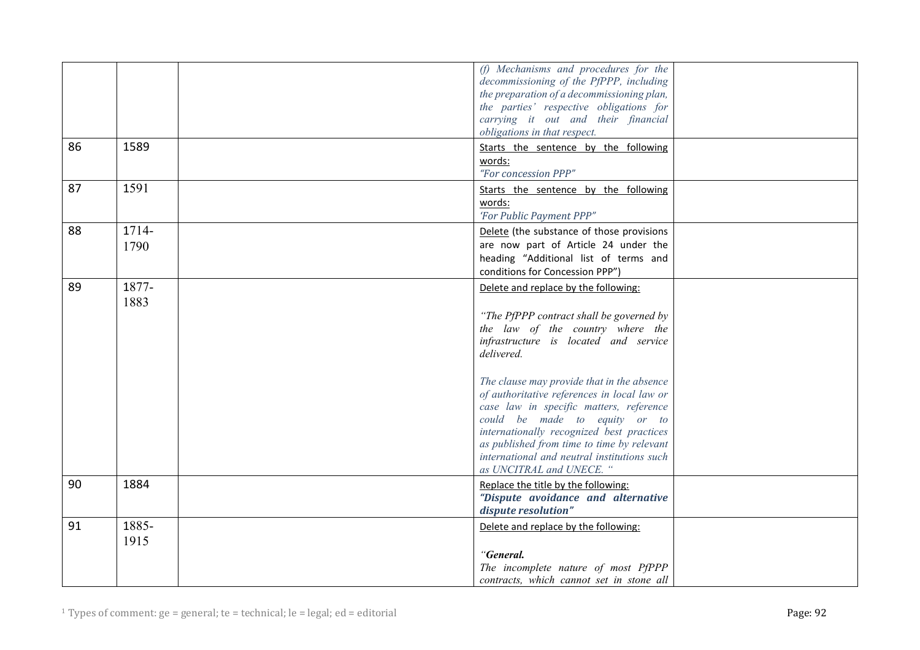|    |               | (f) Mechanisms and procedures for the<br>decommissioning of the PfPPP, including<br>the preparation of a decommissioning plan,<br>the parties' respective obligations for<br>carrying it out and their financial<br>obligations in that respect.                                                                                                                                                                                                                                                                           |  |
|----|---------------|----------------------------------------------------------------------------------------------------------------------------------------------------------------------------------------------------------------------------------------------------------------------------------------------------------------------------------------------------------------------------------------------------------------------------------------------------------------------------------------------------------------------------|--|
| 86 | 1589          | Starts the sentence by the following<br>words:<br>"For concession PPP"                                                                                                                                                                                                                                                                                                                                                                                                                                                     |  |
| 87 | 1591          | Starts the sentence by the following<br>words:<br>'For Public Payment PPP"                                                                                                                                                                                                                                                                                                                                                                                                                                                 |  |
| 88 | 1714-<br>1790 | Delete (the substance of those provisions<br>are now part of Article 24 under the<br>heading "Additional list of terms and<br>conditions for Concession PPP")                                                                                                                                                                                                                                                                                                                                                              |  |
| 89 | 1877-<br>1883 | Delete and replace by the following:<br>"The PfPPP contract shall be governed by<br>the law of the country where the<br>infrastructure is located and service<br>delivered.<br>The clause may provide that in the absence<br>of authoritative references in local law or<br>case law in specific matters, reference<br>could be made to equity or to<br>internationally recognized best practices<br>as published from time to time by relevant<br>international and neutral institutions such<br>as UNCITRAL and UNECE. " |  |
| 90 | 1884          | Replace the title by the following:<br>"Dispute avoidance and alternative<br>dispute resolution"                                                                                                                                                                                                                                                                                                                                                                                                                           |  |
| 91 | 1885-<br>1915 | Delete and replace by the following:<br>"General.<br>The incomplete nature of most PfPPP                                                                                                                                                                                                                                                                                                                                                                                                                                   |  |
|    |               | contracts, which cannot set in stone all                                                                                                                                                                                                                                                                                                                                                                                                                                                                                   |  |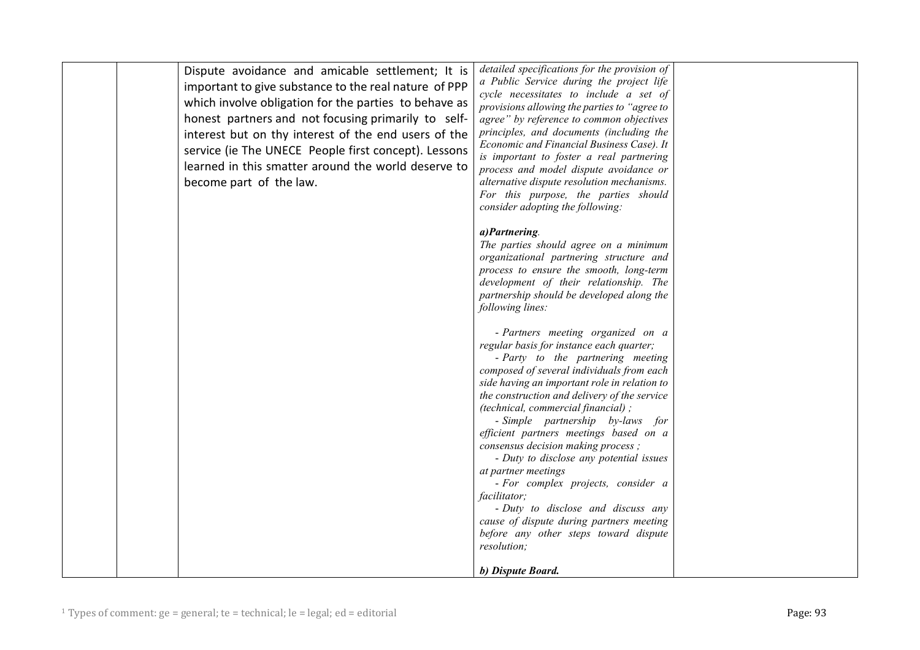| Dispute avoidance and amicable settlement; It is<br>important to give substance to the real nature of PPP<br>which involve obligation for the parties to behave as<br>honest partners and not focusing primarily to self-<br>interest but on thy interest of the end users of the<br>service (ie The UNECE People first concept). Lessons<br>learned in this smatter around the world deserve to<br>become part of the law. | detailed specifications for the provision of<br>a Public Service during the project life<br>cycle necessitates to include a set of<br>provisions allowing the parties to "agree to<br>agree" by reference to common objectives<br>principles, and documents (including the<br>Economic and Financial Business Case). It<br>is important to foster a real partnering<br>process and model dispute avoidance or<br>alternative dispute resolution mechanisms.<br>For this purpose, the parties should<br>consider adopting the following: |  |
|-----------------------------------------------------------------------------------------------------------------------------------------------------------------------------------------------------------------------------------------------------------------------------------------------------------------------------------------------------------------------------------------------------------------------------|-----------------------------------------------------------------------------------------------------------------------------------------------------------------------------------------------------------------------------------------------------------------------------------------------------------------------------------------------------------------------------------------------------------------------------------------------------------------------------------------------------------------------------------------|--|
|                                                                                                                                                                                                                                                                                                                                                                                                                             | a) Partnering.<br>The parties should agree on a minimum<br>organizational partnering structure and<br>process to ensure the smooth, long-term<br>development of their relationship. The<br>partnership should be developed along the<br>following lines:                                                                                                                                                                                                                                                                                |  |
|                                                                                                                                                                                                                                                                                                                                                                                                                             | - Partners meeting organized on a<br>regular basis for instance each quarter;<br>- Party to the partnering meeting<br>composed of several individuals from each<br>side having an important role in relation to<br>the construction and delivery of the service<br>(technical, commercial financial);<br>- Simple partnership by-laws for<br>efficient partners meetings based on a                                                                                                                                                     |  |
|                                                                                                                                                                                                                                                                                                                                                                                                                             | consensus decision making process;<br>- Duty to disclose any potential issues<br>at partner meetings<br>- For complex projects, consider a<br><i>facilitator</i> ;<br>- Duty to disclose and discuss any<br>cause of dispute during partners meeting<br>before any other steps toward dispute<br>resolution;                                                                                                                                                                                                                            |  |
|                                                                                                                                                                                                                                                                                                                                                                                                                             | b) Dispute Board.                                                                                                                                                                                                                                                                                                                                                                                                                                                                                                                       |  |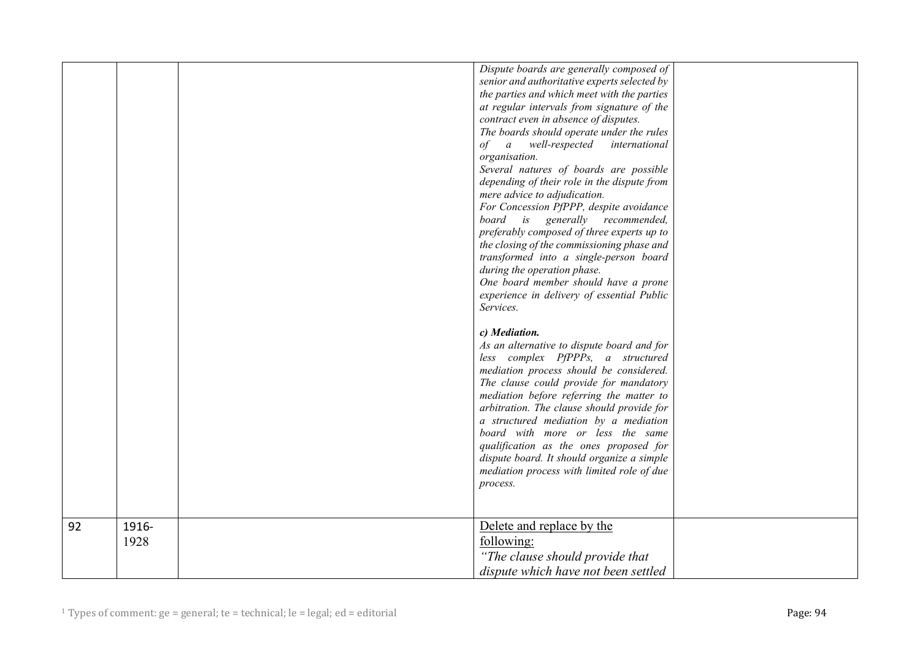|    |               | Dispute boards are generally composed of<br>senior and authoritative experts selected by<br>the parties and which meet with the parties<br>at regular intervals from signature of the<br>contract even in absence of disputes.<br>The boards should operate under the rules<br>of a well-respected<br>international<br>organisation.<br>Several natures of boards are possible<br>depending of their role in the dispute from<br>mere advice to adjudication.<br>For Concession PfPPP, despite avoidance<br>board is generally recommended,<br>preferably composed of three experts up to<br>the closing of the commissioning phase and<br>transformed into a single-person board<br>during the operation phase.<br>One board member should have a prone<br>experience in delivery of essential Public<br>Services.<br>c) Mediation.<br>As an alternative to dispute board and for<br>less complex PfPPPs, a structured<br>mediation process should be considered.<br>The clause could provide for mandatory<br>mediation before referring the matter to<br>arbitration. The clause should provide for<br>a structured mediation by a mediation |  |
|----|---------------|-------------------------------------------------------------------------------------------------------------------------------------------------------------------------------------------------------------------------------------------------------------------------------------------------------------------------------------------------------------------------------------------------------------------------------------------------------------------------------------------------------------------------------------------------------------------------------------------------------------------------------------------------------------------------------------------------------------------------------------------------------------------------------------------------------------------------------------------------------------------------------------------------------------------------------------------------------------------------------------------------------------------------------------------------------------------------------------------------------------------------------------------------|--|
|    |               | board with more or less the same<br>qualification as the ones proposed for<br>dispute board. It should organize a simple<br>mediation process with limited role of due<br>process.                                                                                                                                                                                                                                                                                                                                                                                                                                                                                                                                                                                                                                                                                                                                                                                                                                                                                                                                                              |  |
|    |               |                                                                                                                                                                                                                                                                                                                                                                                                                                                                                                                                                                                                                                                                                                                                                                                                                                                                                                                                                                                                                                                                                                                                                 |  |
| 92 | 1916-<br>1928 | Delete and replace by the<br>following:                                                                                                                                                                                                                                                                                                                                                                                                                                                                                                                                                                                                                                                                                                                                                                                                                                                                                                                                                                                                                                                                                                         |  |
|    |               | "The clause should provide that<br>dispute which have not been settled                                                                                                                                                                                                                                                                                                                                                                                                                                                                                                                                                                                                                                                                                                                                                                                                                                                                                                                                                                                                                                                                          |  |